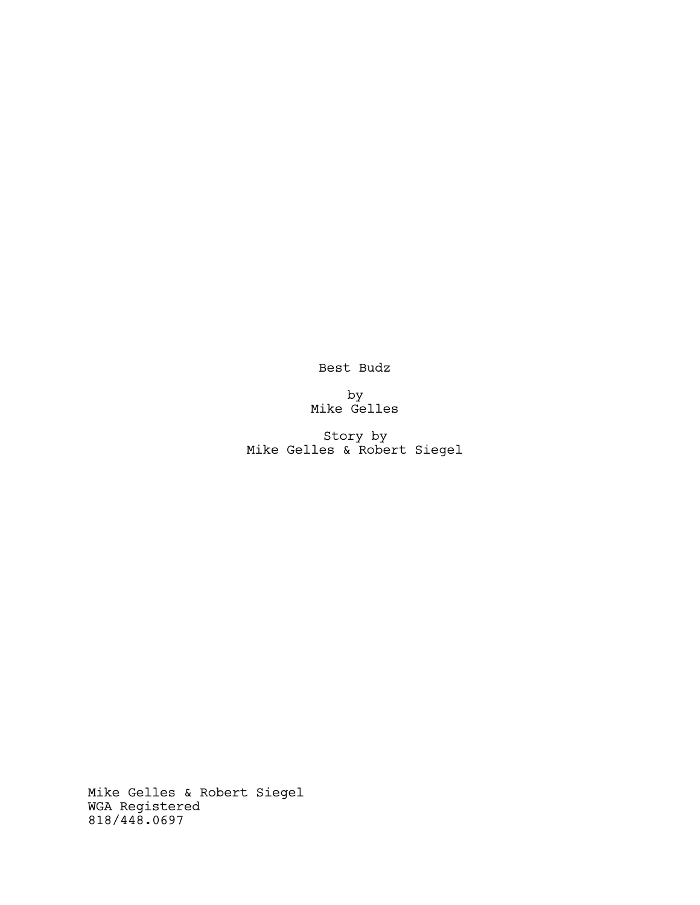Best Budz

by Mike Gelles

Story by Mike Gelles & Robert Siegel

Mike Gelles & Robert Siegel WGA Registered 818/448.0697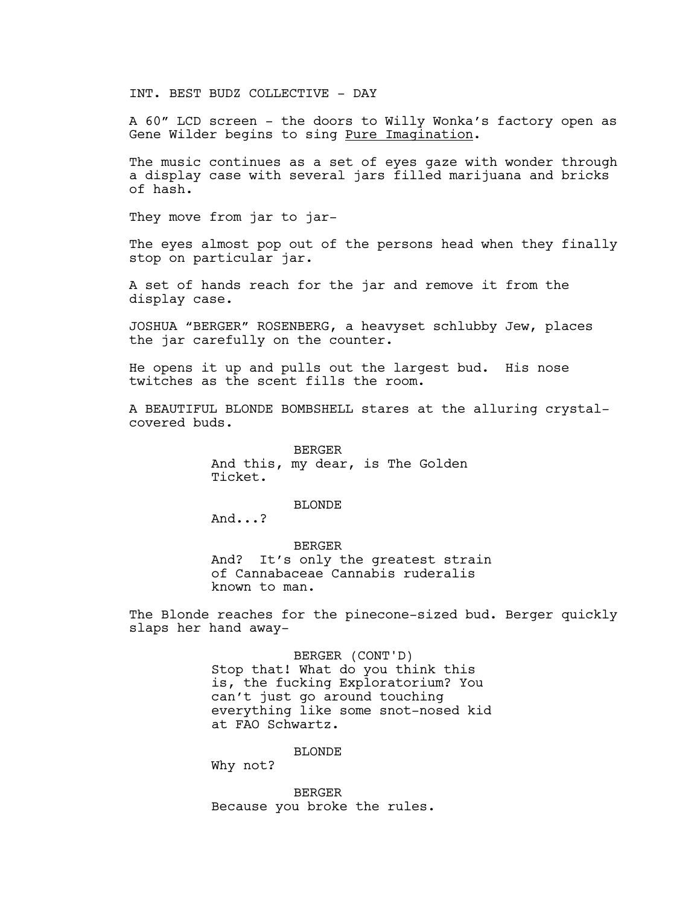INT. BEST BUDZ COLLECTIVE - DAY

A 60" LCD screen - the doors to Willy Wonka's factory open as Gene Wilder begins to sing Pure Imagination.

The music continues as a set of eyes gaze with wonder through a display case with several jars filled marijuana and bricks of hash.

They move from jar to jar-

The eyes almost pop out of the persons head when they finally stop on particular jar.

A set of hands reach for the jar and remove it from the display case.

JOSHUA "BERGER" ROSENBERG, a heavyset schlubby Jew, places the jar carefully on the counter.

He opens it up and pulls out the largest bud. His nose twitches as the scent fills the room.

A BEAUTIFUL BLONDE BOMBSHELL stares at the alluring crystalcovered buds.

> BERGER And this, my dear, is The Golden Ticket.

> > BLONDE

And...?

BERGER And? It's only the greatest strain of Cannabaceae Cannabis ruderalis

known to man.

The Blonde reaches for the pinecone-sized bud. Berger quickly slaps her hand away-

> BERGER (CONT'D) Stop that! What do you think this is, the fucking Exploratorium? You can't just go around touching everything like some snot-nosed kid at FAO Schwartz.

> > BLONDE

Why not?

BERGER Because you broke the rules.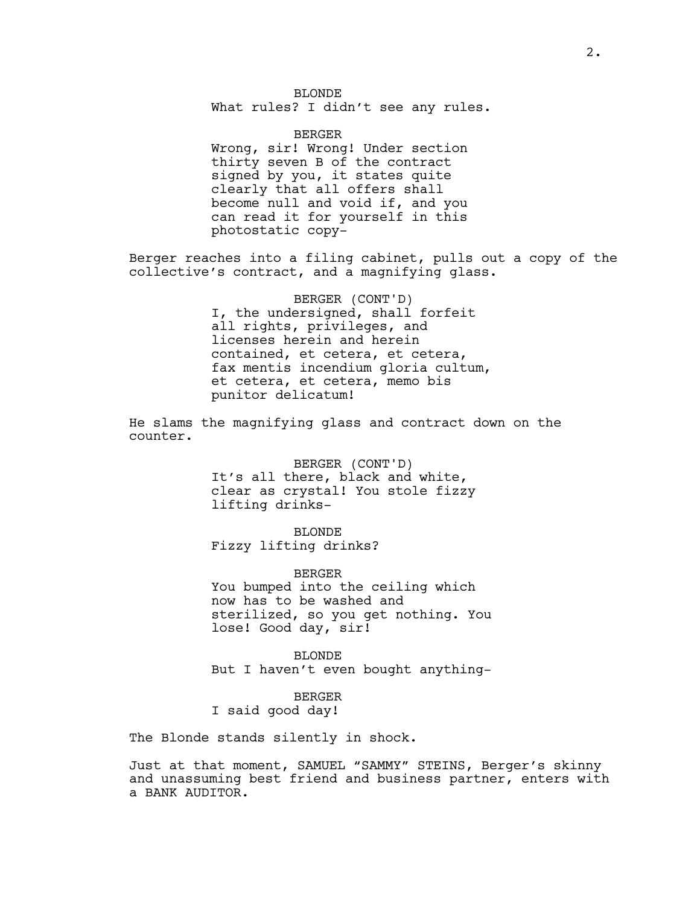BLONDE What rules? I didn't see any rules.

BERGER Wrong, sir! Wrong! Under section thirty seven B of the contract signed by you, it states quite clearly that all offers shall become null and void if, and you can read it for yourself in this photostatic copy-

Berger reaches into a filing cabinet, pulls out a copy of the collective's contract, and a magnifying glass.

> BERGER (CONT'D) I, the undersigned, shall forfeit all rights, privileges, and licenses herein and herein contained, et cetera, et cetera, fax mentis incendium gloria cultum, et cetera, et cetera, memo bis punitor delicatum!

He slams the magnifying glass and contract down on the counter.

> BERGER (CONT'D) It's all there, black and white, clear as crystal! You stole fizzy lifting drinks-

BLONDE Fizzy lifting drinks?

BERGER You bumped into the ceiling which now has to be washed and sterilized, so you get nothing. You lose! Good day, sir!

BLONDE But I haven't even bought anything-

BERGER I said good day!

The Blonde stands silently in shock.

Just at that moment, SAMUEL "SAMMY" STEINS, Berger's skinny and unassuming best friend and business partner, enters with a BANK AUDITOR.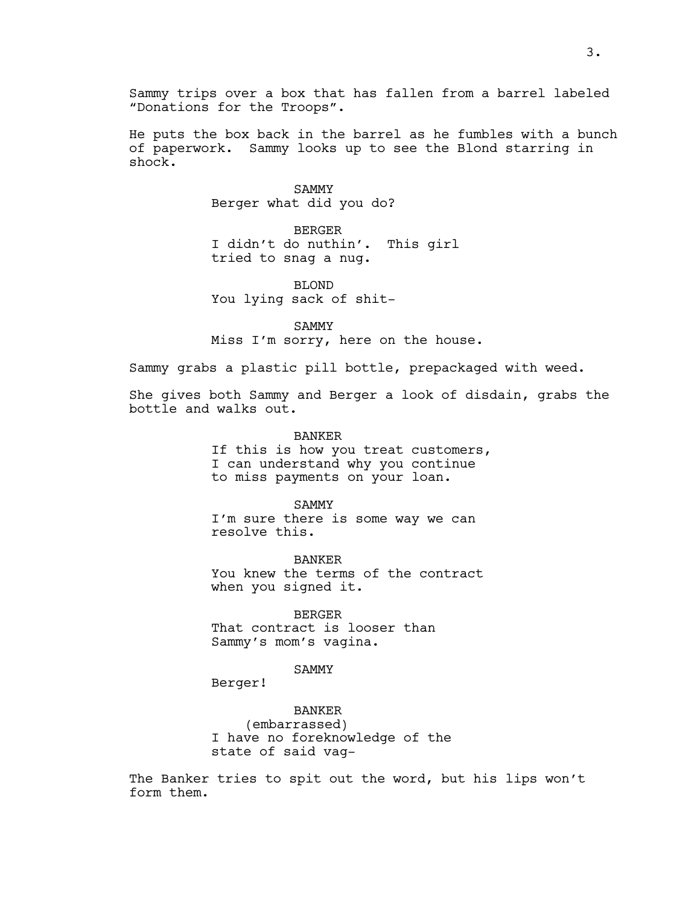Sammy trips over a box that has fallen from a barrel labeled "Donations for the Troops".

He puts the box back in the barrel as he fumbles with a bunch of paperwork. Sammy looks up to see the Blond starring in shock.

> SAMMY Berger what did you do?

BERGER I didn't do nuthin'. This girl tried to snag a nug.

BLOND You lying sack of shit-

SAMMY Miss I'm sorry, here on the house.

Sammy grabs a plastic pill bottle, prepackaged with weed.

She gives both Sammy and Berger a look of disdain, grabs the bottle and walks out.

> BANKER If this is how you treat customers, I can understand why you continue to miss payments on your loan.

> > SAMMY

I'm sure there is some way we can resolve this.

BANKER You knew the terms of the contract when you signed it.

BERGER That contract is looser than Sammy's mom's vagina.

## SAMMY

Berger!

BANKER (embarrassed) I have no foreknowledge of the state of said vag-

The Banker tries to spit out the word, but his lips won't form them.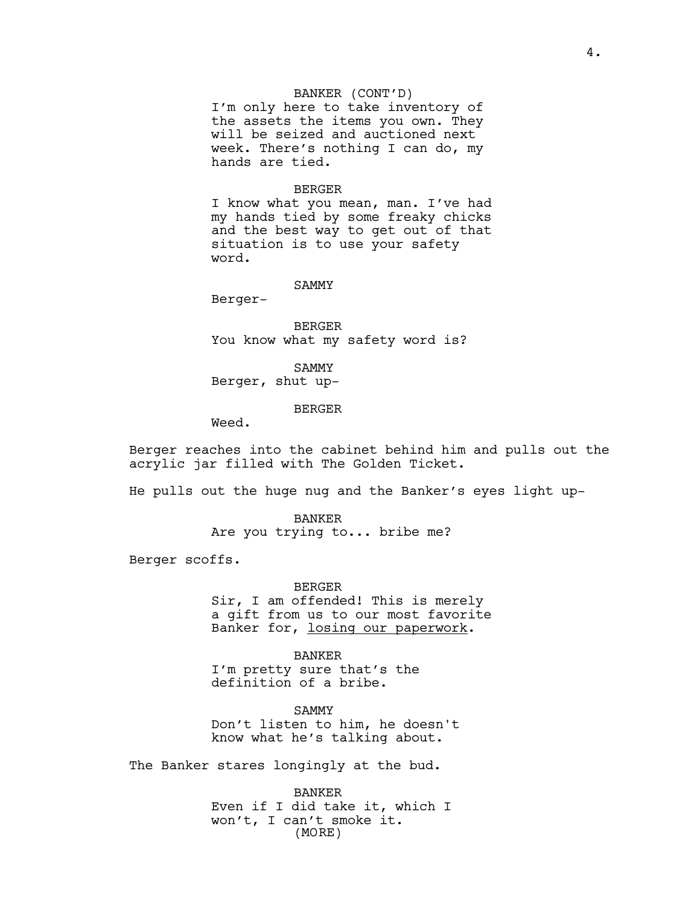# BANKER (CONT'D)

I'm only here to take inventory of the assets the items you own. They will be seized and auctioned next week. There's nothing I can do, my hands are tied.

#### BERGER

I know what you mean, man. I've had my hands tied by some freaky chicks and the best way to get out of that situation is to use your safety word.

#### SAMMY

Berger-

BERGER You know what my safety word is?

#### SAMMY

Berger, shut up-

## BERGER

Weed.

Berger reaches into the cabinet behind him and pulls out the acrylic jar filled with The Golden Ticket.

He pulls out the huge nug and the Banker's eyes light up-

BANKER Are you trying to... bribe me?

Berger scoffs.

BERGER Sir, I am offended! This is merely a gift from us to our most favorite Banker for, losing our paperwork.

BANKER

I'm pretty sure that's the definition of a bribe.

SAMMY Don't listen to him, he doesn't know what he's talking about.

The Banker stares longingly at the bud.

BANKER Even if I did take it, which I won't, I can't smoke it. (MORE)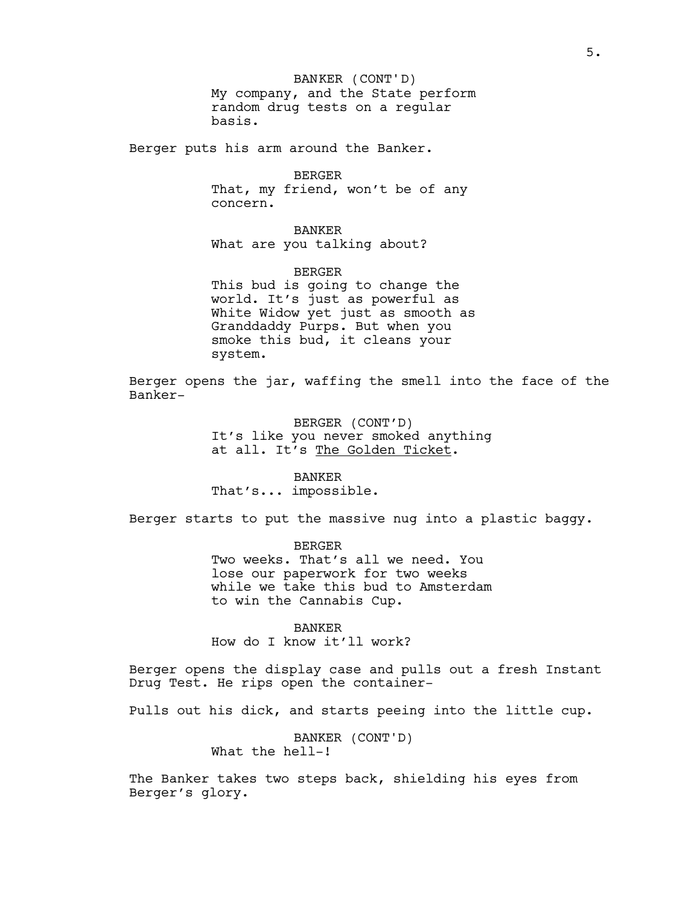My company, and the State perform random drug tests on a regular basis. BANKER (CONT'D)

Berger puts his arm around the Banker.

BERGER

That, my friend, won't be of any concern.

BANKER What are you talking about?

BERGER This bud is going to change the world. It's just as powerful as White Widow yet just as smooth as Granddaddy Purps. But when you smoke this bud, it cleans your system.

Berger opens the jar, waffing the smell into the face of the Banker-

> BERGER (CONT'D) It's like you never smoked anything at all. It's The Golden Ticket.

# BANKER

That's... impossible.

Berger starts to put the massive nug into a plastic baggy.

BERGER Two weeks. That's all we need. You lose our paperwork for two weeks while we take this bud to Amsterdam to win the Cannabis Cup.

BANKER How do I know it'll work?

Berger opens the display case and pulls out a fresh Instant Drug Test. He rips open the container-

Pulls out his dick, and starts peeing into the little cup.

BANKER (CONT'D) What the hell-!

The Banker takes two steps back, shielding his eyes from Berger's glory.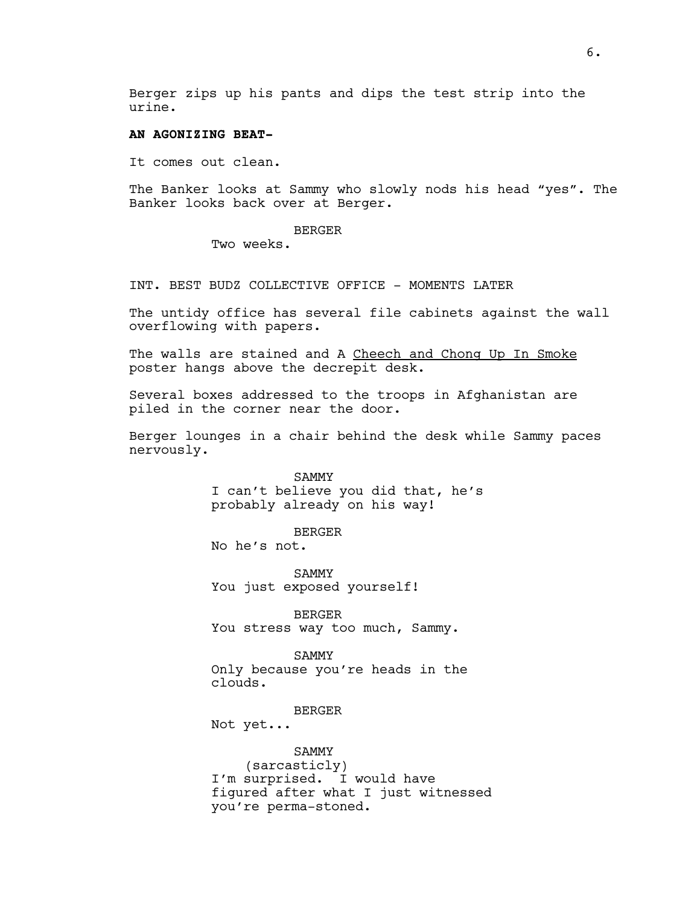Berger zips up his pants and dips the test strip into the urine.

# **AN AGONIZING BEAT-**

It comes out clean.

The Banker looks at Sammy who slowly nods his head "yes". The Banker looks back over at Berger.

#### BERGER

Two weeks.

INT. BEST BUDZ COLLECTIVE OFFICE - MOMENTS LATER

The untidy office has several file cabinets against the wall overflowing with papers.

The walls are stained and A Cheech and Chong Up In Smoke poster hangs above the decrepit desk.

Several boxes addressed to the troops in Afghanistan are piled in the corner near the door.

Berger lounges in a chair behind the desk while Sammy paces nervously.

> SAMMY I can't believe you did that, he's probably already on his way!

BERGER No he's not.

SAMMY You just exposed yourself!

BERGER You stress way too much, Sammy.

## SAMMY

Only because you're heads in the clouds.

BERGER

Not yet...

SAMMY

(sarcasticly) I'm surprised. I would have figured after what I just witnessed you're perma-stoned.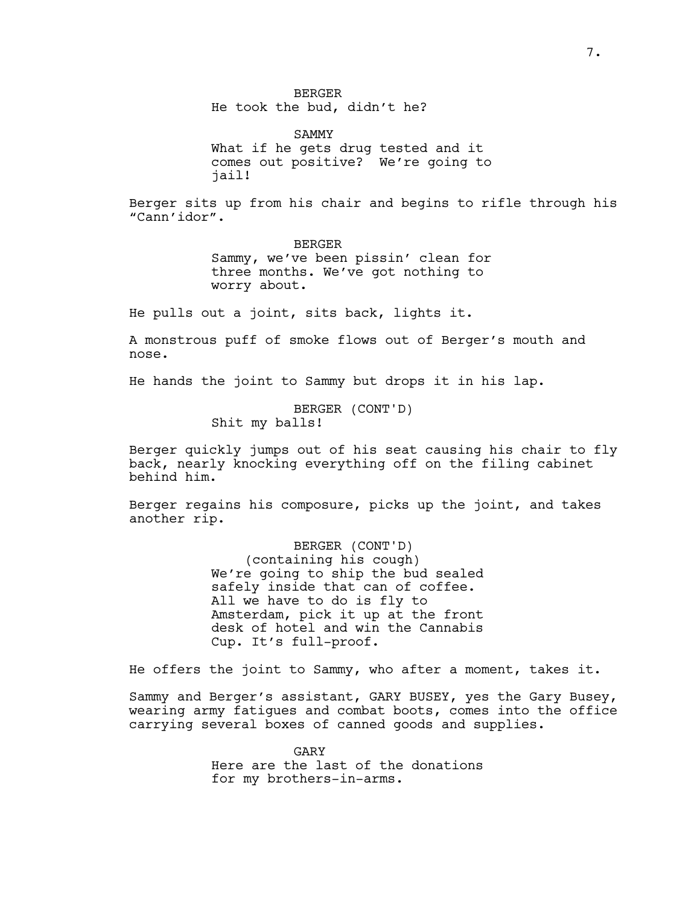BERGER He took the bud, didn't he?

SAMMY What if he gets drug tested and it comes out positive? We're going to jail!

Berger sits up from his chair and begins to rifle through his "Cann'idor".

> BERGER Sammy, we've been pissin' clean for three months. We've got nothing to worry about.

He pulls out a joint, sits back, lights it.

A monstrous puff of smoke flows out of Berger's mouth and nose.

He hands the joint to Sammy but drops it in his lap.

BERGER (CONT'D) Shit my balls!

Berger quickly jumps out of his seat causing his chair to fly back, nearly knocking everything off on the filing cabinet behind him.

Berger regains his composure, picks up the joint, and takes another rip.

> BERGER (CONT'D) (containing his cough) We're going to ship the bud sealed safely inside that can of coffee. All we have to do is fly to Amsterdam, pick it up at the front desk of hotel and win the Cannabis Cup. It's full-proof.

He offers the joint to Sammy, who after a moment, takes it.

Sammy and Berger's assistant, GARY BUSEY, yes the Gary Busey, wearing army fatigues and combat boots, comes into the office carrying several boxes of canned goods and supplies.

> GARY Here are the last of the donations for my brothers-in-arms.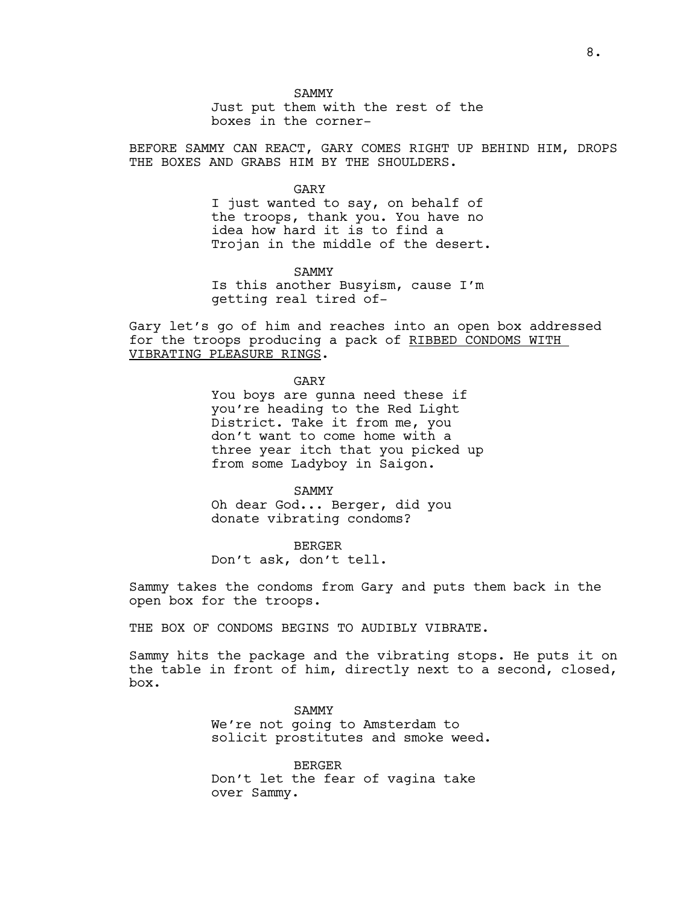Just put them with the rest of the boxes in the corner-

BEFORE SAMMY CAN REACT, GARY COMES RIGHT UP BEHIND HIM, DROPS THE BOXES AND GRABS HIM BY THE SHOULDERS.

> GARY I just wanted to say, on behalf of the troops, thank you. You have no idea how hard it is to find a Trojan in the middle of the desert.

SAMMY Is this another Busyism, cause I'm getting real tired of-

Gary let's go of him and reaches into an open box addressed for the troops producing a pack of RIBBED CONDOMS WITH VIBRATING PLEASURE RINGS.

GARY

You boys are gunna need these if you're heading to the Red Light District. Take it from me, you don't want to come home with a three year itch that you picked up from some Ladyboy in Saigon.

SAMMY

Oh dear God... Berger, did you donate vibrating condoms?

BERGER

Don't ask, don't tell.

Sammy takes the condoms from Gary and puts them back in the open box for the troops.

THE BOX OF CONDOMS BEGINS TO AUDIBLY VIBRATE.

Sammy hits the package and the vibrating stops. He puts it on the table in front of him, directly next to a second, closed, box.

> SAMMY We're not going to Amsterdam to solicit prostitutes and smoke weed.

BERGER Don't let the fear of vagina take over Sammy.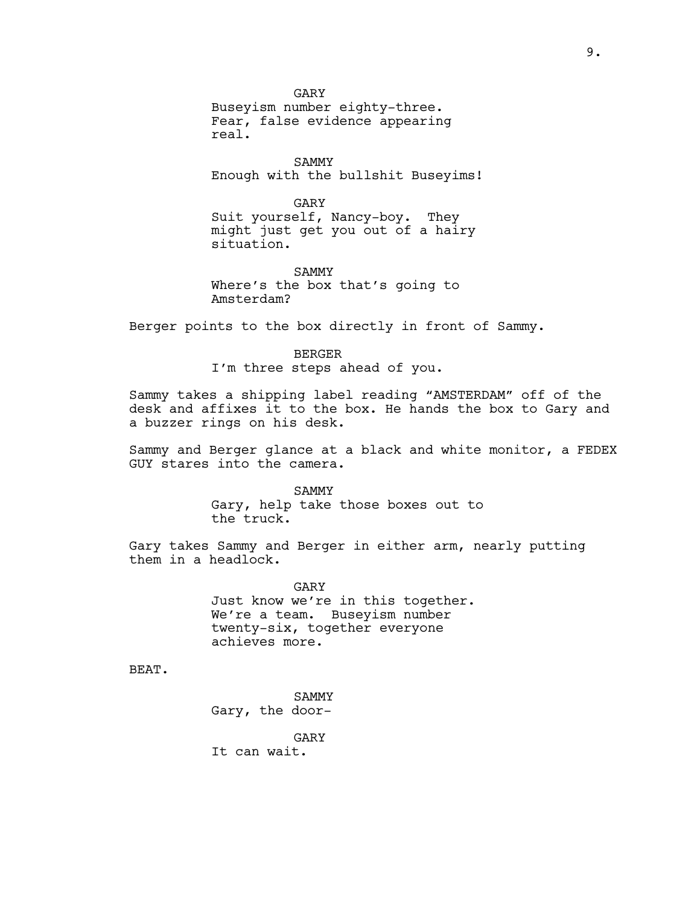GARY Buseyism number eighty-three. Fear, false evidence appearing real.

SAMMY Enough with the bullshit Buseyims!

GARY Suit yourself, Nancy-boy. They might just get you out of a hairy situation.

SAMMY Where's the box that's going to Amsterdam?

Berger points to the box directly in front of Sammy.

# BERGER

I'm three steps ahead of you.

Sammy takes a shipping label reading "AMSTERDAM" off of the desk and affixes it to the box. He hands the box to Gary and a buzzer rings on his desk.

Sammy and Berger glance at a black and white monitor, a FEDEX GUY stares into the camera.

> SAMMY Gary, help take those boxes out to the truck.

Gary takes Sammy and Berger in either arm, nearly putting them in a headlock.

> GARY Just know we're in this together. We're a team. Buseyism number twenty-six, together everyone achieves more.

BEAT.

SAMMY Gary, the door-

GARY It can wait.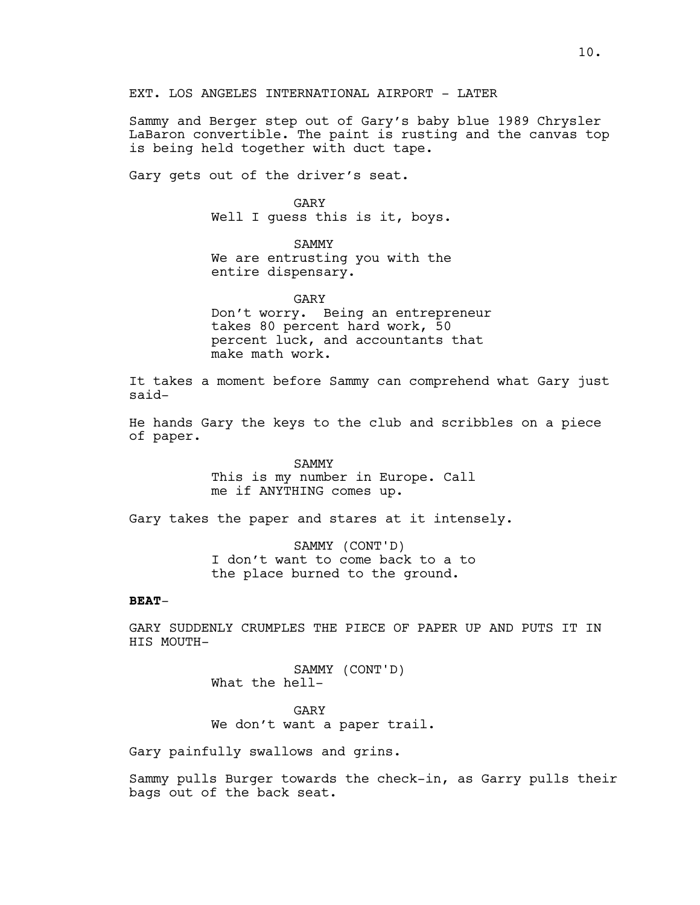EXT. LOS ANGELES INTERNATIONAL AIRPORT - LATER

Sammy and Berger step out of Gary's baby blue 1989 Chrysler LaBaron convertible. The paint is rusting and the canvas top is being held together with duct tape.

Gary gets out of the driver's seat.

# GARY

Well I guess this is it, boys.

SAMMY We are entrusting you with the entire dispensary.

GARY Don't worry. Being an entrepreneur takes 80 percent hard work, 50 percent luck, and accountants that make math work.

It takes a moment before Sammy can comprehend what Gary just said-

He hands Gary the keys to the club and scribbles on a piece of paper.

> SAMMY This is my number in Europe. Call me if ANYTHING comes up.

Gary takes the paper and stares at it intensely.

SAMMY (CONT'D) I don't want to come back to a to the place burned to the ground.

# **BEAT**-

GARY SUDDENLY CRUMPLES THE PIECE OF PAPER UP AND PUTS IT IN HIS MOUTH-

> SAMMY (CONT'D) What the hell-

GARY We don't want a paper trail.

Gary painfully swallows and grins.

Sammy pulls Burger towards the check-in, as Garry pulls their bags out of the back seat.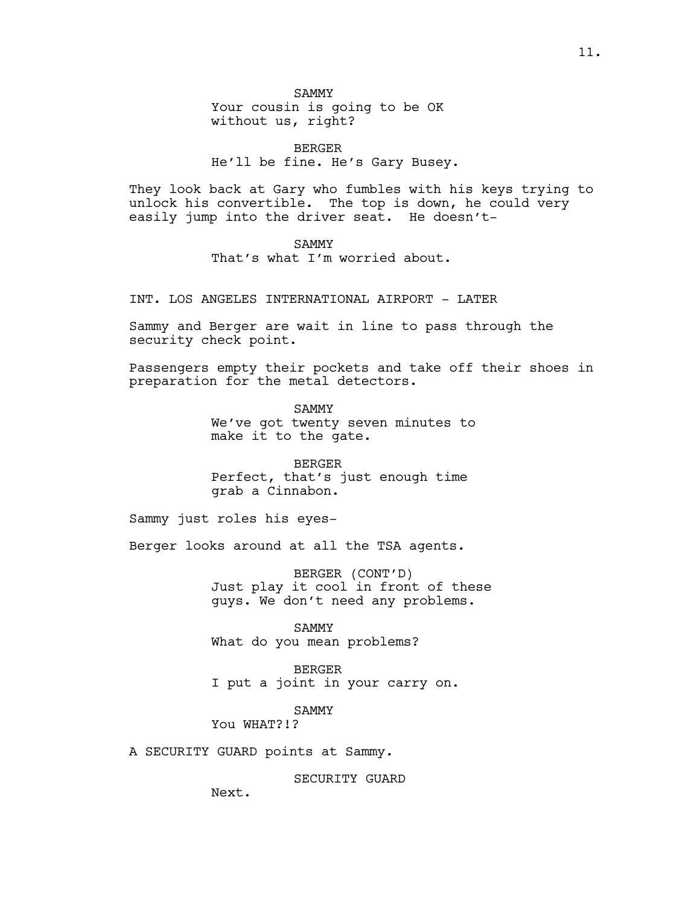Your cousin is going to be OK without us, right?

BERGER He'll be fine. He's Gary Busey.

They look back at Gary who fumbles with his keys trying to unlock his convertible. The top is down, he could very easily jump into the driver seat. He doesn't-

# SAMMY

That's what I'm worried about.

INT. LOS ANGELES INTERNATIONAL AIRPORT - LATER

Sammy and Berger are wait in line to pass through the security check point.

Passengers empty their pockets and take off their shoes in preparation for the metal detectors.

> SAMMY We've got twenty seven minutes to make it to the gate.

BERGER Perfect, that's just enough time grab a Cinnabon.

Sammy just roles his eyes-

Berger looks around at all the TSA agents.

BERGER (CONT'D) Just play it cool in front of these guys. We don't need any problems.

SAMMY What do you mean problems?

BERGER I put a joint in your carry on.

SAMMY

You WHAT?!?

A SECURITY GUARD points at Sammy.

SECURITY GUARD

Next.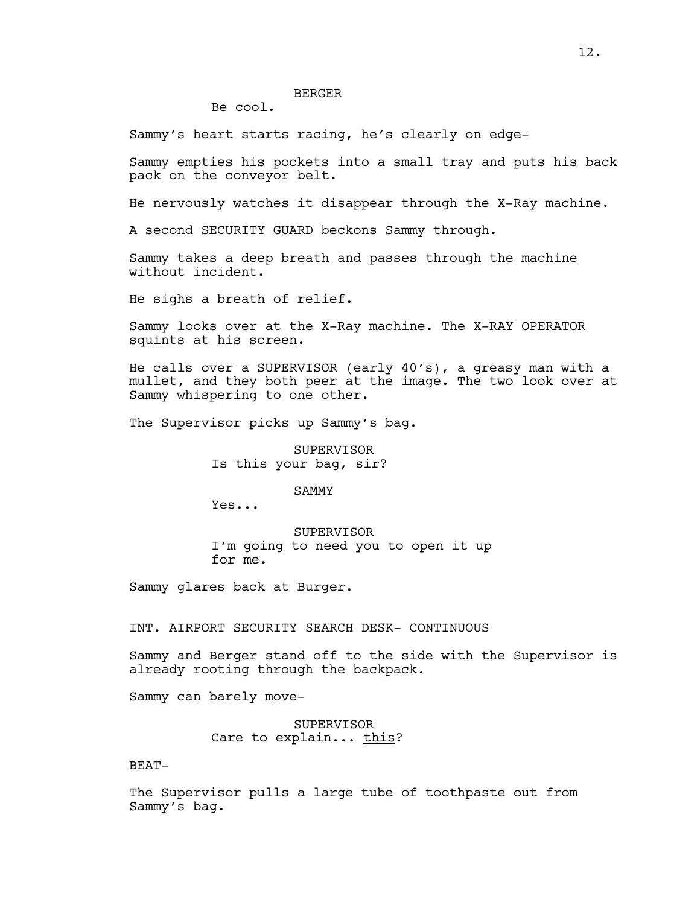Be cool.

Sammy's heart starts racing, he's clearly on edge-

Sammy empties his pockets into a small tray and puts his back pack on the conveyor belt.

He nervously watches it disappear through the X-Ray machine.

A second SECURITY GUARD beckons Sammy through.

Sammy takes a deep breath and passes through the machine without incident.

He sighs a breath of relief.

Sammy looks over at the X-Ray machine. The X-RAY OPERATOR squints at his screen.

He calls over a SUPERVISOR (early 40's), a greasy man with a mullet, and they both peer at the image. The two look over at Sammy whispering to one other.

The Supervisor picks up Sammy's bag.

SUPERVISOR Is this your bag, sir?

SAMMY

Yes...

SUPERVISOR I'm going to need you to open it up for me.

Sammy glares back at Burger.

INT. AIRPORT SECURITY SEARCH DESK- CONTINUOUS

Sammy and Berger stand off to the side with the Supervisor is already rooting through the backpack.

Sammy can barely move-

SUPERVISOR Care to explain... this?

BEAT-

The Supervisor pulls a large tube of toothpaste out from Sammy's bag.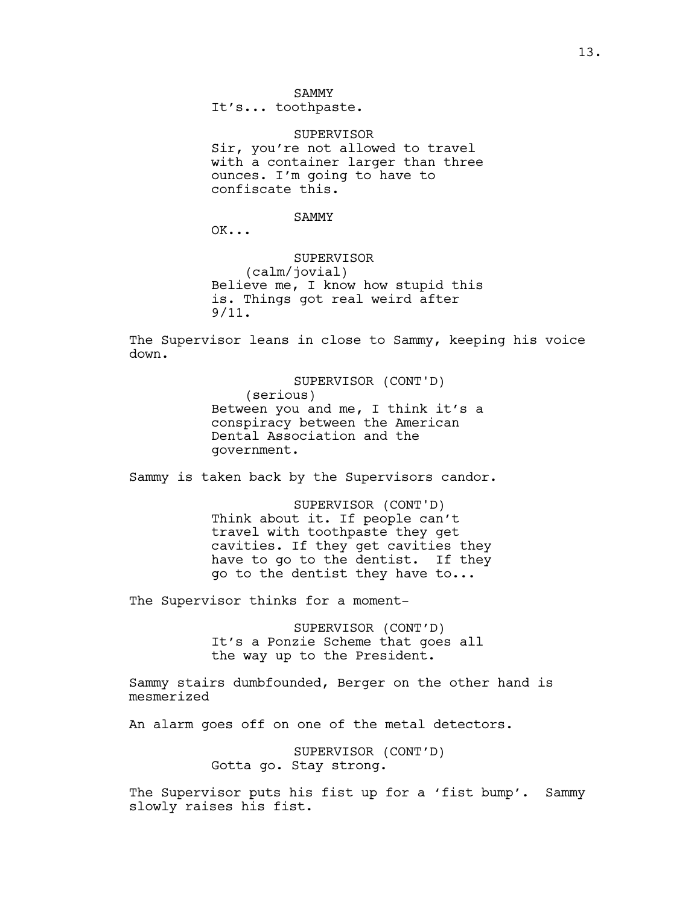It's... toothpaste.

SUPERVISOR Sir, you're not allowed to travel with a container larger than three ounces. I'm going to have to confiscate this.

#### SAMMY

OK...

SUPERVISOR (calm/jovial) Believe me, I know how stupid this is. Things got real weird after 9/11.

The Supervisor leans in close to Sammy, keeping his voice down.

> SUPERVISOR (CONT'D) (serious) Between you and me, I think it's a conspiracy between the American Dental Association and the government.

Sammy is taken back by the Supervisors candor.

SUPERVISOR (CONT'D) Think about it. If people can't travel with toothpaste they get cavities. If they get cavities they have to go to the dentist. If they go to the dentist they have to...

The Supervisor thinks for a moment-

SUPERVISOR (CONT'D) It's a Ponzie Scheme that goes all the way up to the President.

Sammy stairs dumbfounded, Berger on the other hand is mesmerized

An alarm goes off on one of the metal detectors.

SUPERVISOR (CONT'D) Gotta go. Stay strong.

The Supervisor puts his fist up for a 'fist bump'. Sammy slowly raises his fist.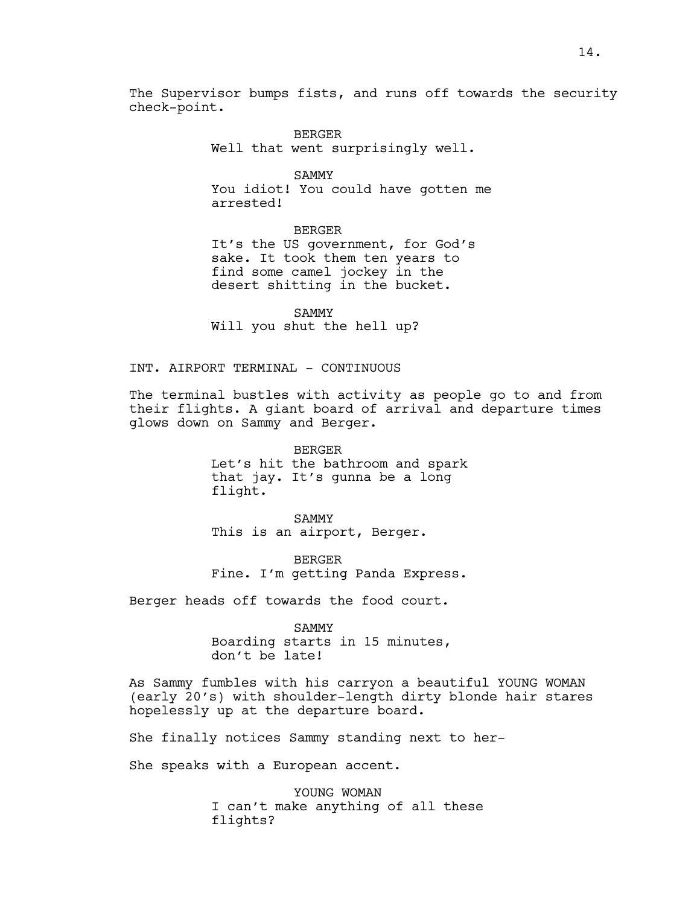```
BERGER
Well that went surprisingly well.
```
SAMMY You idiot! You could have gotten me arrested!

BERGER It's the US government, for God's sake. It took them ten years to find some camel jockey in the desert shitting in the bucket.

SAMMY Will you shut the hell up?

# INT. AIRPORT TERMINAL - CONTINUOUS

The terminal bustles with activity as people go to and from their flights. A giant board of arrival and departure times glows down on Sammy and Berger.

> BERGER Let's hit the bathroom and spark that jay. It's gunna be a long flight.

SAMMY This is an airport, Berger.

BERGER Fine. I'm getting Panda Express.

Berger heads off towards the food court.

SAMMY Boarding starts in 15 minutes, don't be late!

As Sammy fumbles with his carryon a beautiful YOUNG WOMAN (early 20's) with shoulder-length dirty blonde hair stares hopelessly up at the departure board.

She finally notices Sammy standing next to her-

She speaks with a European accent.

YOUNG WOMAN I can't make anything of all these flights?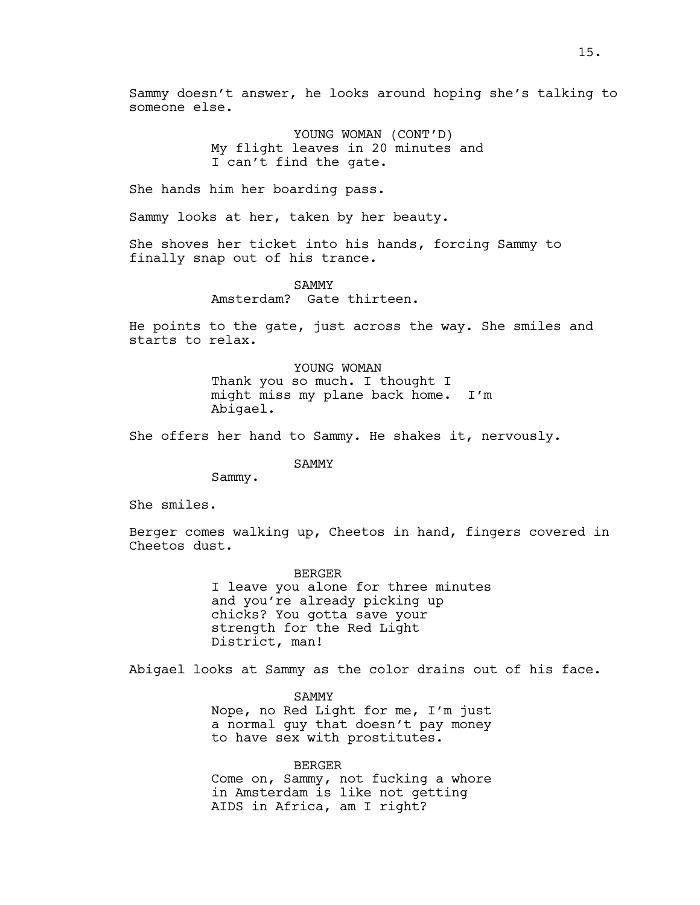YOUNG WOMAN (CONT'D) My flight leaves in 20 minutes and I can't find the gate.

She hands him her boarding pass.

Sammy looks at her, taken by her beauty.

She shoves her ticket into his hands, forcing Sammy to finally snap out of his trance.

> SAMMY Amsterdam? Gate thirteen.

He points to the gate, just across the way. She smiles and starts to relax.

> YOUNG WOMAN Thank you so much. I thought I might miss my plane back home. I'm Abigael.

She offers her hand to Sammy. He shakes it, nervously.

SAMMY

Sammy.

She smiles.

Berger comes walking up, Cheetos in hand, fingers covered in Cheetos dust.

> BERGER I leave you alone for three minutes and you're already picking up chicks? You gotta save your strength for the Red Light District, man!

Abigael looks at Sammy as the color drains out of his face.

SAMMY

Nope, no Red Light for me, I'm just a normal guy that doesn't pay money to have sex with prostitutes.

BERGER Come on, Sammy, not fucking a whore in Amsterdam is like not getting AIDS in Africa, am I right?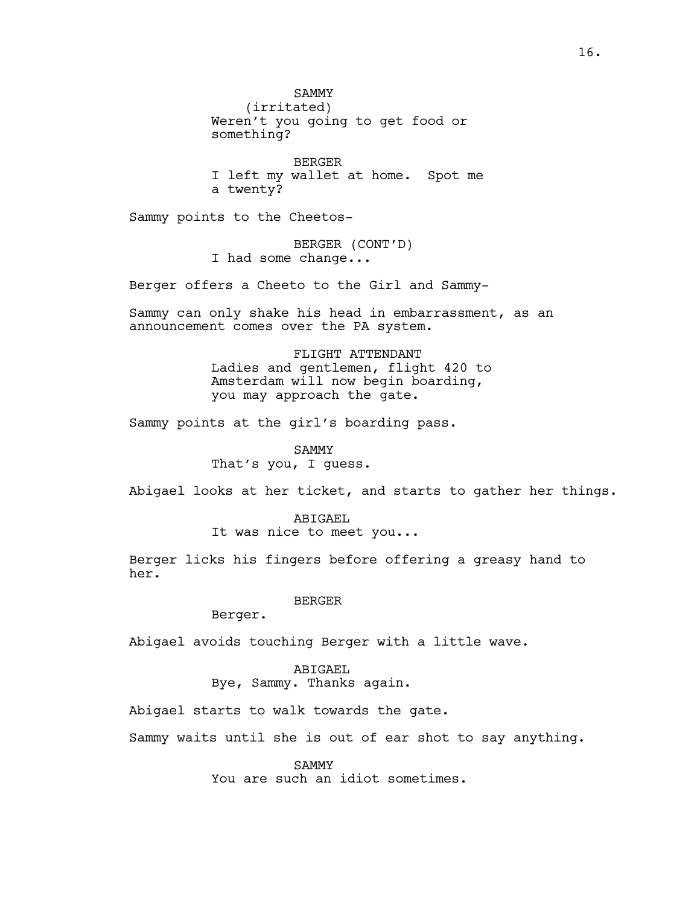SAMMY (irritated) Weren't you going to get food or something?

BERGER I left my wallet at home. Spot me a twenty?

Sammy points to the Cheetos-

BERGER (CONT'D) I had some change...

Berger offers a Cheeto to the Girl and Sammy-

Sammy can only shake his head in embarrassment, as an announcement comes over the PA system.

> FLIGHT ATTENDANT Ladies and gentlemen, flight 420 to Amsterdam will now begin boarding, you may approach the gate.

Sammy points at the girl's boarding pass.

SAMMY That's you, I guess.

Abigael looks at her ticket, and starts to gather her things.

#### ABIGAEL

It was nice to meet you...

Berger licks his fingers before offering a greasy hand to her.

## BERGER

Berger.

Abigael avoids touching Berger with a little wave.

ABIGAEL Bye, Sammy. Thanks again.

Abigael starts to walk towards the gate.

Sammy waits until she is out of ear shot to say anything.

SAMMY

You are such an idiot sometimes.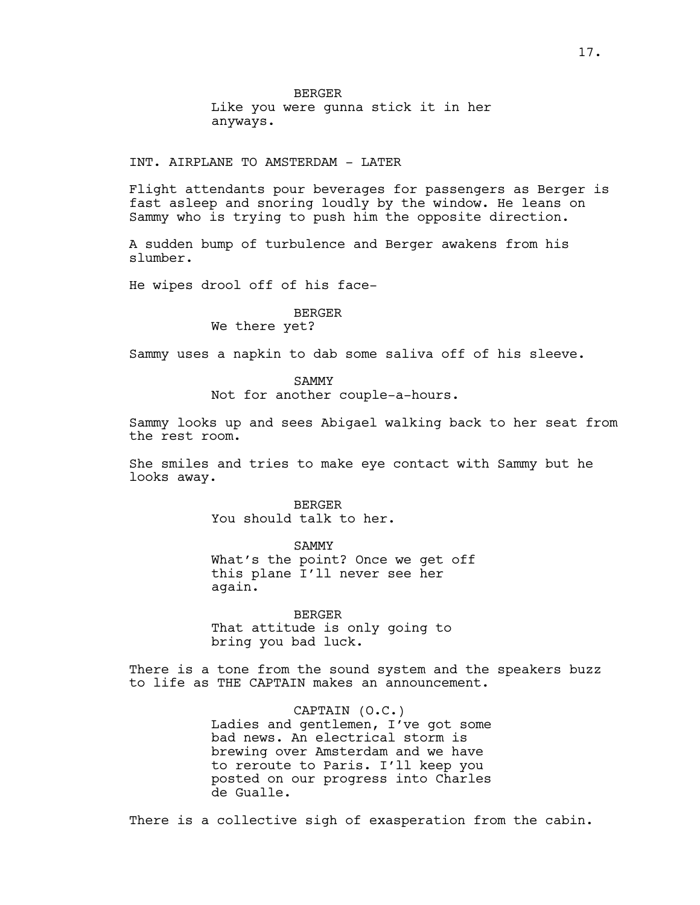Like you were gunna stick it in her anyways.

INT. AIRPLANE TO AMSTERDAM - LATER

Flight attendants pour beverages for passengers as Berger is fast asleep and snoring loudly by the window. He leans on Sammy who is trying to push him the opposite direction.

A sudden bump of turbulence and Berger awakens from his slumber.

He wipes drool off of his face-

#### BERGER

We there yet?

Sammy uses a napkin to dab some saliva off of his sleeve.

SAMMY

Not for another couple-a-hours.

Sammy looks up and sees Abigael walking back to her seat from the rest room.

She smiles and tries to make eye contact with Sammy but he looks away.

#### BERGER

You should talk to her.

SAMMY What's the point? Once we get off this plane I'll never see her again.

BERGER That attitude is only going to bring you bad luck.

There is a tone from the sound system and the speakers buzz to life as THE CAPTAIN makes an announcement.

> CAPTAIN (O.C.) Ladies and gentlemen, I've got some bad news. An electrical storm is brewing over Amsterdam and we have to reroute to Paris. I'll keep you posted on our progress into Charles de Gualle.

There is a collective sigh of exasperation from the cabin.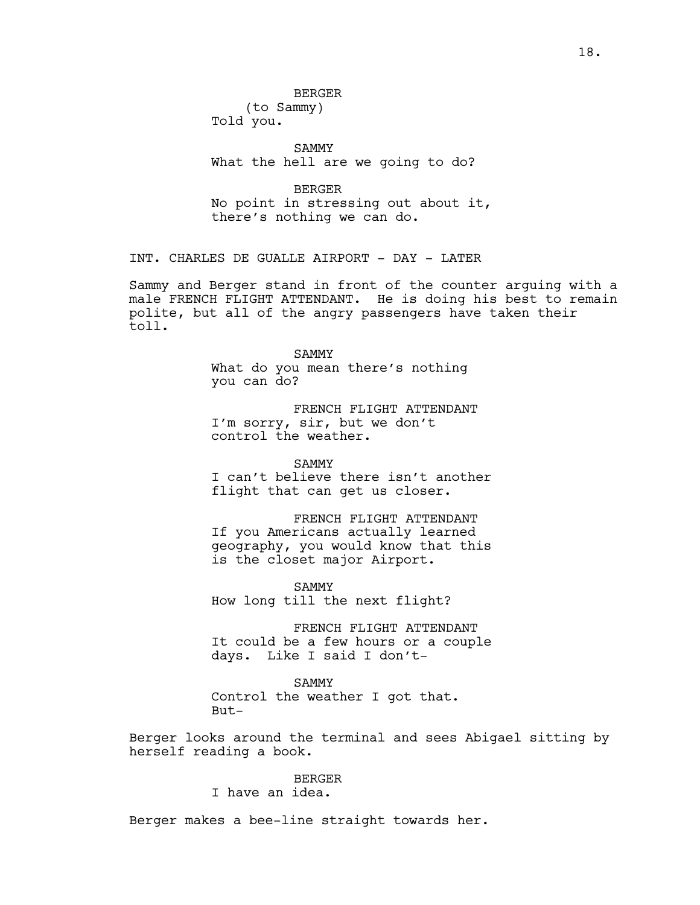BERGER

(to Sammy) Told you.

SAMMY What the hell are we going to do?

BERGER No point in stressing out about it, there's nothing we can do.

INT. CHARLES DE GUALLE AIRPORT - DAY - LATER

Sammy and Berger stand in front of the counter arguing with a male FRENCH FLIGHT ATTENDANT. He is doing his best to remain polite, but all of the angry passengers have taken their toll.

> SAMMY What do you mean there's nothing you can do?

FRENCH FLIGHT ATTENDANT I'm sorry, sir, but we don't control the weather.

SAMMY

I can't believe there isn't another flight that can get us closer.

FRENCH FLIGHT ATTENDANT If you Americans actually learned geography, you would know that this is the closet major Airport.

SAMMY How long till the next flight?

FRENCH FLIGHT ATTENDANT It could be a few hours or a couple days. Like I said I don't-

SAMMY Control the weather I got that. But-

Berger looks around the terminal and sees Abigael sitting by herself reading a book.

BERGER

I have an idea.

Berger makes a bee-line straight towards her.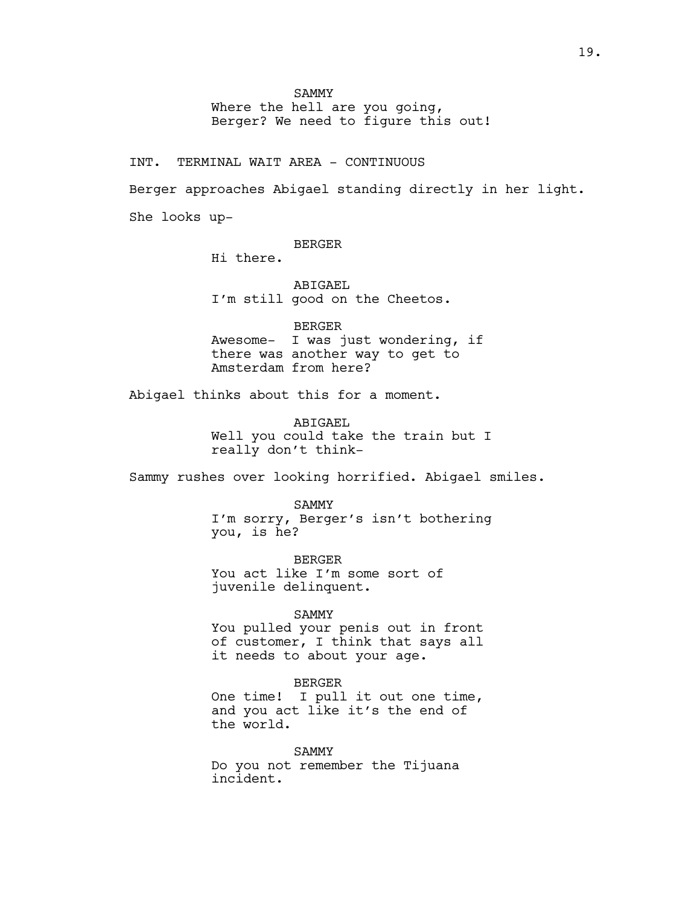Where the hell are you going, Berger? We need to figure this out!

INT. TERMINAL WAIT AREA - CONTINUOUS Berger approaches Abigael standing directly in her light. She looks up-

BERGER

Hi there.

ABIGAEL I'm still good on the Cheetos.

BERGER Awesome- I was just wondering, if there was another way to get to Amsterdam from here?

Abigael thinks about this for a moment.

ABIGAEL Well you could take the train but I really don't think-

Sammy rushes over looking horrified. Abigael smiles.

#### SAMMY

I'm sorry, Berger's isn't bothering you, is he?

BERGER You act like I'm some sort of juvenile delinquent.

## SAMMY

You pulled your penis out in front of customer, I think that says all it needs to about your age.

## BERGER

One time! I pull it out one time, and you act like it's the end of the world.

SAMMY Do you not remember the Tijuana incident.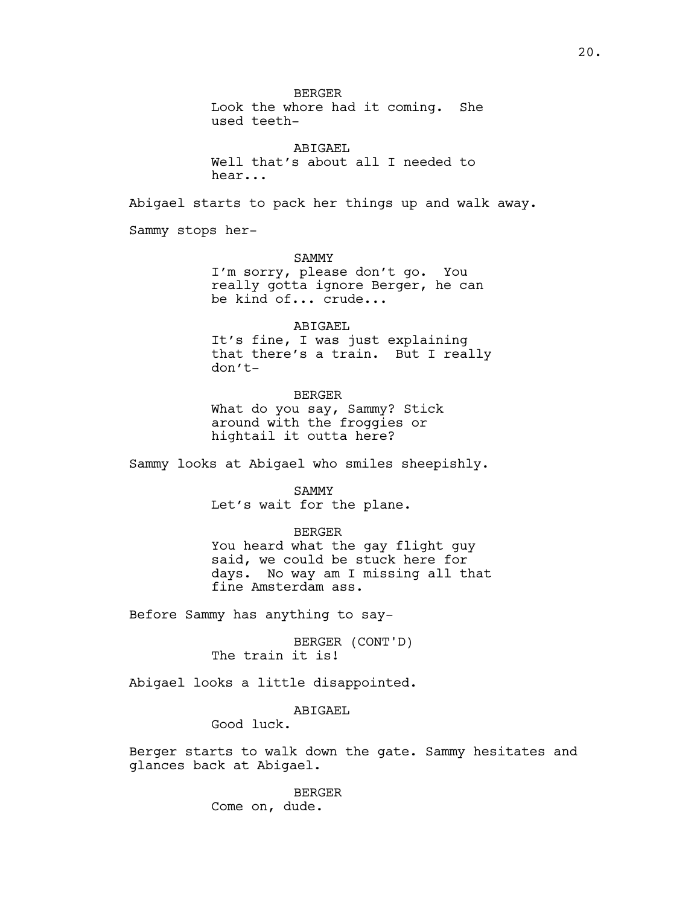BERGER

Look the whore had it coming. She used teeth-

ABIGAEL Well that's about all I needed to hear...

Abigael starts to pack her things up and walk away.

Sammy stops her-

SAMMY

I'm sorry, please don't go. You really gotta ignore Berger, he can be kind of... crude...

ABIGAEL

It's fine, I was just explaining that there's a train. But I really don't-

## BERGER

What do you say, Sammy? Stick around with the froggies or hightail it outta here?

Sammy looks at Abigael who smiles sheepishly.

SAMMY Let's wait for the plane.

BERGER

You heard what the gay flight guy said, we could be stuck here for days. No way am I missing all that fine Amsterdam ass.

Before Sammy has anything to say-

BERGER (CONT'D) The train it is!

Abigael looks a little disappointed.

# ABIGAEL

Good luck.

Berger starts to walk down the gate. Sammy hesitates and glances back at Abigael.

> BERGER Come on, dude.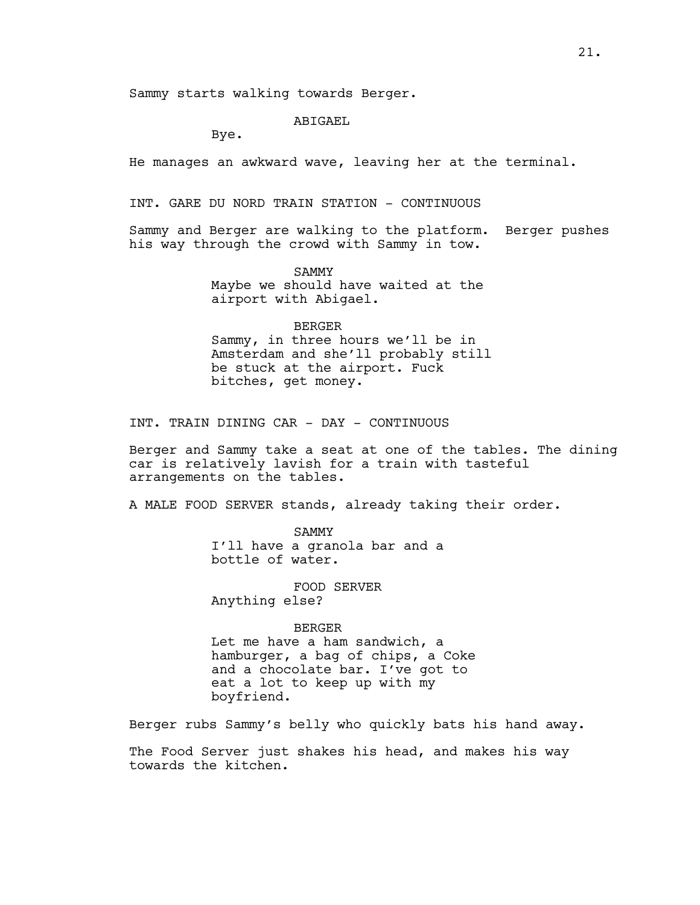Sammy starts walking towards Berger.

# ABIGAEL

Bye.

He manages an awkward wave, leaving her at the terminal.

INT. GARE DU NORD TRAIN STATION - CONTINUOUS

Sammy and Berger are walking to the platform. Berger pushes his way through the crowd with Sammy in tow.

> SAMMY Maybe we should have waited at the airport with Abigael.

BERGER Sammy, in three hours we'll be in Amsterdam and she'll probably still be stuck at the airport. Fuck bitches, get money.

INT. TRAIN DINING CAR - DAY - CONTINUOUS

Berger and Sammy take a seat at one of the tables. The dining car is relatively lavish for a train with tasteful arrangements on the tables.

A MALE FOOD SERVER stands, already taking their order.

SAMMY I'll have a granola bar and a bottle of water.

FOOD SERVER Anything else?

# BERGER

Let me have a ham sandwich, a hamburger, a bag of chips, a Coke and a chocolate bar. I've got to eat a lot to keep up with my boyfriend.

Berger rubs Sammy's belly who quickly bats his hand away.

The Food Server just shakes his head, and makes his way towards the kitchen.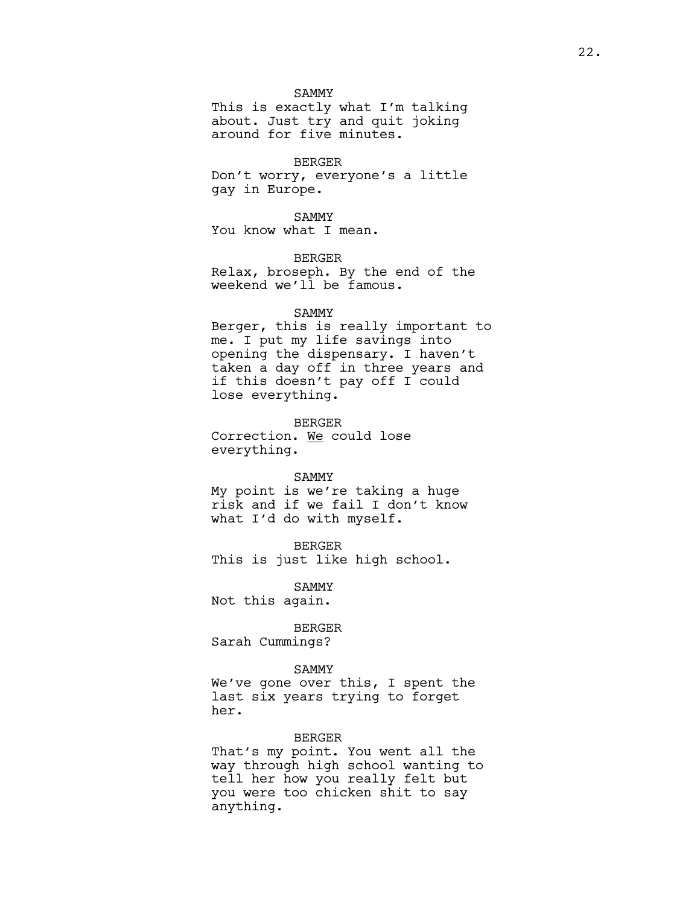## SAMMY

This is exactly what I'm talking about. Just try and quit joking around for five minutes.

## BERGER

Don't worry, everyone's a little gay in Europe.

#### SAMMY

You know what I mean.

# BERGER

Relax, broseph. By the end of the weekend we'll be famous.

#### SAMMY

Berger, this is really important to me. I put my life savings into opening the dispensary. I haven't taken a day off in three years and if this doesn't pay off I could lose everything.

BERGER Correction. We could lose everything.

#### SAMMY

My point is we're taking a huge risk and if we fail I don't know what I'd do with myself.

#### BERGER

This is just like high school.

SAMMY

Not this again.

# BERGER

Sarah Cummings?

# SAMMY

We've gone over this, I spent the last six years trying to forget her.

#### BERGER

That's my point. You went all the way through high school wanting to tell her how you really felt but you were too chicken shit to say anything.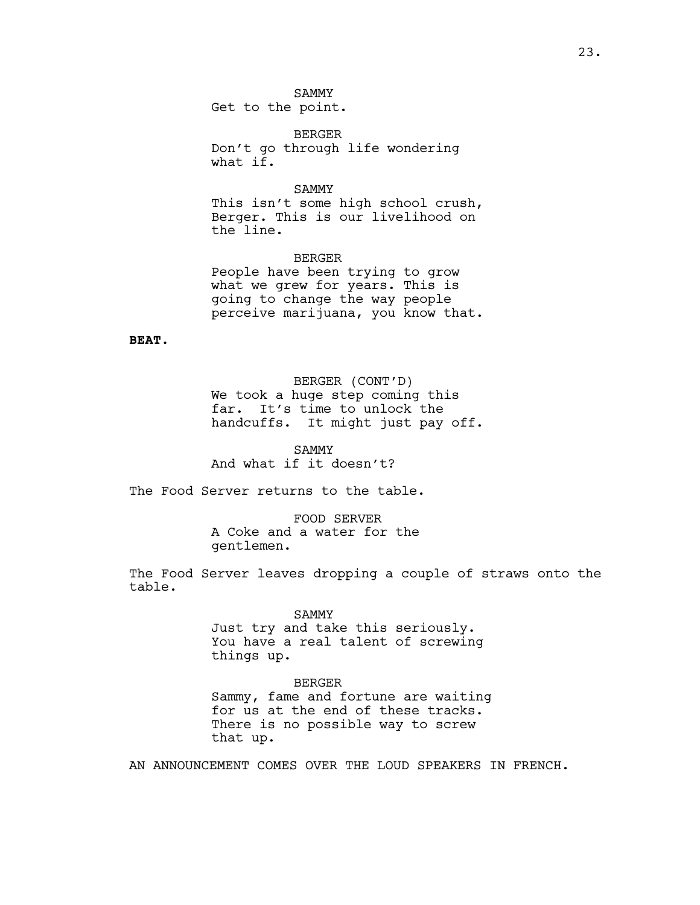Get to the point.

BERGER Don't go through life wondering what if.

SAMMY

This isn't some high school crush, Berger. This is our livelihood on the line.

BERGER People have been trying to grow what we grew for years. This is going to change the way people perceive marijuana, you know that.

**BEAT.**

BERGER (CONT'D) We took a huge step coming this far. It's time to unlock the handcuffs. It might just pay off.

SAMMY And what if it doesn't?

The Food Server returns to the table.

FOOD SERVER A Coke and a water for the gentlemen.

The Food Server leaves dropping a couple of straws onto the table.

SAMMY

Just try and take this seriously. You have a real talent of screwing things up.

BERGER Sammy, fame and fortune are waiting for us at the end of these tracks. There is no possible way to screw that up.

AN ANNOUNCEMENT COMES OVER THE LOUD SPEAKERS IN FRENCH.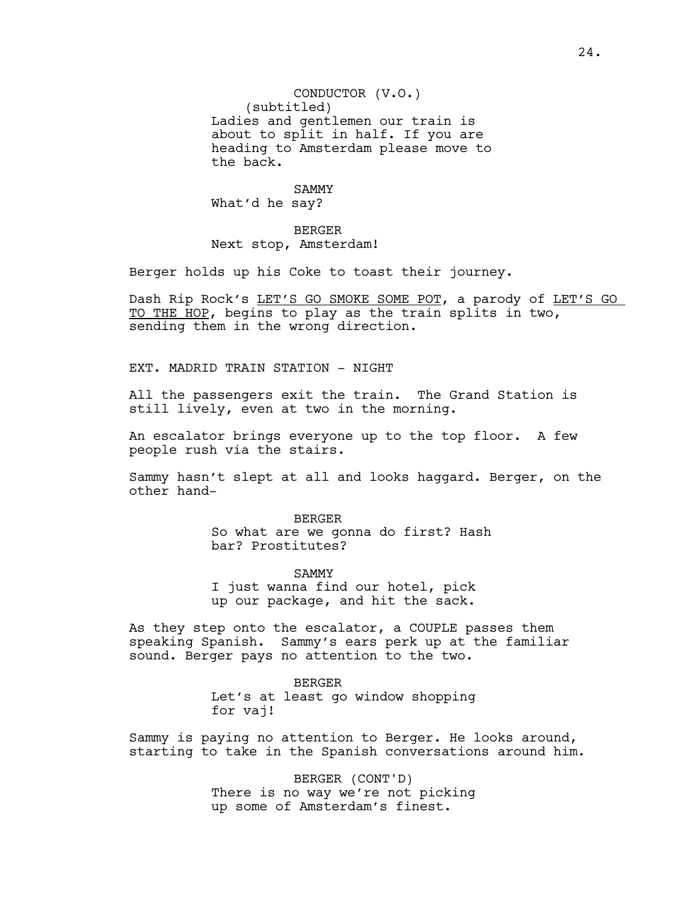CONDUCTOR (V.O.) (subtitled) Ladies and gentlemen our train is about to split in half. If you are heading to Amsterdam please move to the back.

SAMMY What'd he say?

BERGER Next stop, Amsterdam!

Berger holds up his Coke to toast their journey.

Dash Rip Rock's LET'S GO SMOKE SOME POT, a parody of LET'S GO TO THE HOP, begins to play as the train splits in two, sending them in the wrong direction.

EXT. MADRID TRAIN STATION - NIGHT

All the passengers exit the train. The Grand Station is still lively, even at two in the morning.

An escalator brings everyone up to the top floor. A few people rush via the stairs.

Sammy hasn't slept at all and looks haggard. Berger, on the other hand-

> BERGER So what are we gonna do first? Hash bar? Prostitutes?

SAMMY I just wanna find our hotel, pick up our package, and hit the sack.

As they step onto the escalator, a COUPLE passes them speaking Spanish. Sammy's ears perk up at the familiar sound. Berger pays no attention to the two.

> BERGER Let's at least go window shopping for vaj!

Sammy is paying no attention to Berger. He looks around, starting to take in the Spanish conversations around him.

> BERGER (CONT'D) There is no way we're not picking up some of Amsterdam's finest.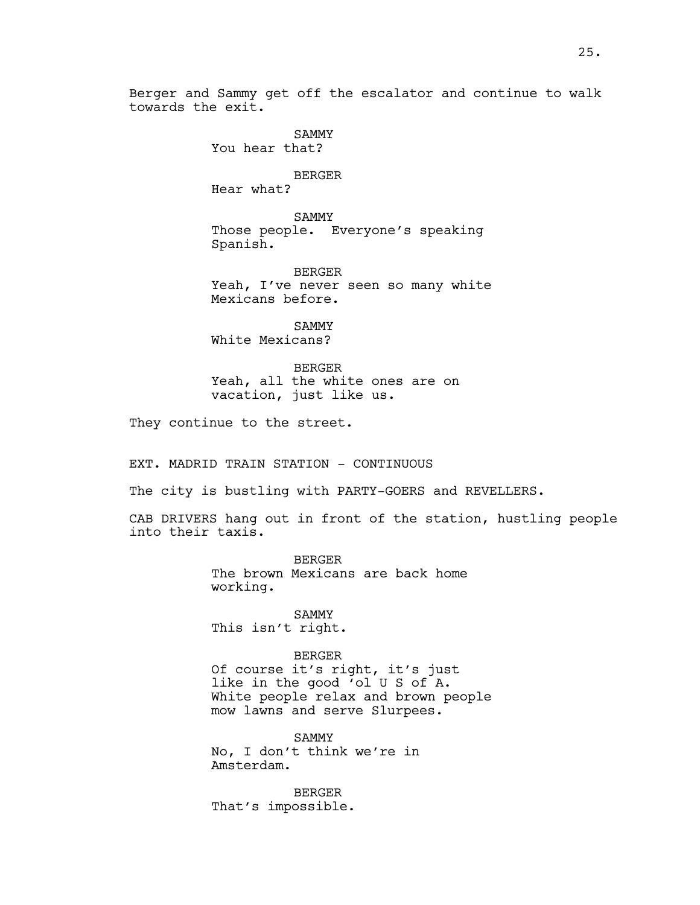Berger and Sammy get off the escalator and continue to walk towards the exit.

> SAMMY You hear that?

# BERGER

Hear what?

SAMMY Those people. Everyone's speaking Spanish.

BERGER Yeah, I've never seen so many white Mexicans before.

SAMMY White Mexicans?

BERGER Yeah, all the white ones are on vacation, just like us.

They continue to the street.

EXT. MADRID TRAIN STATION - CONTINUOUS

The city is bustling with PARTY-GOERS and REVELLERS.

CAB DRIVERS hang out in front of the station, hustling people into their taxis.

> BERGER The brown Mexicans are back home working.

SAMMY This isn't right.

## BERGER

Of course it's right, it's just like in the good 'ol U S of A. White people relax and brown people mow lawns and serve Slurpees.

SAMMY No, I don't think we're in Amsterdam.

BERGER That's impossible.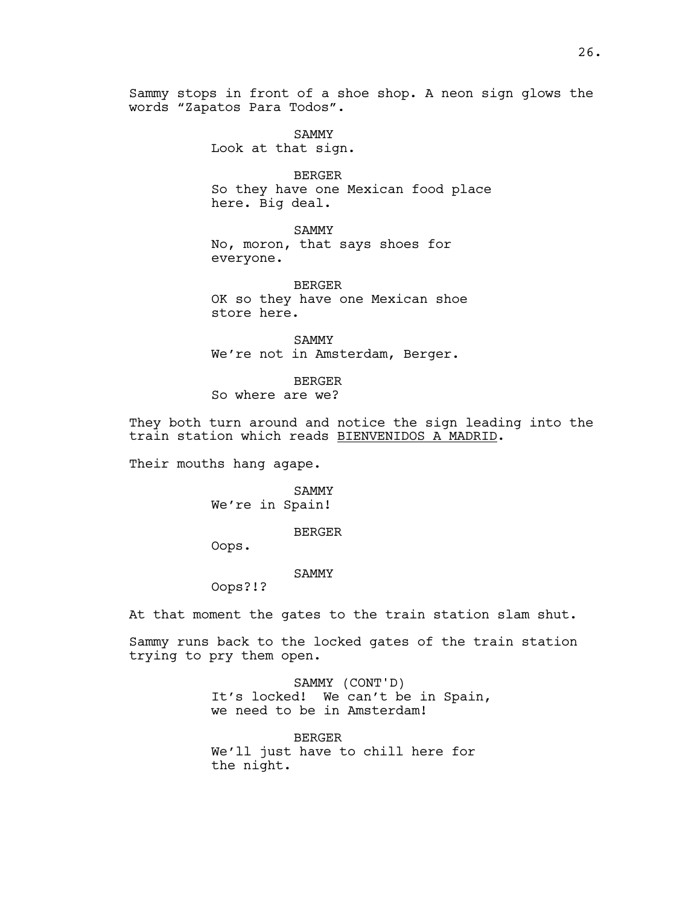Sammy stops in front of a shoe shop. A neon sign glows the words "Zapatos Para Todos".

> SAMMY Look at that sign.

BERGER So they have one Mexican food place here. Big deal.

SAMMY No, moron, that says shoes for everyone.

BERGER OK so they have one Mexican shoe store here.

SAMMY We're not in Amsterdam, Berger.

BERGER So where are we?

They both turn around and notice the sign leading into the train station which reads BIENVENIDOS A MADRID.

Their mouths hang agape.

SAMMY We're in Spain!

BERGER

Oops.

# SAMMY

Oops?!?

At that moment the gates to the train station slam shut.

Sammy runs back to the locked gates of the train station trying to pry them open.

> SAMMY (CONT'D) It's locked! We can't be in Spain, we need to be in Amsterdam!

BERGER We'll just have to chill here for the night.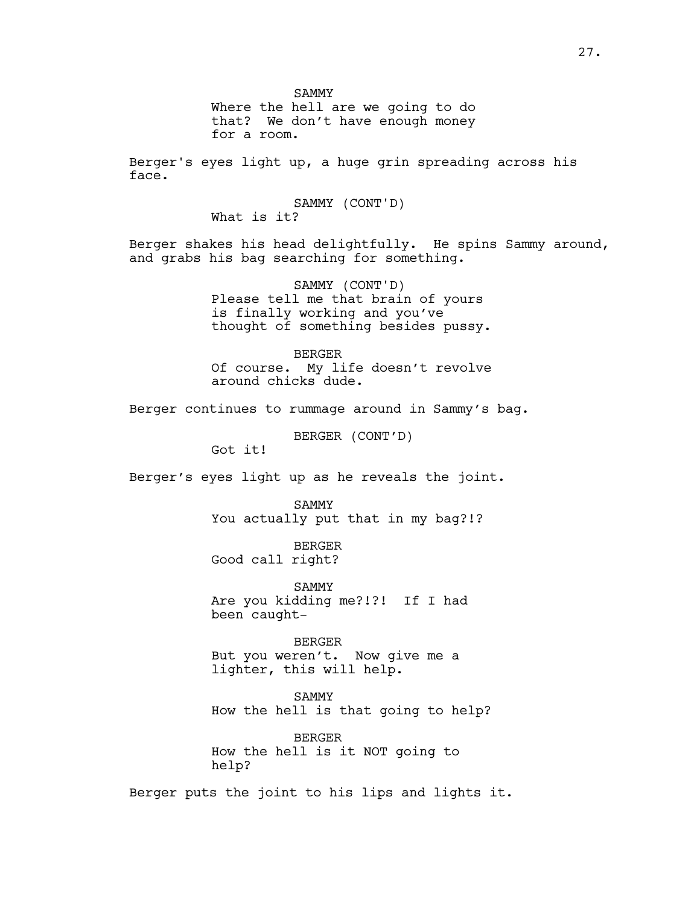SAMMY

Where the hell are we going to do that? We don't have enough money for a room.

Berger's eyes light up, a huge grin spreading across his face.

> SAMMY (CONT'D) What is it?

Berger shakes his head delightfully. He spins Sammy around, and grabs his bag searching for something.

> SAMMY (CONT'D) Please tell me that brain of yours is finally working and you've thought of something besides pussy.

BERGER Of course. My life doesn't revolve around chicks dude.

Berger continues to rummage around in Sammy's bag.

BERGER (CONT'D)

Got it!

Berger's eyes light up as he reveals the joint.

SAMMY You actually put that in my bag?!?

BERGER Good call right?

SAMMY Are you kidding me?!?! If I had been caught-

BERGER But you weren't. Now give me a lighter, this will help.

SAMMY How the hell is that going to help?

BERGER How the hell is it NOT going to help?

Berger puts the joint to his lips and lights it.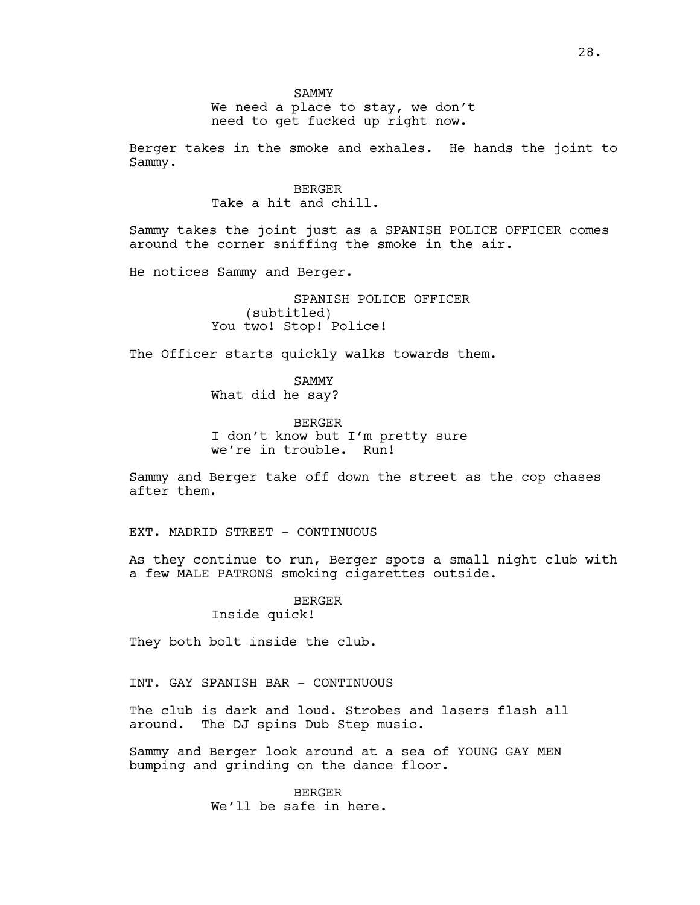SAMMY We need a place to stay, we don't need to get fucked up right now.

Berger takes in the smoke and exhales. He hands the joint to Sammy.

> BERGER Take a hit and chill.

Sammy takes the joint just as a SPANISH POLICE OFFICER comes around the corner sniffing the smoke in the air.

He notices Sammy and Berger.

SPANISH POLICE OFFICER (subtitled) You two! Stop! Police!

The Officer starts quickly walks towards them.

SAMMY What did he say?

BERGER I don't know but I'm pretty sure we're in trouble. Run!

Sammy and Berger take off down the street as the cop chases after them.

EXT. MADRID STREET - CONTINUOUS

As they continue to run, Berger spots a small night club with a few MALE PATRONS smoking cigarettes outside.

> BERGER Inside quick!

They both bolt inside the club.

INT. GAY SPANISH BAR - CONTINUOUS

The club is dark and loud. Strobes and lasers flash all around. The DJ spins Dub Step music.

Sammy and Berger look around at a sea of YOUNG GAY MEN bumping and grinding on the dance floor.

> BERGER We'll be safe in here.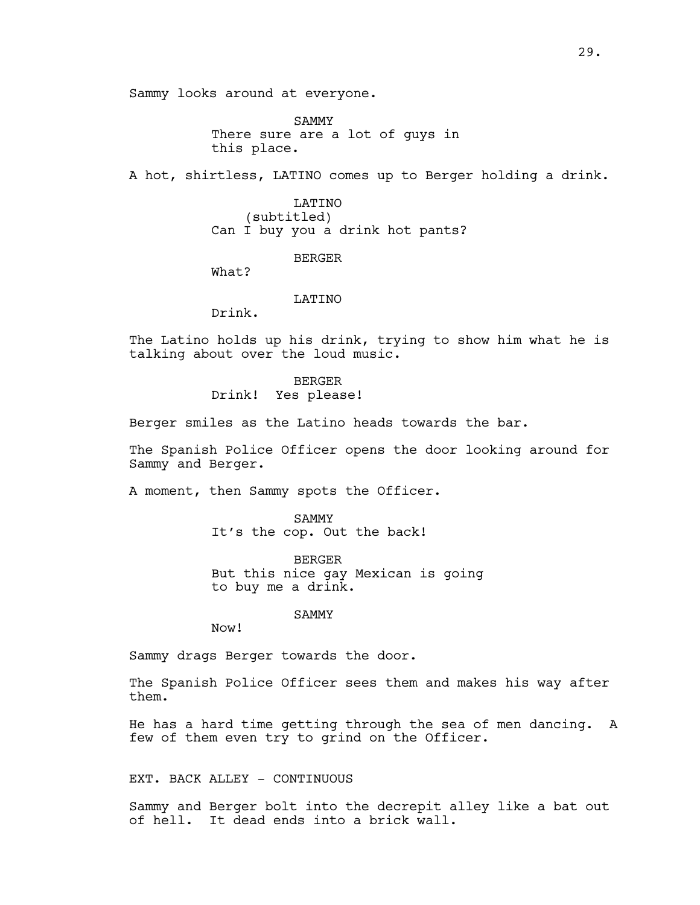Sammy looks around at everyone.

SAMMY There sure are a lot of guys in this place.

A hot, shirtless, LATINO comes up to Berger holding a drink.

LATINO (subtitled) Can I buy you a drink hot pants?

## BERGER

What?

# LATINO

Drink.

The Latino holds up his drink, trying to show him what he is talking about over the loud music.

# BERGER Drink! Yes please!

Berger smiles as the Latino heads towards the bar.

The Spanish Police Officer opens the door looking around for Sammy and Berger.

A moment, then Sammy spots the Officer.

SAMMY It's the cop. Out the back!

BERGER But this nice gay Mexican is going to buy me a drink.

SAMMY

Now!

Sammy drags Berger towards the door.

The Spanish Police Officer sees them and makes his way after them.

He has a hard time getting through the sea of men dancing. A few of them even try to grind on the Officer.

EXT. BACK ALLEY - CONTINUOUS

Sammy and Berger bolt into the decrepit alley like a bat out of hell. It dead ends into a brick wall.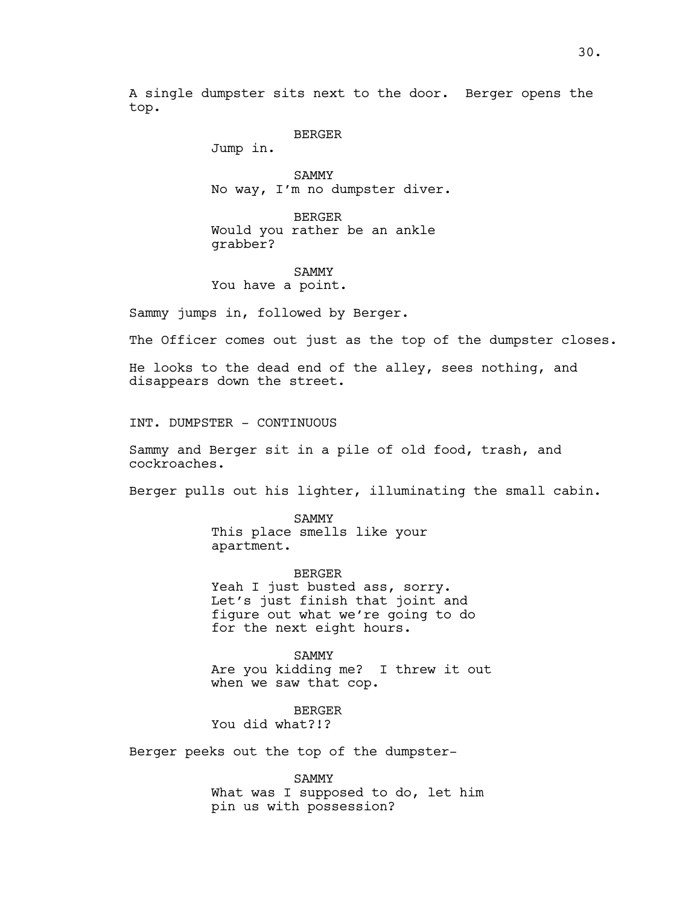A single dumpster sits next to the door. Berger opens the top.

#### BERGER

Jump in.

SAMMY No way, I'm no dumpster diver.

BERGER Would you rather be an ankle grabber?

SAMMY You have a point.

Sammy jumps in, followed by Berger.

The Officer comes out just as the top of the dumpster closes.

He looks to the dead end of the alley, sees nothing, and disappears down the street.

INT. DUMPSTER - CONTINUOUS

Sammy and Berger sit in a pile of old food, trash, and cockroaches.

Berger pulls out his lighter, illuminating the small cabin.

SAMMY This place smells like your apartment.

BERGER Yeah I just busted ass, sorry. Let's just finish that joint and figure out what we're going to do for the next eight hours.

SAMMY Are you kidding me? I threw it out when we saw that cop.

BERGER You did what?!?

Berger peeks out the top of the dumpster-

SAMMY What was I supposed to do, let him pin us with possession?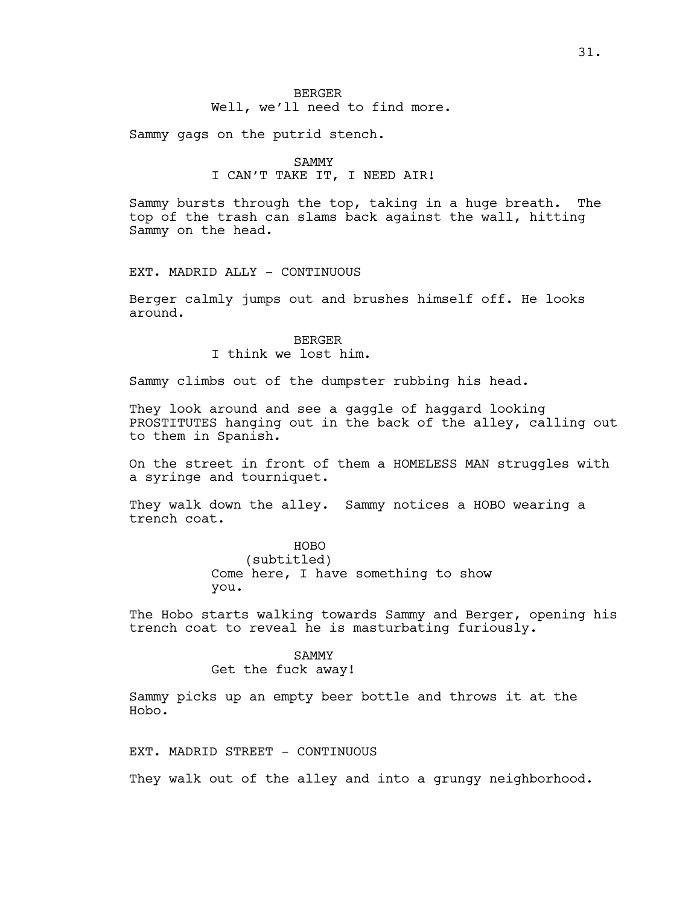Well, we'll need to find more.

Sammy gags on the putrid stench.

# SAMMY I CAN'T TAKE IT, I NEED AIR!

Sammy bursts through the top, taking in a huge breath. The top of the trash can slams back against the wall, hitting Sammy on the head.

# EXT. MADRID ALLY - CONTINUOUS

Berger calmly jumps out and brushes himself off. He looks around.

> BERGER I think we lost him.

Sammy climbs out of the dumpster rubbing his head.

They look around and see a gaggle of haggard looking PROSTITUTES hanging out in the back of the alley, calling out to them in Spanish.

On the street in front of them a HOMELESS MAN struggles with a syringe and tourniquet.

They walk down the alley. Sammy notices a HOBO wearing a trench coat.

HOBO

(subtitled) Come here, I have something to show you.

The Hobo starts walking towards Sammy and Berger, opening his trench coat to reveal he is masturbating furiously.

# SAMMY

Get the fuck away!

Sammy picks up an empty beer bottle and throws it at the Hobo.

EXT. MADRID STREET - CONTINUOUS

They walk out of the alley and into a grungy neighborhood.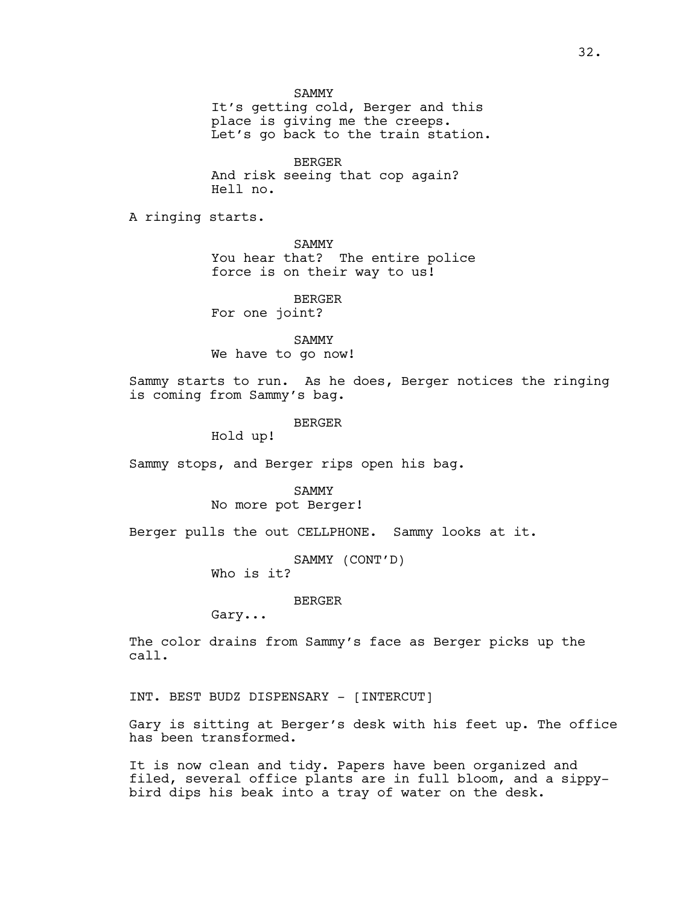SAMMY

It's getting cold, Berger and this place is giving me the creeps. Let's go back to the train station.

BERGER And risk seeing that cop again? Hell no.

A ringing starts.

SAMMY

You hear that? The entire police force is on their way to us!

BERGER

For one joint?

SAMMY We have to go now!

Sammy starts to run. As he does, Berger notices the ringing is coming from Sammy's bag.

BERGER

Hold up!

Sammy stops, and Berger rips open his bag.

SAMMY No more pot Berger!

Berger pulls the out CELLPHONE. Sammy looks at it.

SAMMY (CONT'D)

Who is it?

BERGER

Gary...

The color drains from Sammy's face as Berger picks up the call.

INT. BEST BUDZ DISPENSARY - [INTERCUT]

Gary is sitting at Berger's desk with his feet up. The office has been transformed.

It is now clean and tidy. Papers have been organized and filed, several office plants are in full bloom, and a sippybird dips his beak into a tray of water on the desk.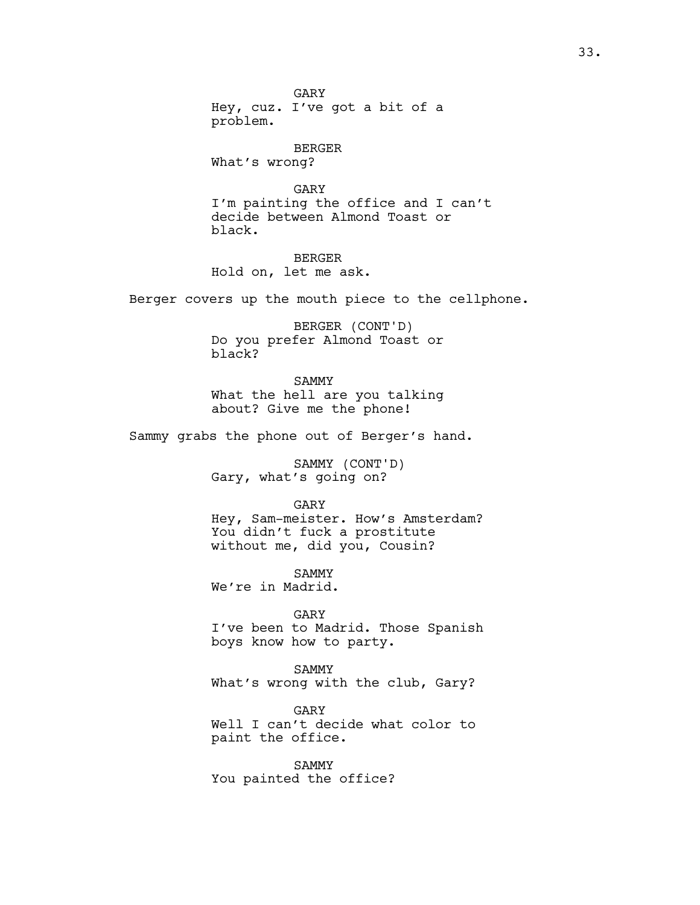Hey, cuz. I've got a bit of a problem.

# BERGER

What's wrong?

GARY

I'm painting the office and I can't decide between Almond Toast or black.

BERGER Hold on, let me ask.

Berger covers up the mouth piece to the cellphone.

BERGER (CONT'D) Do you prefer Almond Toast or black?

SAMMY What the hell are you talking about? Give me the phone!

Sammy grabs the phone out of Berger's hand.

SAMMY (CONT'D) Gary, what's going on?

# GARY

Hey, Sam-meister. How's Amsterdam? You didn't fuck a prostitute without me, did you, Cousin?

SAMMY

We're in Madrid.

# GARY

I've been to Madrid. Those Spanish boys know how to party.

## SAMMY

What's wrong with the club, Gary?

## GARY

Well I can't decide what color to paint the office.

## SAMMY

You painted the office?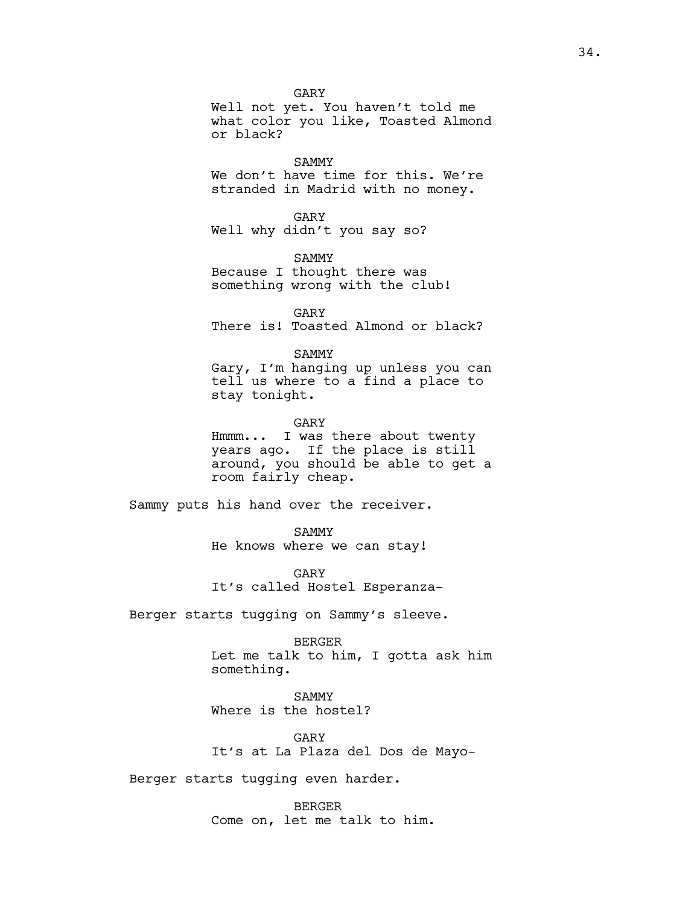GARY Well not yet. You haven't told me what color you like, Toasted Almond or black?

SAMMY We don't have time for this. We're

stranded in Madrid with no money.

GARY Well why didn't you say so?

SAMMY Because I thought there was something wrong with the club!

GARY There is! Toasted Almond or black?

SAMMY

Gary, I'm hanging up unless you can tell us where to a find a place to stay tonight.

GARY Hmmm... I was there about twenty years ago. If the place is still around, you should be able to get a room fairly cheap.

Sammy puts his hand over the receiver.

SAMMY He knows where we can stay!

GARY It's called Hostel Esperanza-

Berger starts tugging on Sammy's sleeve.

BERGER Let me talk to him, I gotta ask him something.

SAMMY Where is the hostel?

GARY It's at La Plaza del Dos de Mayo-

Berger starts tugging even harder.

BERGER Come on, let me talk to him.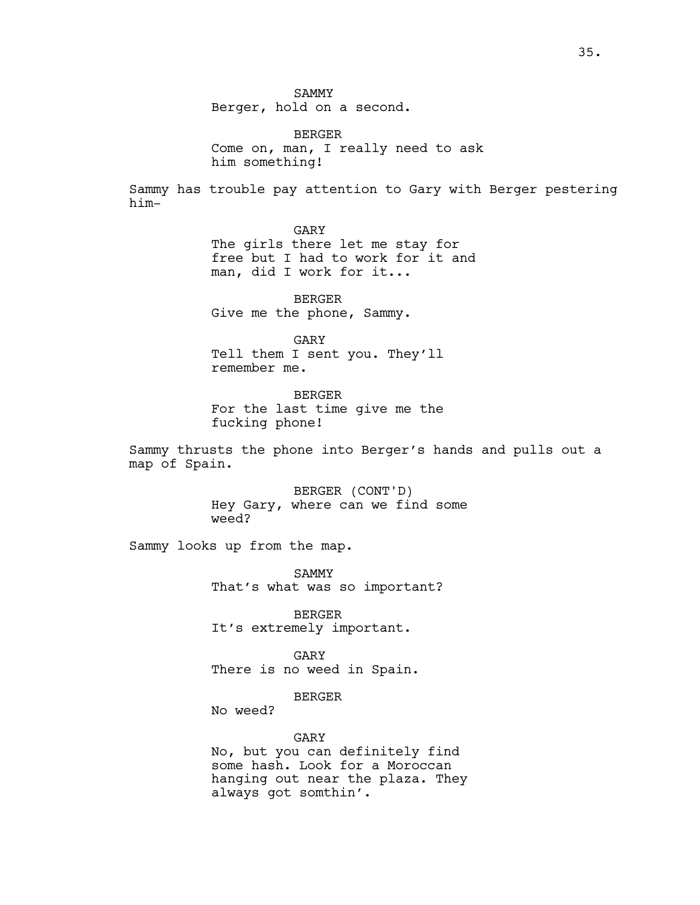SAMMY

Berger, hold on a second.

BERGER Come on, man, I really need to ask him something!

Sammy has trouble pay attention to Gary with Berger pestering him-

> GARY The girls there let me stay for free but I had to work for it and man, did I work for it...

BERGER Give me the phone, Sammy.

GARY Tell them I sent you. They'll remember me.

BERGER For the last time give me the fucking phone!

Sammy thrusts the phone into Berger's hands and pulls out a map of Spain.

> BERGER (CONT'D) Hey Gary, where can we find some weed?

Sammy looks up from the map.

SAMMY That's what was so important?

BERGER It's extremely important.

GARY There is no weed in Spain.

BERGER

No weed?

#### GARY

No, but you can definitely find some hash. Look for a Moroccan hanging out near the plaza. They always got somthin'.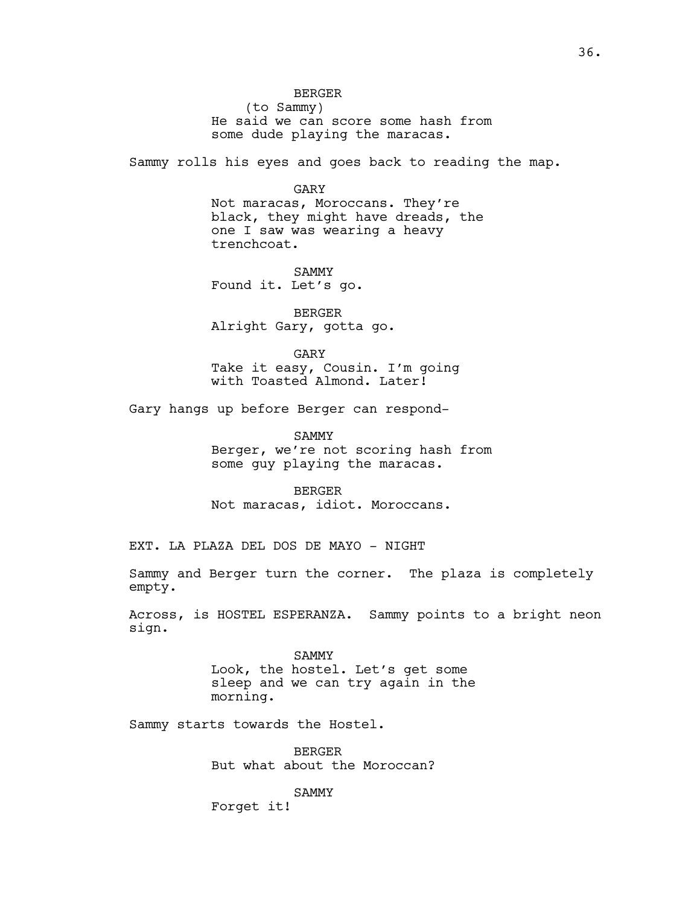(to Sammy) He said we can score some hash from some dude playing the maracas.

Sammy rolls his eyes and goes back to reading the map.

GARY

Not maracas, Moroccans. They're black, they might have dreads, the one I saw was wearing a heavy trenchcoat.

SAMMY Found it. Let's go.

BERGER Alright Gary, gotta go.

GARY

Take it easy, Cousin. I'm going with Toasted Almond. Later!

Gary hangs up before Berger can respond-

SAMMY Berger, we're not scoring hash from some guy playing the maracas.

BERGER Not maracas, idiot. Moroccans.

EXT. LA PLAZA DEL DOS DE MAYO - NIGHT

Sammy and Berger turn the corner. The plaza is completely empty.

Across, is HOSTEL ESPERANZA. Sammy points to a bright neon sign.

> SAMMY Look, the hostel. Let's get some sleep and we can try again in the morning.

Sammy starts towards the Hostel.

BERGER But what about the Moroccan?

SAMMY Forget it!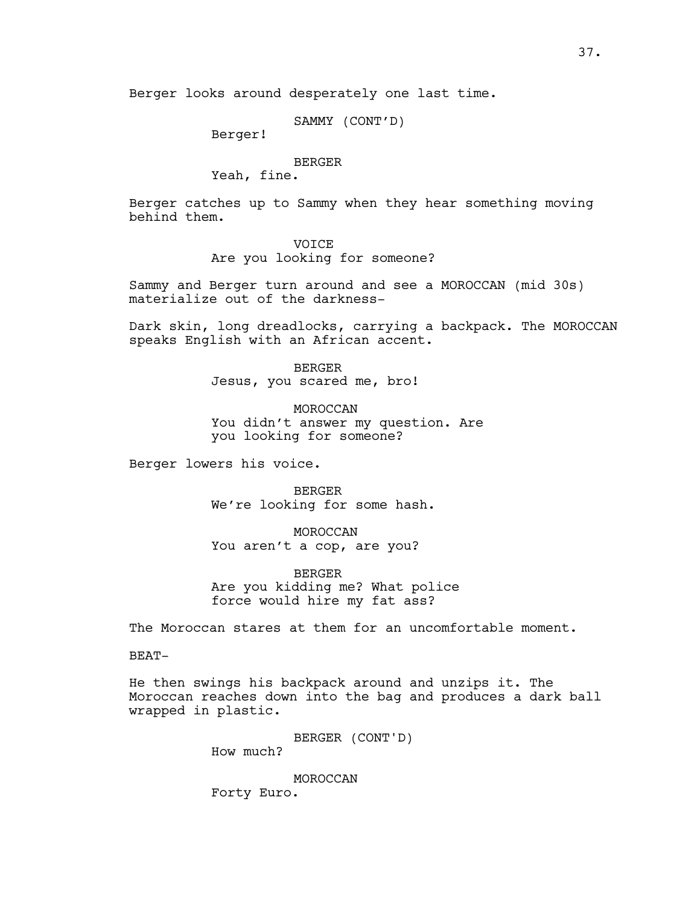Berger looks around desperately one last time.

SAMMY (CONT'D)

Berger!

## BERGER

Yeah, fine.

Berger catches up to Sammy when they hear something moving behind them.

# VOICE

Are you looking for someone?

Sammy and Berger turn around and see a MOROCCAN (mid 30s) materialize out of the darkness-

Dark skin, long dreadlocks, carrying a backpack. The MOROCCAN speaks English with an African accent.

> BERGER Jesus, you scared me, bro!

MOROCCAN You didn't answer my question. Are you looking for someone?

Berger lowers his voice.

BERGER We're looking for some hash.

MOROCCAN You aren't a cop, are you?

BERGER Are you kidding me? What police force would hire my fat ass?

The Moroccan stares at them for an uncomfortable moment.

BEAT-

He then swings his backpack around and unzips it. The Moroccan reaches down into the bag and produces a dark ball wrapped in plastic.

> BERGER (CONT'D) How much?

MOROCCAN Forty Euro.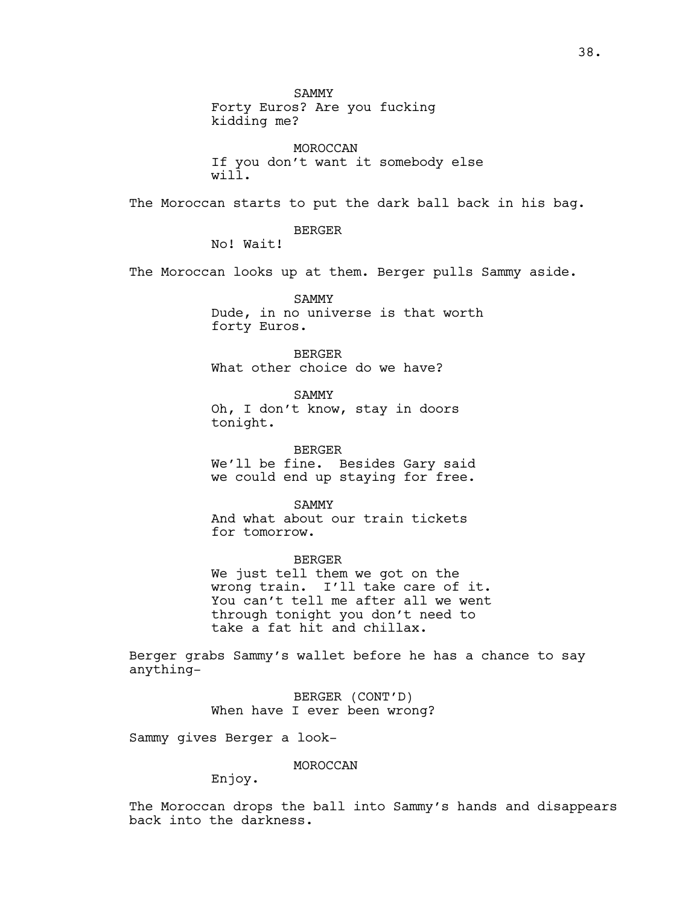Forty Euros? Are you fucking kidding me?

MOROCCAN If you don't want it somebody else will.

The Moroccan starts to put the dark ball back in his bag.

#### BERGER

No! Wait!

The Moroccan looks up at them. Berger pulls Sammy aside.

SAMMY Dude, in no universe is that worth forty Euros.

BERGER What other choice do we have?

SAMMY Oh, I don't know, stay in doors tonight.

BERGER We'll be fine. Besides Gary said we could end up staying for free.

SAMMY And what about our train tickets for tomorrow.

BERGER We just tell them we got on the wrong train. I'll take care of it. You can't tell me after all we went through tonight you don't need to take a fat hit and chillax.

Berger grabs Sammy's wallet before he has a chance to say anything-

> BERGER (CONT'D) When have I ever been wrong?

Sammy gives Berger a look-

MOROCCAN

Enjoy.

The Moroccan drops the ball into Sammy's hands and disappears back into the darkness.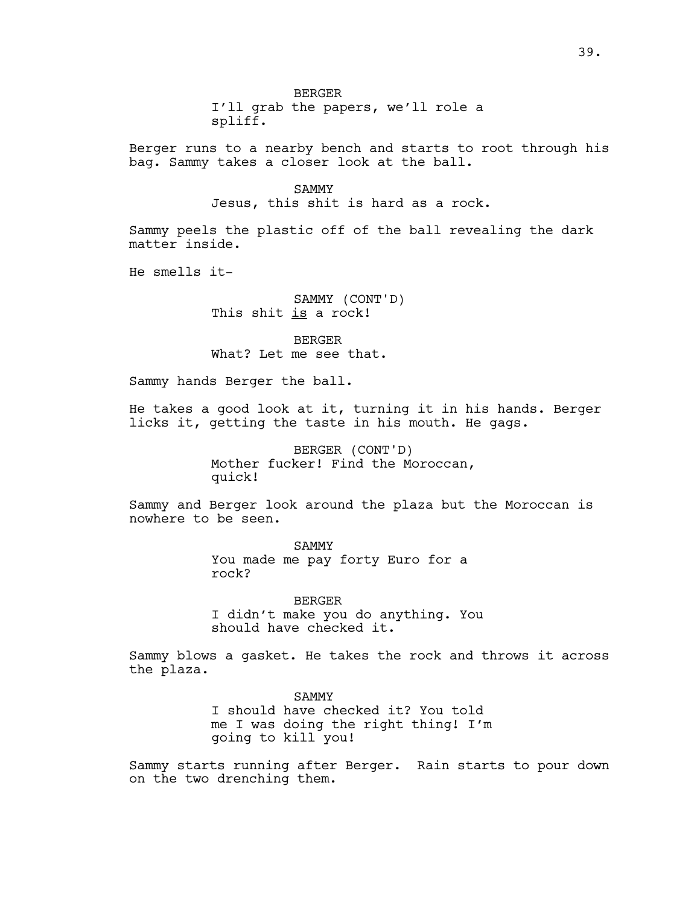I'll grab the papers, we'll role a spliff.

Berger runs to a nearby bench and starts to root through his bag. Sammy takes a closer look at the ball.

> SAMMY Jesus, this shit is hard as a rock.

Sammy peels the plastic off of the ball revealing the dark matter inside.

He smells it-

SAMMY (CONT'D) This shit is a rock!

BERGER What? Let me see that.

Sammy hands Berger the ball.

He takes a good look at it, turning it in his hands. Berger licks it, getting the taste in his mouth. He gags.

> BERGER (CONT'D) Mother fucker! Find the Moroccan, quick!

Sammy and Berger look around the plaza but the Moroccan is nowhere to be seen.

> SAMMY You made me pay forty Euro for a rock?

BERGER I didn't make you do anything. You should have checked it.

Sammy blows a gasket. He takes the rock and throws it across the plaza.

SAMMY

I should have checked it? You told me I was doing the right thing! I'm going to kill you!

Sammy starts running after Berger. Rain starts to pour down on the two drenching them.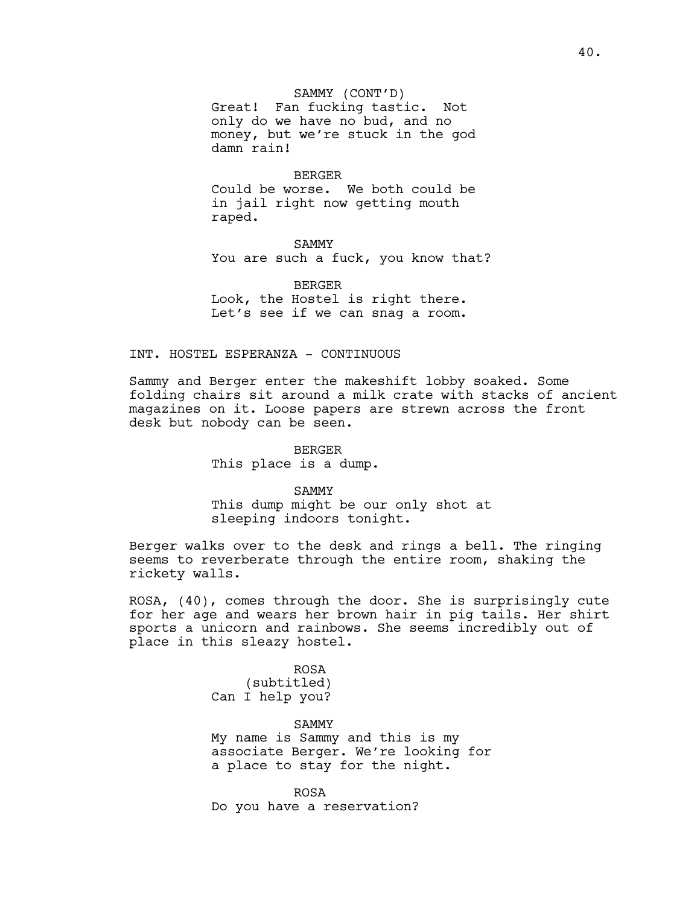## SAMMY (CONT'D)

Great! Fan fucking tastic. Not only do we have no bud, and no money, but we're stuck in the god damn rain!

### BERGER

Could be worse. We both could be in jail right now getting mouth raped.

## SAMMY

You are such a fuck, you know that?

BERGER Look, the Hostel is right there. Let's see if we can snag a room.

# INT. HOSTEL ESPERANZA - CONTINUOUS

Sammy and Berger enter the makeshift lobby soaked. Some folding chairs sit around a milk crate with stacks of ancient magazines on it. Loose papers are strewn across the front desk but nobody can be seen.

> BERGER This place is a dump.

#### SAMMY

This dump might be our only shot at sleeping indoors tonight.

Berger walks over to the desk and rings a bell. The ringing seems to reverberate through the entire room, shaking the rickety walls.

ROSA, (40), comes through the door. She is surprisingly cute for her age and wears her brown hair in pig tails. Her shirt sports a unicorn and rainbows. She seems incredibly out of place in this sleazy hostel.

> ROSA (subtitled) Can I help you?

SAMMY My name is Sammy and this is my associate Berger. We're looking for a place to stay for the night.

ROSA Do you have a reservation?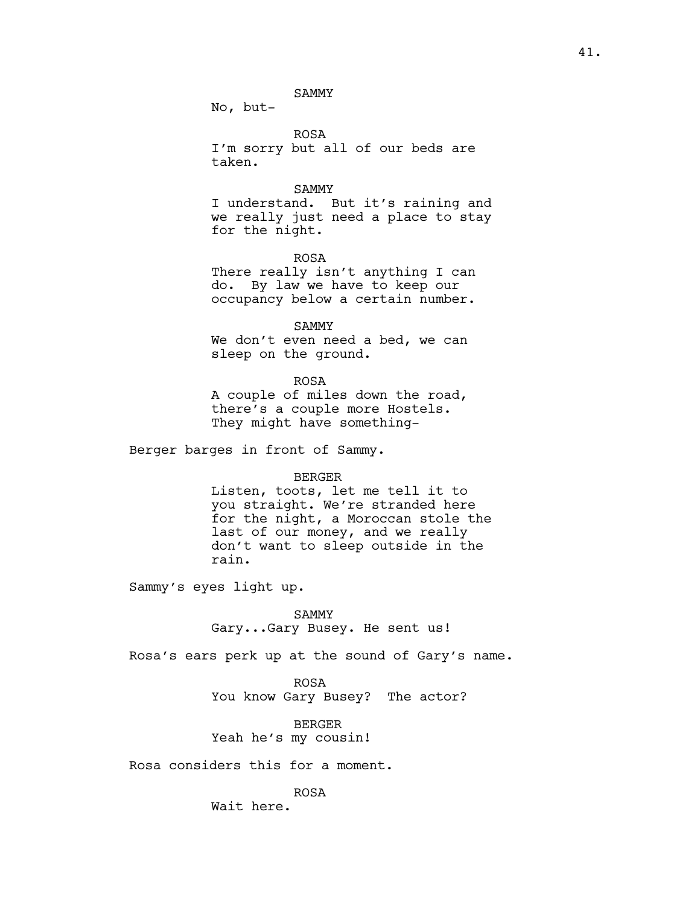No, but-

ROSA I'm sorry but all of our beds are taken.

#### SAMMY

I understand. But it's raining and we really just need a place to stay for the night.

ROSA There really isn't anything I can do. By law we have to keep our occupancy below a certain number.

SAMMY We don't even need a bed, we can sleep on the ground.

ROSA A couple of miles down the road, there's a couple more Hostels. They might have something-

Berger barges in front of Sammy.

#### BERGER

Listen, toots, let me tell it to you straight. We're stranded here for the night, a Moroccan stole the last of our money, and we really don't want to sleep outside in the rain.

Sammy's eyes light up.

SAMMY

Gary...Gary Busey. He sent us!

Rosa's ears perk up at the sound of Gary's name.

ROSA You know Gary Busey? The actor?

BERGER Yeah he's my cousin!

Rosa considers this for a moment.

ROSA

Wait here.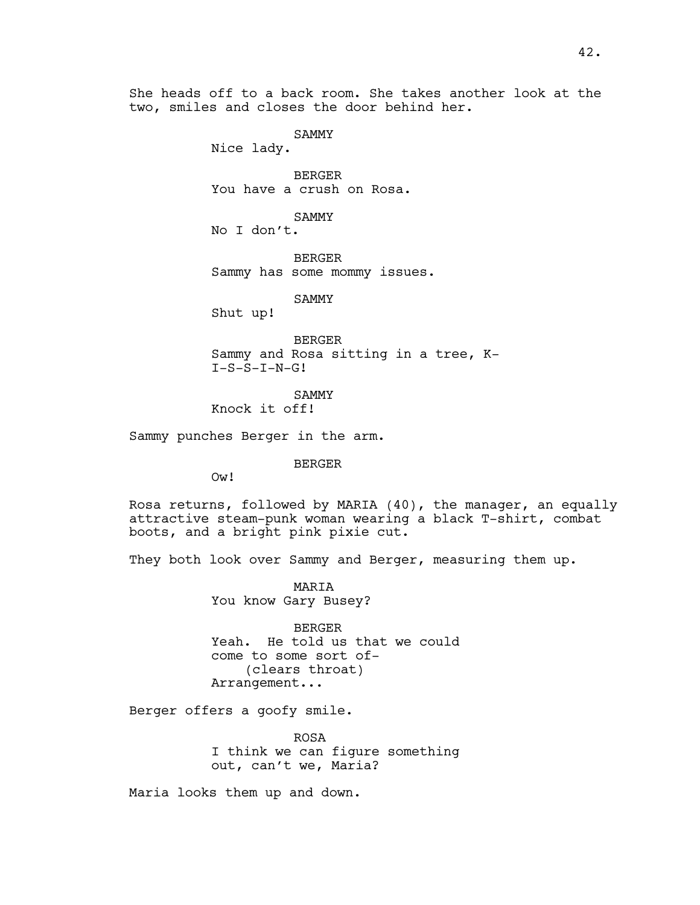She heads off to a back room. She takes another look at the two, smiles and closes the door behind her.

SAMMY

Nice lady.

BERGER You have a crush on Rosa.

SAMMY

No I don't.

BERGER Sammy has some mommy issues.

SAMMY

Shut up!

BERGER Sammy and Rosa sitting in a tree, K- $I-S-S-I-N-G!$ 

SAMMY Knock it off!

Sammy punches Berger in the arm.

BERGER

Ow!

Rosa returns, followed by MARIA (40), the manager, an equally attractive steam-punk woman wearing a black T-shirt, combat boots, and a bright pink pixie cut.

They both look over Sammy and Berger, measuring them up.

MARIA You know Gary Busey?

BERGER Yeah. He told us that we could come to some sort of- (clears throat) Arrangement...

Berger offers a goofy smile.

ROSA I think we can figure something out, can't we, Maria?

Maria looks them up and down.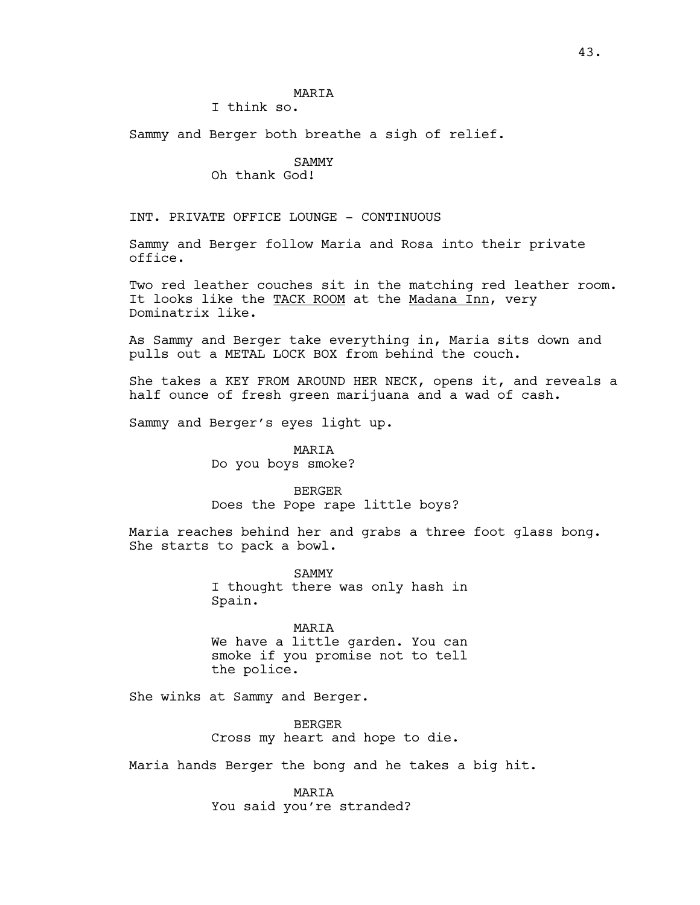## MARIA

I think so.

Sammy and Berger both breathe a sigh of relief.

### SAMMY

# Oh thank God!

INT. PRIVATE OFFICE LOUNGE - CONTINUOUS

Sammy and Berger follow Maria and Rosa into their private office.

Two red leather couches sit in the matching red leather room. It looks like the TACK ROOM at the Madana Inn, very Dominatrix like.

As Sammy and Berger take everything in, Maria sits down and pulls out a METAL LOCK BOX from behind the couch.

She takes a KEY FROM AROUND HER NECK, opens it, and reveals a half ounce of fresh green marijuana and a wad of cash.

Sammy and Berger's eyes light up.

MARIA Do you boys smoke?

BERGER Does the Pope rape little boys?

Maria reaches behind her and grabs a three foot glass bong. She starts to pack a bowl.

> SAMMY I thought there was only hash in Spain.

> MARIA We have a little garden. You can smoke if you promise not to tell the police.

She winks at Sammy and Berger.

BERGER Cross my heart and hope to die.

Maria hands Berger the bong and he takes a big hit.

MARIA You said you're stranded?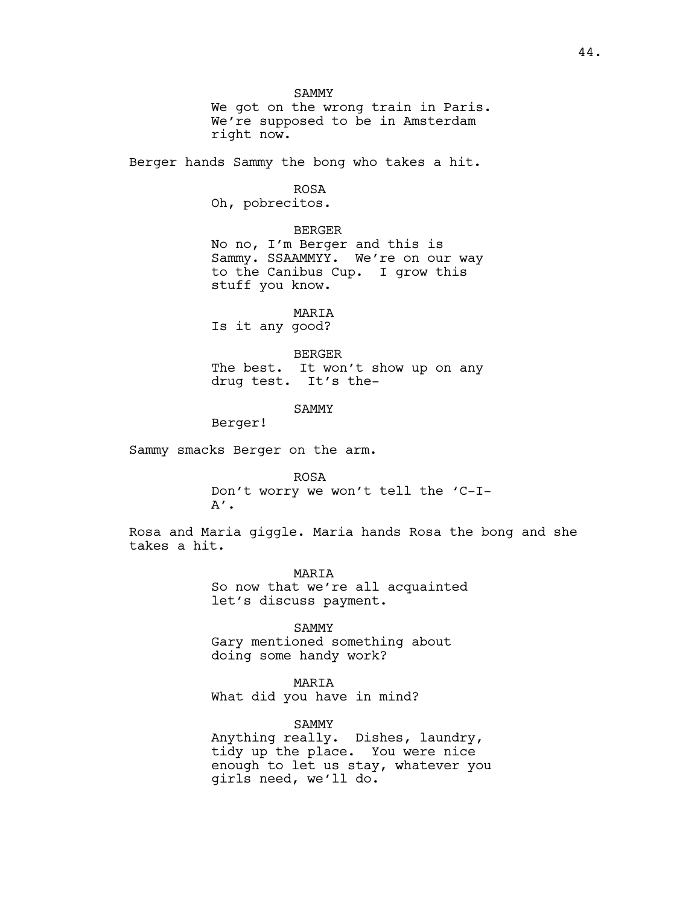SAMMY We got on the wrong train in Paris. We're supposed to be in Amsterdam right now. Berger hands Sammy the bong who takes a hit. ROSA Oh, pobrecitos. BERGER No no, I'm Berger and this is Sammy. SSAAMMYY. We're on our way to the Canibus Cup. I grow this stuff you know. MARIA Is it any good? BERGER The best. It won't show up on any drug test. It's the-SAMMY Berger! Sammy smacks Berger on the arm. ROSA Don't worry we won't tell the 'C-I- $A'$ . Rosa and Maria giggle. Maria hands Rosa the bong and she takes a hit. MARIA So now that we're all acquainted let's discuss payment. SAMMY Gary mentioned something about doing some handy work? MARIA What did you have in mind? SAMMY

Anything really. Dishes, laundry, tidy up the place. You were nice enough to let us stay, whatever you girls need, we'll do.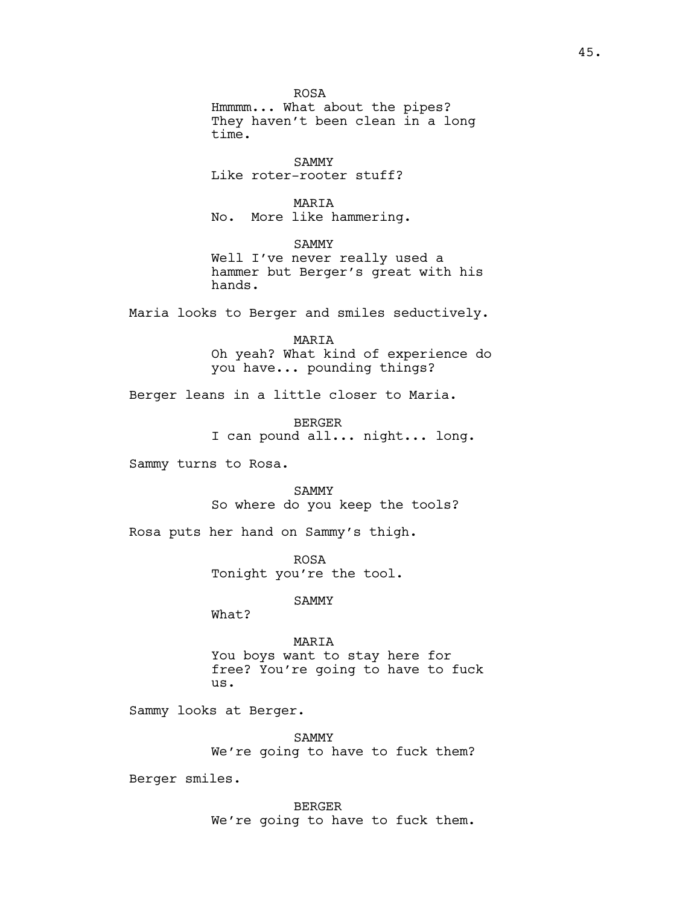ROSA Hmmmm... What about the pipes? They haven't been clean in a long time.

SAMMY Like roter-rooter stuff?

# MARIA

No. More like hammering.

### SAMMY

Well I've never really used a hammer but Berger's great with his hands.

Maria looks to Berger and smiles seductively.

MARIA Oh yeah? What kind of experience do you have... pounding things?

Berger leans in a little closer to Maria.

BERGER I can pound all... night... long.

Sammy turns to Rosa.

SAMMY So where do you keep the tools?

Rosa puts her hand on Sammy's thigh.

ROSA Tonight you're the tool.

SAMMY

What?

MARIA You boys want to stay here for free? You're going to have to fuck us.

Sammy looks at Berger.

SAMMY We're going to have to fuck them?

Berger smiles.

BERGER We're going to have to fuck them.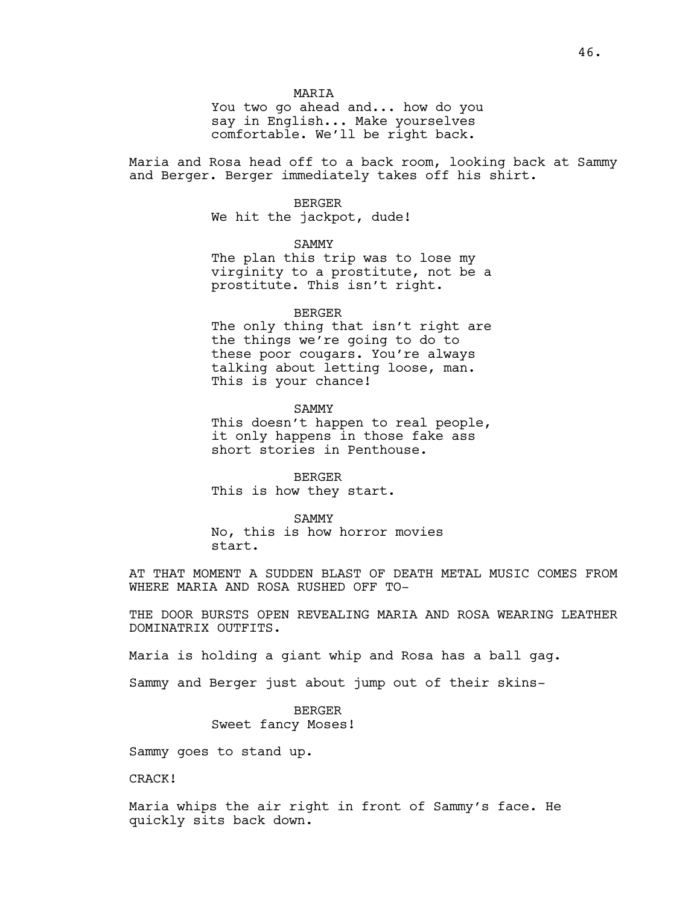You two go ahead and... how do you say in English... Make yourselves comfortable. We'll be right back.

Maria and Rosa head off to a back room, looking back at Sammy and Berger. Berger immediately takes off his shirt.

### BERGER

We hit the jackpot, dude!

## SAMMY

The plan this trip was to lose my virginity to a prostitute, not be a prostitute. This isn't right.

#### BERGER

The only thing that isn't right are the things we're going to do to these poor cougars. You're always talking about letting loose, man. This is your chance!

### SAMMY

This doesn't happen to real people, it only happens in those fake ass short stories in Penthouse.

BERGER This is how they start.

#### SAMMY

No, this is how horror movies start.

AT THAT MOMENT A SUDDEN BLAST OF DEATH METAL MUSIC COMES FROM WHERE MARIA AND ROSA RUSHED OFF TO-

THE DOOR BURSTS OPEN REVEALING MARIA AND ROSA WEARING LEATHER DOMINATRIX OUTFITS.

Maria is holding a giant whip and Rosa has a ball gag.

Sammy and Berger just about jump out of their skins-

## BERGER Sweet fancy Moses!

Sammy goes to stand up.

## CRACK!

Maria whips the air right in front of Sammy's face. He quickly sits back down.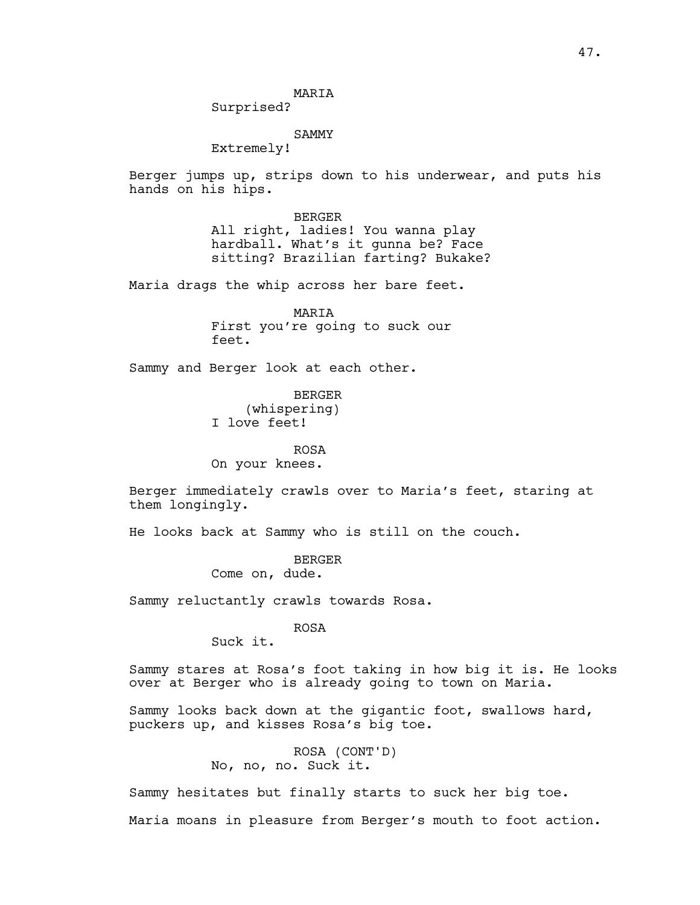MARIA

Surprised?

SAMMY

Extremely!

Berger jumps up, strips down to his underwear, and puts his hands on his hips.

> BERGER All right, ladies! You wanna play hardball. What's it gunna be? Face sitting? Brazilian farting? Bukake?

Maria drags the whip across her bare feet.

MARIA First you're going to suck our feet.

Sammy and Berger look at each other.

BERGER (whispering) I love feet!

ROSA On your knees.

Berger immediately crawls over to Maria's feet, staring at them longingly.

He looks back at Sammy who is still on the couch.

BERGER Come on, dude.

Sammy reluctantly crawls towards Rosa.

ROSA

Suck it.

Sammy stares at Rosa's foot taking in how big it is. He looks over at Berger who is already going to town on Maria.

Sammy looks back down at the gigantic foot, swallows hard, puckers up, and kisses Rosa's big toe.

> ROSA (CONT'D) No, no, no. Suck it.

Sammy hesitates but finally starts to suck her big toe.

Maria moans in pleasure from Berger's mouth to foot action.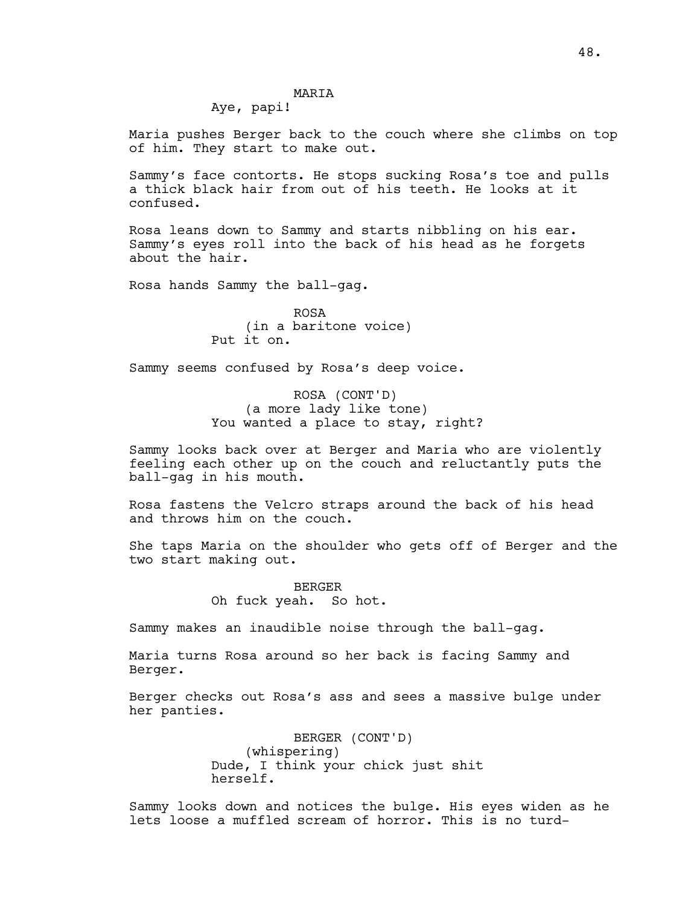## MARIA

Aye, papi!

Maria pushes Berger back to the couch where she climbs on top of him. They start to make out.

Sammy's face contorts. He stops sucking Rosa's toe and pulls a thick black hair from out of his teeth. He looks at it confused.

Rosa leans down to Sammy and starts nibbling on his ear. Sammy's eyes roll into the back of his head as he forgets about the hair.

Rosa hands Sammy the ball-gag.

ROSA (in a baritone voice) Put it on.

Sammy seems confused by Rosa's deep voice.

ROSA (CONT'D) (a more lady like tone) You wanted a place to stay, right?

Sammy looks back over at Berger and Maria who are violently feeling each other up on the couch and reluctantly puts the ball-gag in his mouth.

Rosa fastens the Velcro straps around the back of his head and throws him on the couch.

She taps Maria on the shoulder who gets off of Berger and the two start making out.

> BERGER Oh fuck yeah. So hot.

Sammy makes an inaudible noise through the ball-gag.

Maria turns Rosa around so her back is facing Sammy and Berger.

Berger checks out Rosa's ass and sees a massive bulge under her panties.

> BERGER (CONT'D) (whispering) Dude, I think your chick just shit herself.

Sammy looks down and notices the bulge. His eyes widen as he lets loose a muffled scream of horror. This is no turd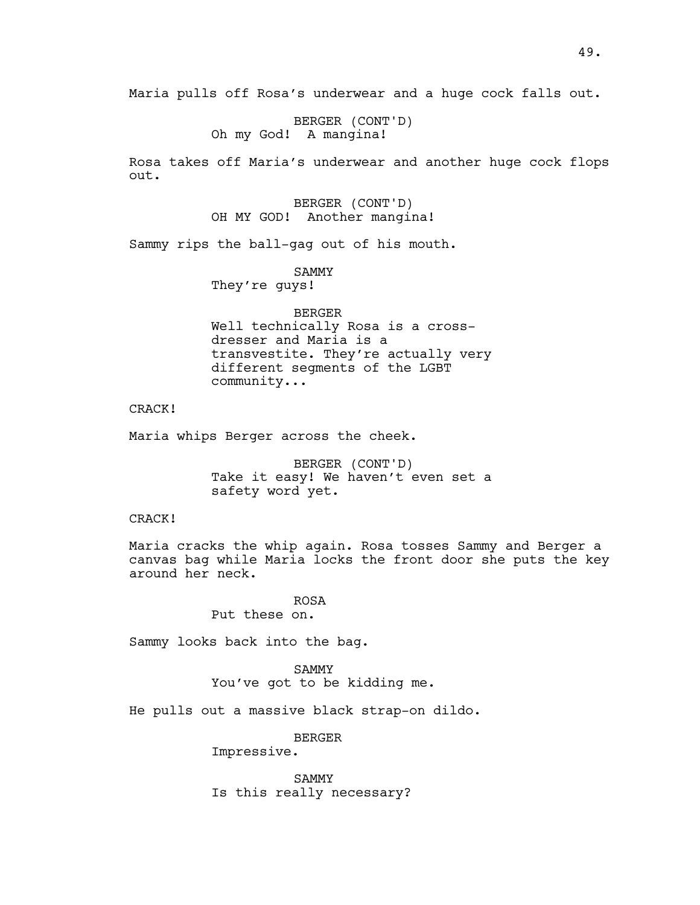Maria pulls off Rosa's underwear and a huge cock falls out.

BERGER (CONT'D) Oh my God! A mangina!

Rosa takes off Maria's underwear and another huge cock flops out.

> BERGER (CONT'D) OH MY GOD! Another mangina!

Sammy rips the ball-gag out of his mouth.

SAMMY

They're guys!

BERGER Well technically Rosa is a crossdresser and Maria is a transvestite. They're actually very different segments of the LGBT community...

## CRACK!

Maria whips Berger across the cheek.

BERGER (CONT'D) Take it easy! We haven't even set a safety word yet.

## CRACK!

Maria cracks the whip again. Rosa tosses Sammy and Berger a canvas bag while Maria locks the front door she puts the key around her neck.

> ROSA Put these on.

Sammy looks back into the bag.

SAMMY You've got to be kidding me.

He pulls out a massive black strap-on dildo.

BERGER

Impressive.

SAMMY Is this really necessary?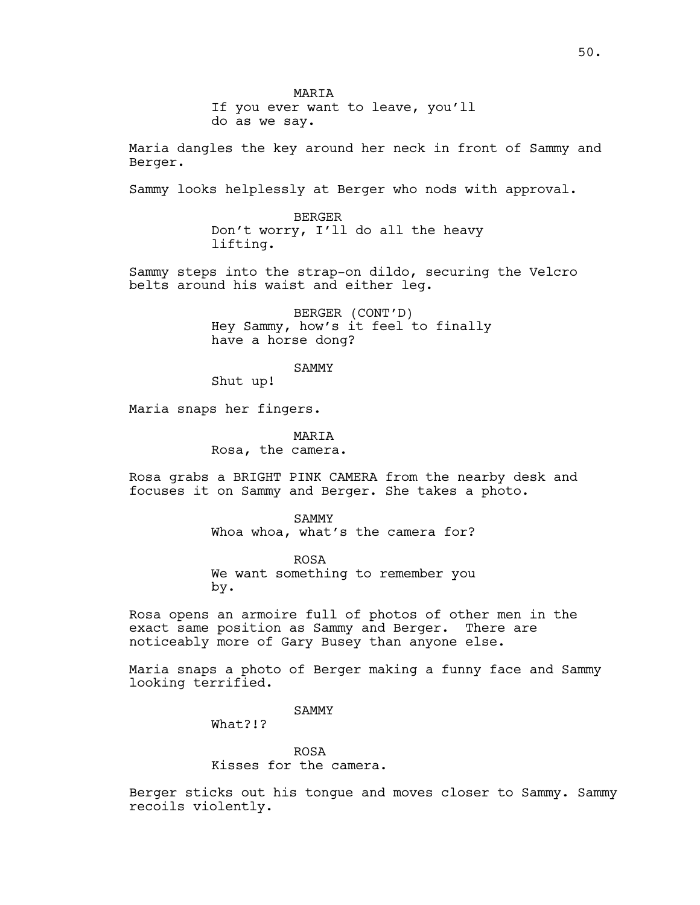MARIA

If you ever want to leave, you'll do as we say.

Maria dangles the key around her neck in front of Sammy and Berger.

Sammy looks helplessly at Berger who nods with approval.

BERGER Don't worry, I'll do all the heavy lifting.

Sammy steps into the strap-on dildo, securing the Velcro belts around his waist and either leg.

> BERGER (CONT'D) Hey Sammy, how's it feel to finally have a horse dong?

> > SAMMY

Shut up!

Maria snaps her fingers.

MARIA Rosa, the camera.

Rosa grabs a BRIGHT PINK CAMERA from the nearby desk and focuses it on Sammy and Berger. She takes a photo.

> SAMMY Whoa whoa, what's the camera for?

> ROSA We want something to remember you by.

Rosa opens an armoire full of photos of other men in the exact same position as Sammy and Berger. There are noticeably more of Gary Busey than anyone else.

Maria snaps a photo of Berger making a funny face and Sammy looking terrified.

## SAMMY

What?!?

ROSA

Kisses for the camera.

Berger sticks out his tongue and moves closer to Sammy. Sammy recoils violently.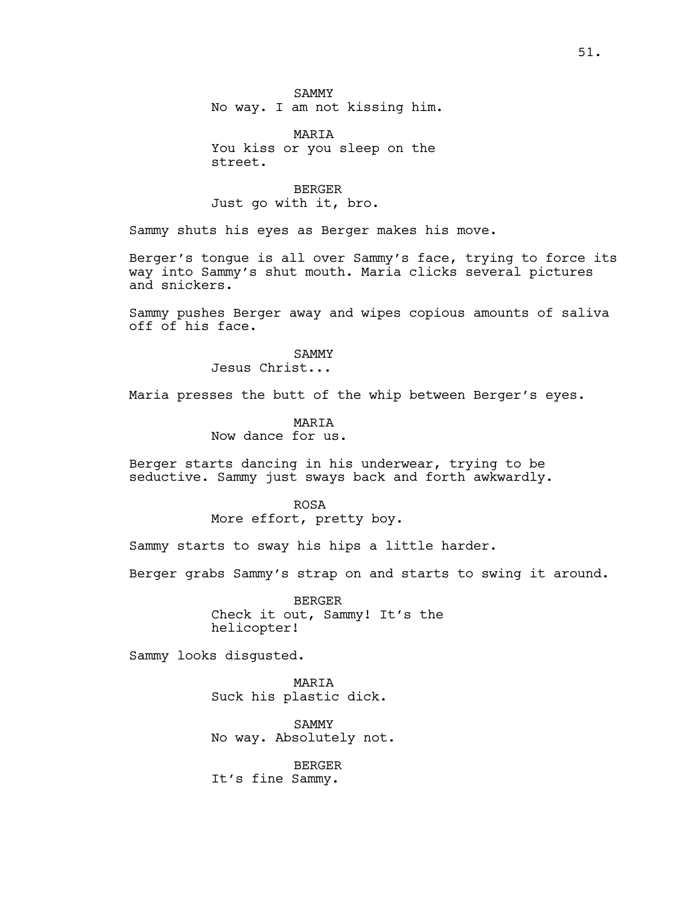SAMMY No way. I am not kissing him.

MARIA You kiss or you sleep on the street.

BERGER Just go with it, bro.

Sammy shuts his eyes as Berger makes his move.

Berger's tongue is all over Sammy's face, trying to force its way into Sammy's shut mouth. Maria clicks several pictures and snickers.

Sammy pushes Berger away and wipes copious amounts of saliva off of his face.

## SAMMY

Jesus Christ...

Maria presses the butt of the whip between Berger's eyes.

## MARIA

Now dance for us.

Berger starts dancing in his underwear, trying to be seductive. Sammy just sways back and forth awkwardly.

### ROSA

More effort, pretty boy.

Sammy starts to sway his hips a little harder.

Berger grabs Sammy's strap on and starts to swing it around.

BERGER Check it out, Sammy! It's the helicopter!

Sammy looks disgusted.

MARIA Suck his plastic dick.

SAMMY No way. Absolutely not.

BERGER It's fine Sammy.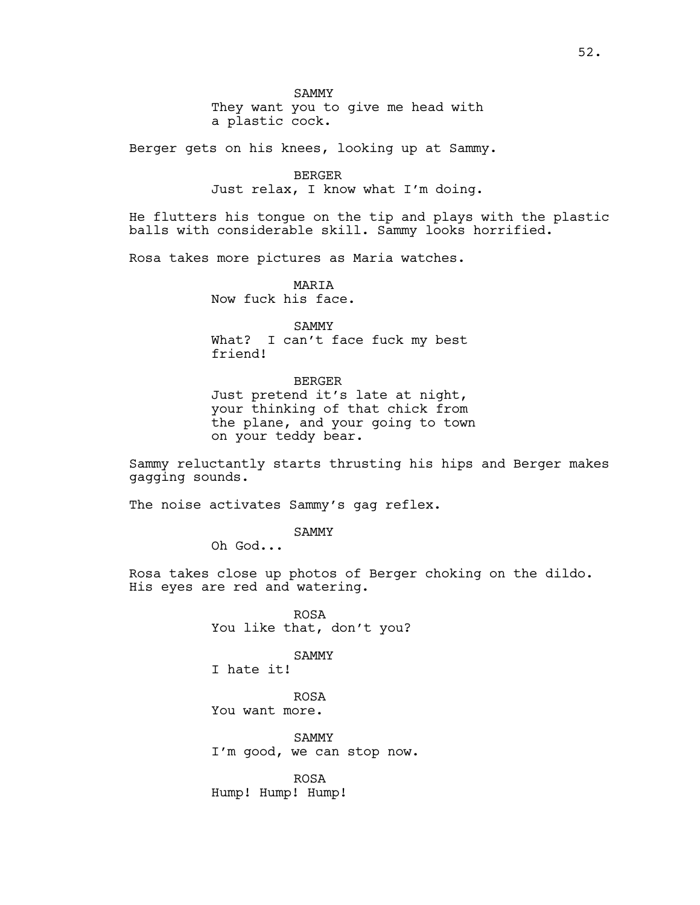They want you to give me head with a plastic cock.

Berger gets on his knees, looking up at Sammy.

BERGER Just relax, I know what I'm doing.

He flutters his tongue on the tip and plays with the plastic balls with considerable skill. Sammy looks horrified.

Rosa takes more pictures as Maria watches.

MARIA Now fuck his face.

SAMMY What? I can't face fuck my best friend!

BERGER Just pretend it's late at night, your thinking of that chick from the plane, and your going to town on your teddy bear.

Sammy reluctantly starts thrusting his hips and Berger makes gagging sounds.

The noise activates Sammy's gag reflex.

SAMMY

Oh God...

Rosa takes close up photos of Berger choking on the dildo. His eyes are red and watering.

> ROSA You like that, don't you?

> > SAMMY

I hate it!

ROSA You want more.

SAMMY I'm good, we can stop now.

ROSA Hump! Hump! Hump!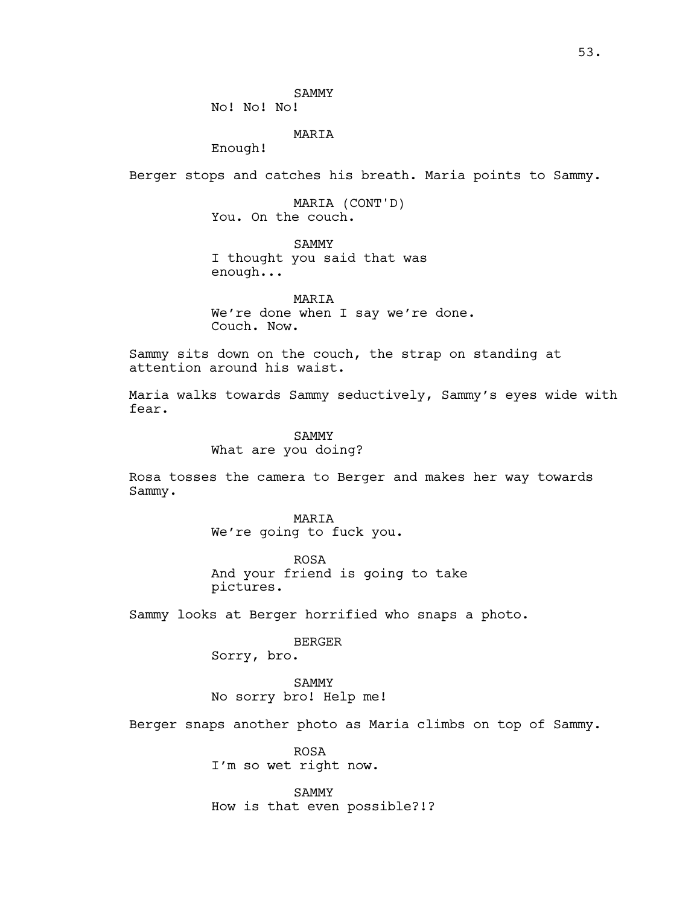No! No! No!

MARIA

Enough!

Berger stops and catches his breath. Maria points to Sammy.

MARIA (CONT'D) You. On the couch.

SAMMY I thought you said that was enough...

MARIA We're done when I say we're done. Couch. Now.

Sammy sits down on the couch, the strap on standing at attention around his waist.

Maria walks towards Sammy seductively, Sammy's eyes wide with fear.

> SAMMY What are you doing?

Rosa tosses the camera to Berger and makes her way towards Sammy.

> MARIA We're going to fuck you.

ROSA And your friend is going to take pictures.

Sammy looks at Berger horrified who snaps a photo.

BERGER

Sorry, bro.

SAMMY No sorry bro! Help me!

Berger snaps another photo as Maria climbs on top of Sammy.

ROSA I'm so wet right now.

SAMMY How is that even possible?!?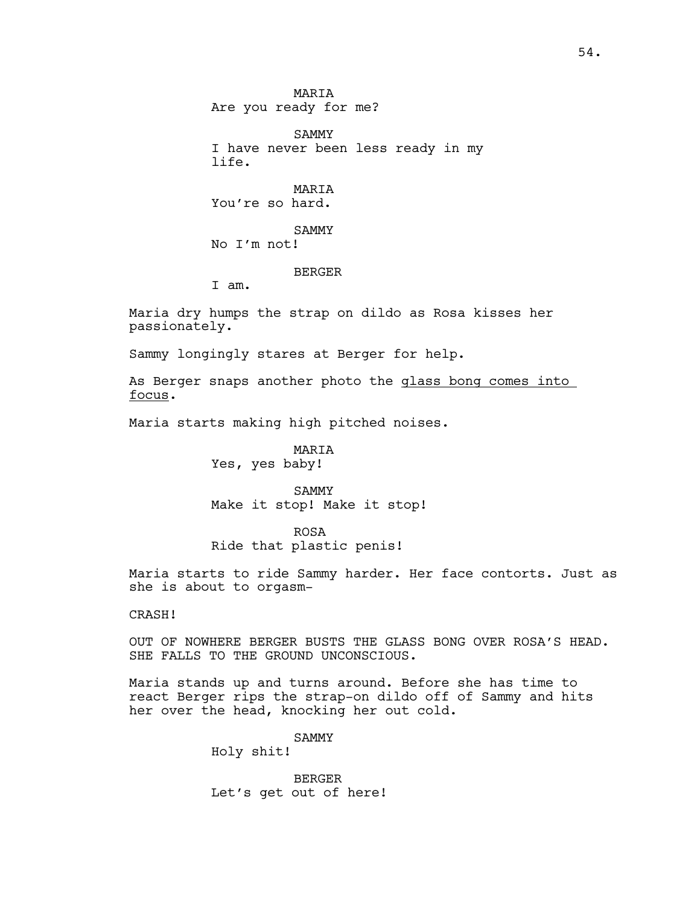MARIA Are you ready for me?

SAMMY I have never been less ready in my life.

MARIA You're so hard.

SAMMY No I'm not!

BERGER

I am.

Maria dry humps the strap on dildo as Rosa kisses her passionately.

Sammy longingly stares at Berger for help.

As Berger snaps another photo the glass bong comes into focus.

Maria starts making high pitched noises.

MARIA Yes, yes baby!

SAMMY Make it stop! Make it stop!

ROSA Ride that plastic penis!

Maria starts to ride Sammy harder. Her face contorts. Just as she is about to orgasm-

## CRASH!

OUT OF NOWHERE BERGER BUSTS THE GLASS BONG OVER ROSA'S HEAD. SHE FALLS TO THE GROUND UNCONSCIOUS.

Maria stands up and turns around. Before she has time to react Berger rips the strap-on dildo off of Sammy and hits her over the head, knocking her out cold.

> SAMMY Holy shit!

BERGER Let's get out of here!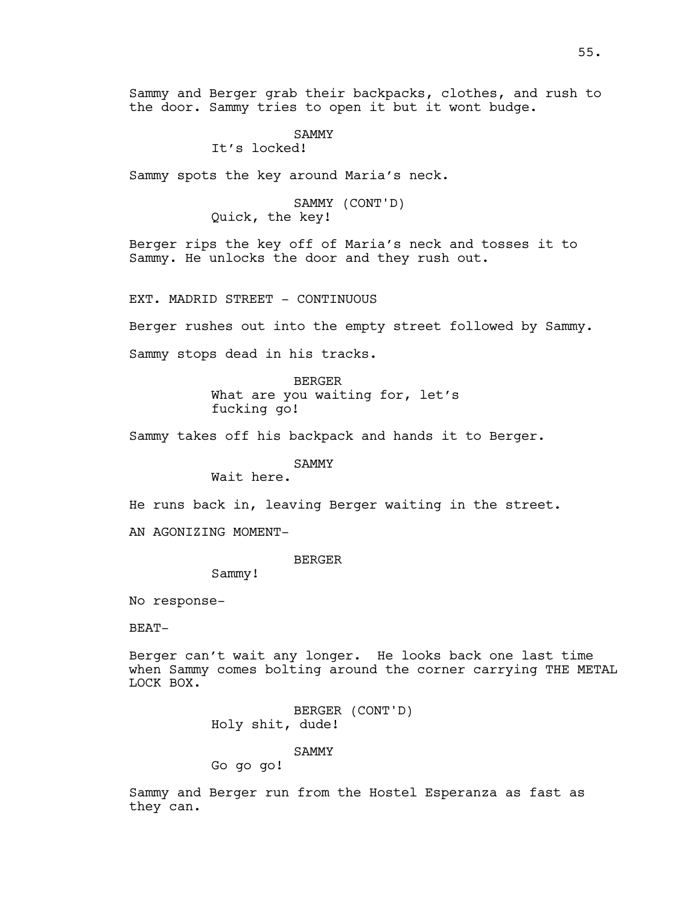Sammy and Berger grab their backpacks, clothes, and rush to the door. Sammy tries to open it but it wont budge.

# SAMMY

It's locked!

Sammy spots the key around Maria's neck.

# SAMMY (CONT'D) Quick, the key!

Berger rips the key off of Maria's neck and tosses it to Sammy. He unlocks the door and they rush out.

EXT. MADRID STREET - CONTINUOUS

Berger rushes out into the empty street followed by Sammy.

Sammy stops dead in his tracks.

BERGER What are you waiting for, let's fucking go!

Sammy takes off his backpack and hands it to Berger.

## SAMMY

Wait here.

He runs back in, leaving Berger waiting in the street.

AN AGONIZING MOMENT-

### BERGER

Sammy!

No response-

BEAT-

Berger can't wait any longer. He looks back one last time when Sammy comes bolting around the corner carrying THE METAL LOCK BOX.

> BERGER (CONT'D) Holy shit, dude!

> > SAMMY

Go go go!

Sammy and Berger run from the Hostel Esperanza as fast as they can.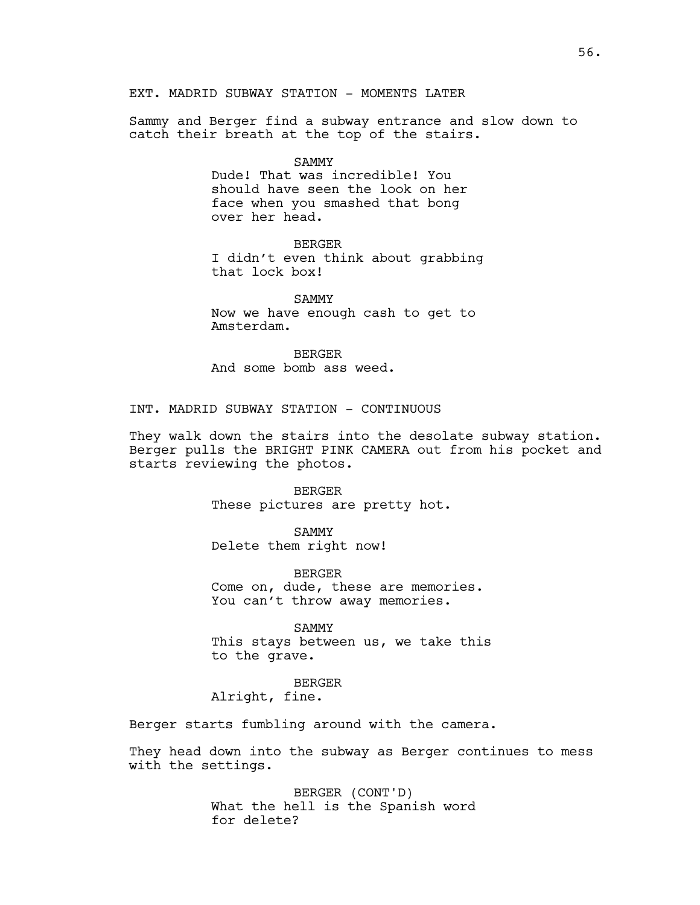Sammy and Berger find a subway entrance and slow down to catch their breath at the top of the stairs.

### SAMMY

Dude! That was incredible! You should have seen the look on her face when you smashed that bong over her head.

### BERGER

I didn't even think about grabbing that lock box!

SAMMY Now we have enough cash to get to Amsterdam.

BERGER And some bomb ass weed.

## INT. MADRID SUBWAY STATION - CONTINUOUS

They walk down the stairs into the desolate subway station. Berger pulls the BRIGHT PINK CAMERA out from his pocket and starts reviewing the photos.

## BERGER These pictures are pretty hot.

SAMMY Delete them right now!

BERGER Come on, dude, these are memories. You can't throw away memories.

SAMMY This stays between us, we take this to the grave.

### BERGER

Alright, fine.

Berger starts fumbling around with the camera.

They head down into the subway as Berger continues to mess with the settings.

> BERGER (CONT'D) What the hell is the Spanish word for delete?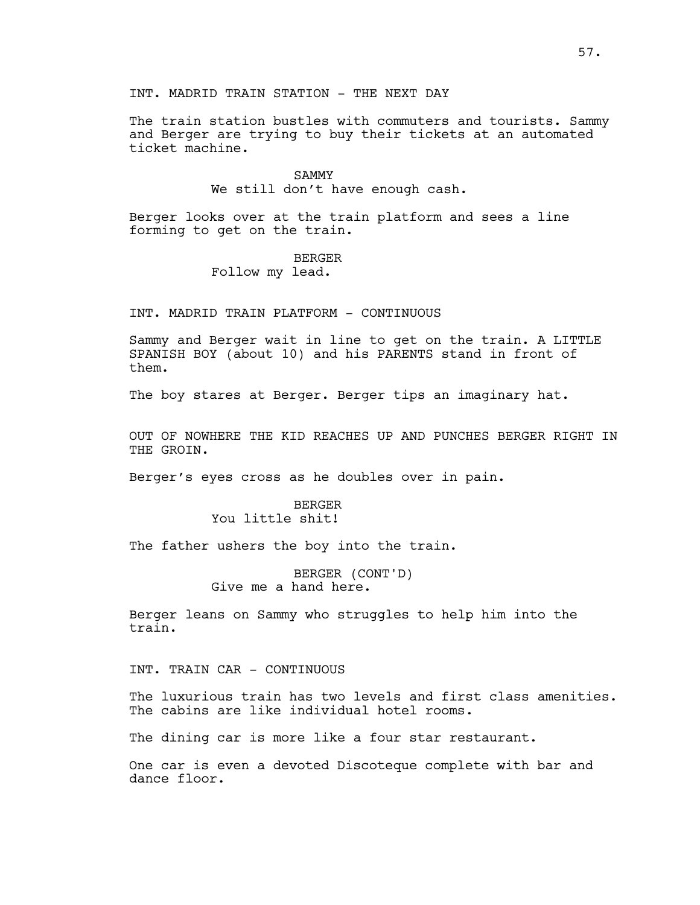The train station bustles with commuters and tourists. Sammy and Berger are trying to buy their tickets at an automated ticket machine.

### SAMMY

We still don't have enough cash.

Berger looks over at the train platform and sees a line forming to get on the train.

#### BERGER

Follow my lead.

INT. MADRID TRAIN PLATFORM - CONTINUOUS

Sammy and Berger wait in line to get on the train. A LITTLE SPANISH BOY (about 10) and his PARENTS stand in front of them.

The boy stares at Berger. Berger tips an imaginary hat.

OUT OF NOWHERE THE KID REACHES UP AND PUNCHES BERGER RIGHT IN THE GROIN.

Berger's eyes cross as he doubles over in pain.

### BERGER You little shit!

The father ushers the boy into the train.

BERGER (CONT'D) Give me a hand here.

Berger leans on Sammy who struggles to help him into the train.

INT. TRAIN CAR - CONTINUOUS

The luxurious train has two levels and first class amenities. The cabins are like individual hotel rooms.

The dining car is more like a four star restaurant.

One car is even a devoted Discoteque complete with bar and dance floor.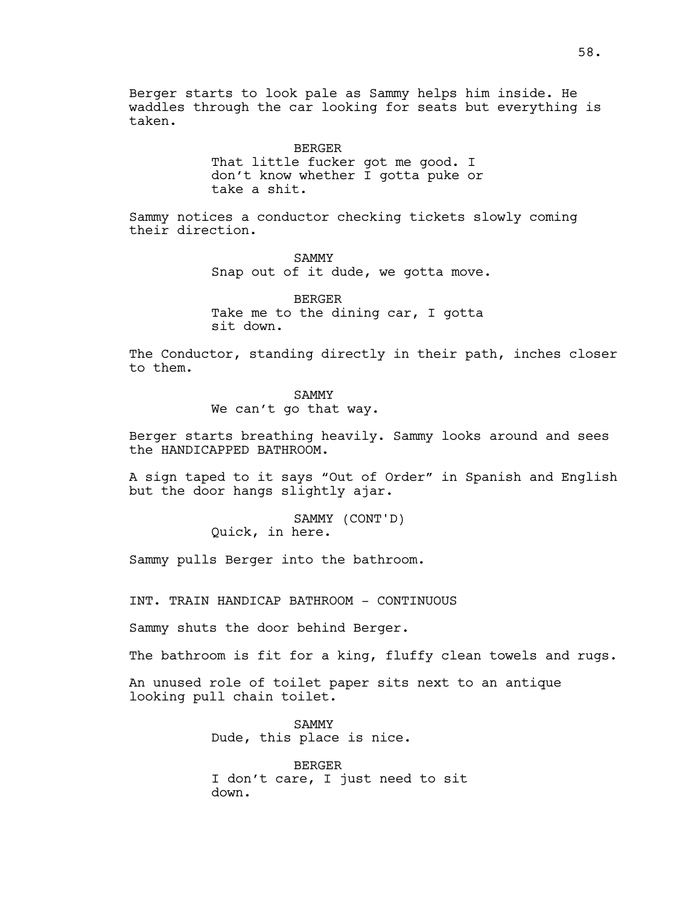Berger starts to look pale as Sammy helps him inside. He waddles through the car looking for seats but everything is taken.

BERGER

That little fucker got me good. I don't know whether I gotta puke or take a shit.

Sammy notices a conductor checking tickets slowly coming their direction.

SAMMY

Snap out of it dude, we gotta move.

BERGER Take me to the dining car, I gotta sit down.

The Conductor, standing directly in their path, inches closer to them.

## SAMMY

We can't go that way.

Berger starts breathing heavily. Sammy looks around and sees the HANDICAPPED BATHROOM.

A sign taped to it says "Out of Order" in Spanish and English but the door hangs slightly ajar.

> SAMMY (CONT'D) Quick, in here.

Sammy pulls Berger into the bathroom.

INT. TRAIN HANDICAP BATHROOM - CONTINUOUS

Sammy shuts the door behind Berger.

The bathroom is fit for a king, fluffy clean towels and rugs.

An unused role of toilet paper sits next to an antique looking pull chain toilet.

> SAMMY Dude, this place is nice.

BERGER I don't care, I just need to sit down.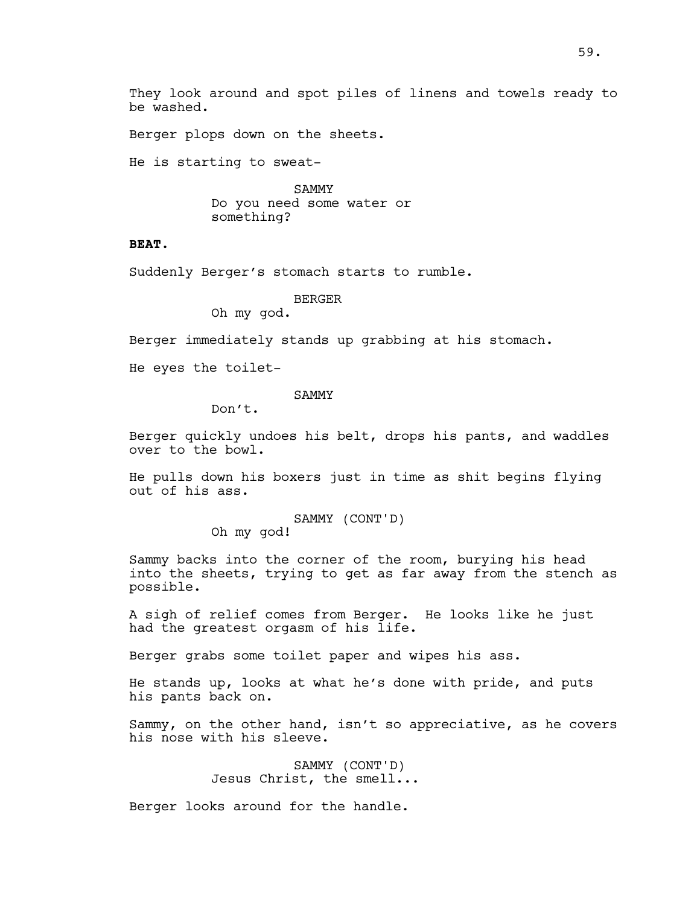They look around and spot piles of linens and towels ready to be washed.

Berger plops down on the sheets.

He is starting to sweat-

SAMMY Do you need some water or something?

## **BEAT**.

Suddenly Berger's stomach starts to rumble.

BERGER

Oh my god.

Berger immediately stands up grabbing at his stomach.

He eyes the toilet-

SAMMY

Don't.

Berger quickly undoes his belt, drops his pants, and waddles over to the bowl.

He pulls down his boxers just in time as shit begins flying out of his ass.

> SAMMY (CONT'D) Oh my god!

Sammy backs into the corner of the room, burying his head into the sheets, trying to get as far away from the stench as possible.

A sigh of relief comes from Berger. He looks like he just had the greatest orgasm of his life.

Berger grabs some toilet paper and wipes his ass.

He stands up, looks at what he's done with pride, and puts his pants back on.

Sammy, on the other hand, isn't so appreciative, as he covers his nose with his sleeve.

> SAMMY (CONT'D) Jesus Christ, the smell...

Berger looks around for the handle.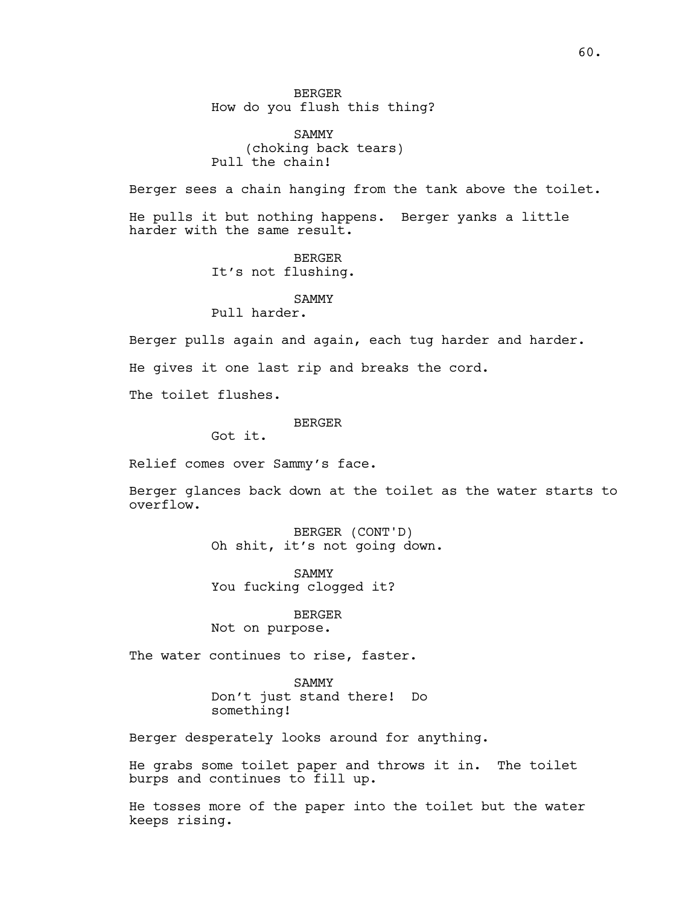BERGER How do you flush this thing?

SAMMY (choking back tears) Pull the chain!

Berger sees a chain hanging from the tank above the toilet. He pulls it but nothing happens. Berger yanks a little harder with the same result.

### BERGER

It's not flushing.

### SAMMY Pull harder.

Berger pulls again and again, each tug harder and harder. He gives it one last rip and breaks the cord.

The toilet flushes.

### BERGER

Got it.

Relief comes over Sammy's face.

Berger glances back down at the toilet as the water starts to overflow.

> BERGER (CONT'D) Oh shit, it's not going down.

SAMMY You fucking clogged it?

BERGER Not on purpose.

The water continues to rise, faster.

SAMMY Don't just stand there! Do something!

Berger desperately looks around for anything.

He grabs some toilet paper and throws it in. The toilet burps and continues to fill up.

He tosses more of the paper into the toilet but the water keeps rising.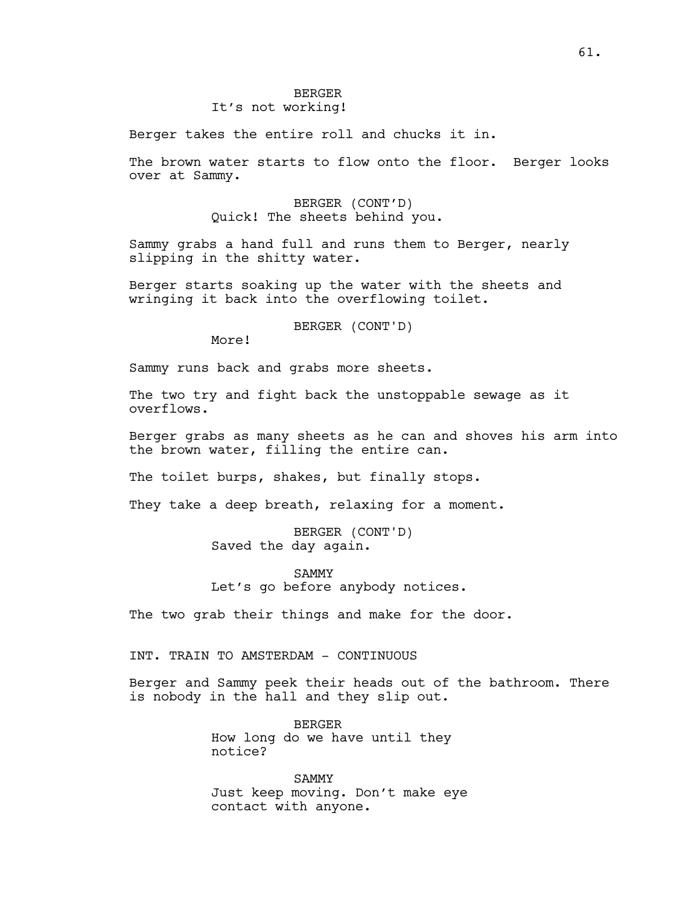# BERGER

# It's not working!

Berger takes the entire roll and chucks it in.

The brown water starts to flow onto the floor. Berger looks over at Sammy.

> BERGER (CONT'D) Quick! The sheets behind you.

Sammy grabs a hand full and runs them to Berger, nearly slipping in the shitty water.

Berger starts soaking up the water with the sheets and wringing it back into the overflowing toilet.

BERGER (CONT'D)

More!

Sammy runs back and grabs more sheets.

The two try and fight back the unstoppable sewage as it overflows.

Berger grabs as many sheets as he can and shoves his arm into the brown water, filling the entire can.

The toilet burps, shakes, but finally stops.

They take a deep breath, relaxing for a moment.

BERGER (CONT'D) Saved the day again.

SAMMY Let's go before anybody notices.

The two grab their things and make for the door.

INT. TRAIN TO AMSTERDAM - CONTINUOUS

Berger and Sammy peek their heads out of the bathroom. There is nobody in the hall and they slip out.

> BERGER How long do we have until they notice?

SAMMY Just keep moving. Don't make eye contact with anyone.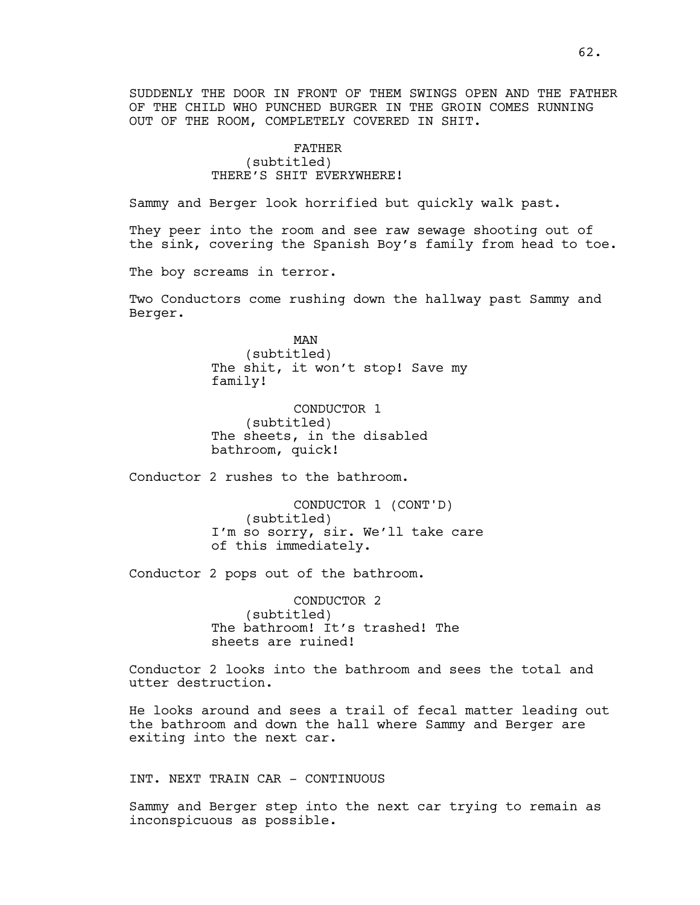SUDDENLY THE DOOR IN FRONT OF THEM SWINGS OPEN AND THE FATHER OF THE CHILD WHO PUNCHED BURGER IN THE GROIN COMES RUNNING OUT OF THE ROOM, COMPLETELY COVERED IN SHIT.

## FATHER (subtitled) THERE'S SHIT EVERYWHERE!

Sammy and Berger look horrified but quickly walk past.

They peer into the room and see raw sewage shooting out of the sink, covering the Spanish Boy's family from head to toe.

The boy screams in terror.

Two Conductors come rushing down the hallway past Sammy and Berger.

> MAN (subtitled) The shit, it won't stop! Save my family!

CONDUCTOR 1 (subtitled) The sheets, in the disabled bathroom, quick!

Conductor 2 rushes to the bathroom.

CONDUCTOR 1 (CONT'D) (subtitled) I'm so sorry, sir. We'll take care of this immediately.

Conductor 2 pops out of the bathroom.

CONDUCTOR 2 (subtitled) The bathroom! It's trashed! The sheets are ruined!

Conductor 2 looks into the bathroom and sees the total and utter destruction.

He looks around and sees a trail of fecal matter leading out the bathroom and down the hall where Sammy and Berger are exiting into the next car.

INT. NEXT TRAIN CAR - CONTINUOUS

Sammy and Berger step into the next car trying to remain as inconspicuous as possible.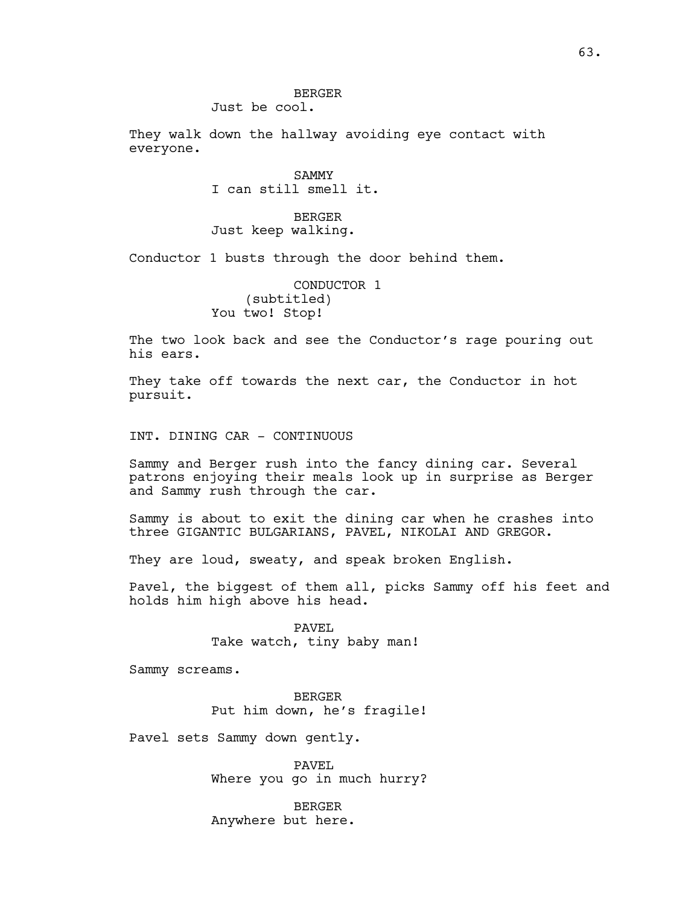## BERGER

Just be cool.

They walk down the hallway avoiding eye contact with everyone.

> SAMMY I can still smell it.

BERGER Just keep walking.

Conductor 1 busts through the door behind them.

CONDUCTOR 1 (subtitled) You two! Stop!

The two look back and see the Conductor's rage pouring out his ears.

They take off towards the next car, the Conductor in hot pursuit.

INT. DINING CAR - CONTINUOUS

Sammy and Berger rush into the fancy dining car. Several patrons enjoying their meals look up in surprise as Berger and Sammy rush through the car.

Sammy is about to exit the dining car when he crashes into three GIGANTIC BULGARIANS, PAVEL, NIKOLAI AND GREGOR.

They are loud, sweaty, and speak broken English.

Pavel, the biggest of them all, picks Sammy off his feet and holds him high above his head.

> PAVEL Take watch, tiny baby man!

Sammy screams.

BERGER Put him down, he's fragile!

Pavel sets Sammy down gently.

PAVEL Where you go in much hurry?

BERGER Anywhere but here.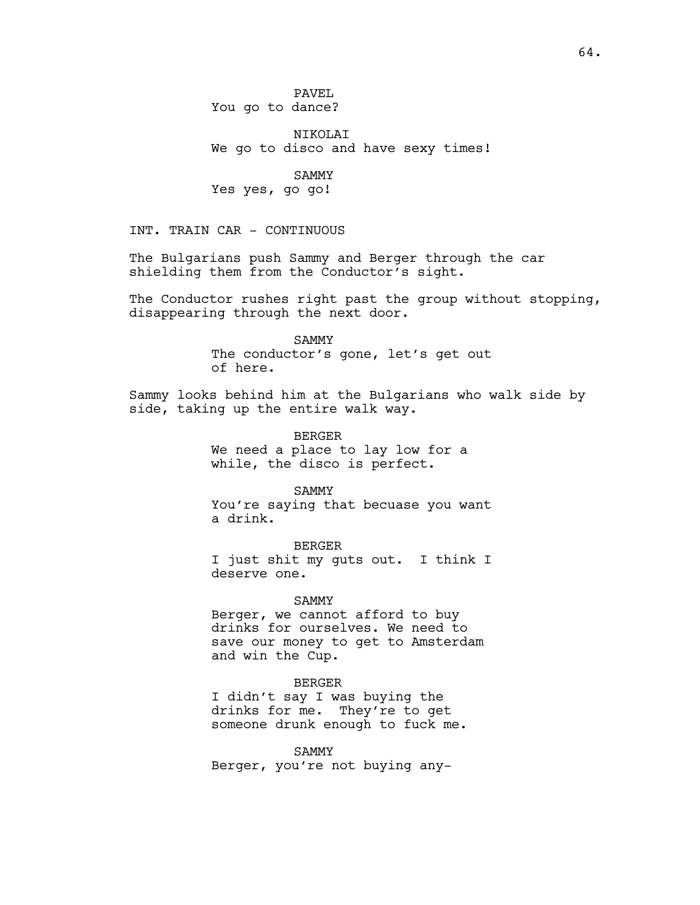NIKOLAI We go to disco and have sexy times!

SAMMY Yes yes, go go!

INT. TRAIN CAR - CONTINUOUS

The Bulgarians push Sammy and Berger through the car shielding them from the Conductor's sight.

The Conductor rushes right past the group without stopping, disappearing through the next door.

> SAMMY The conductor's gone, let's get out of here.

Sammy looks behind him at the Bulgarians who walk side by side, taking up the entire walk way.

> BERGER We need a place to lay low for a while, the disco is perfect.

> > SAMMY

You're saying that becuase you want a drink.

BERGER

I just shit my guts out. I think I deserve one.

SAMMY

Berger, we cannot afford to buy drinks for ourselves. We need to save our money to get to Amsterdam and win the Cup.

#### BERGER

I didn't say I was buying the drinks for me. They're to get someone drunk enough to fuck me.

SAMMY Berger, you're not buying any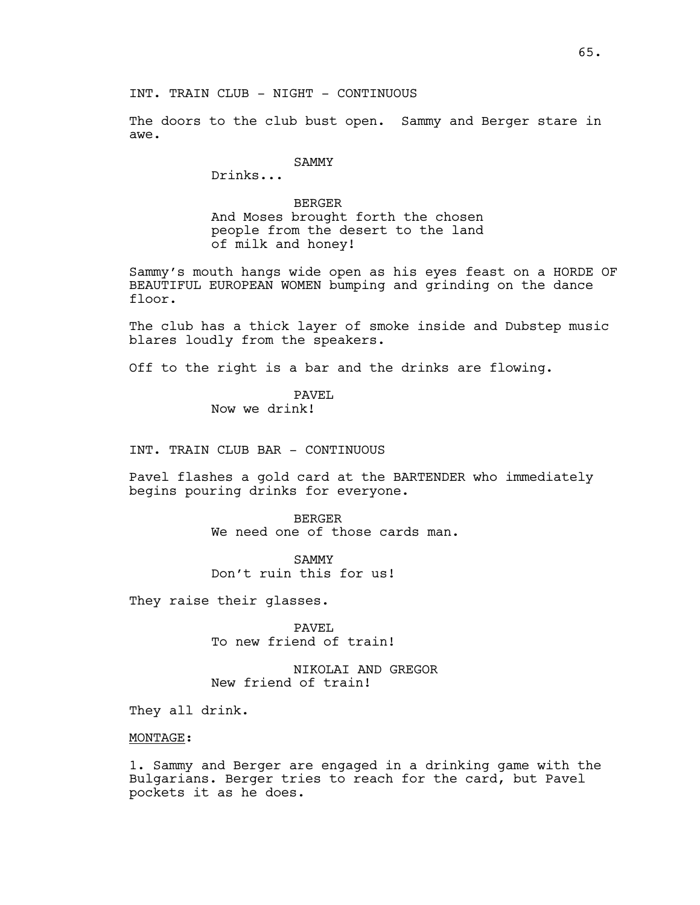The doors to the club bust open. Sammy and Berger stare in awe.

### SAMMY

Drinks...

BERGER And Moses brought forth the chosen people from the desert to the land of milk and honey!

Sammy's mouth hangs wide open as his eyes feast on a HORDE OF BEAUTIFUL EUROPEAN WOMEN bumping and grinding on the dance floor.

The club has a thick layer of smoke inside and Dubstep music blares loudly from the speakers.

Off to the right is a bar and the drinks are flowing.

PAVEL Now we drink!

INT. TRAIN CLUB BAR - CONTINUOUS

Pavel flashes a gold card at the BARTENDER who immediately begins pouring drinks for everyone.

> BERGER We need one of those cards man.

SAMMY Don't ruin this for us!

They raise their glasses.

PAVEL To new friend of train!

NIKOLAI AND GREGOR New friend of train!

They all drink.

## MONTAGE:

1. Sammy and Berger are engaged in a drinking game with the Bulgarians. Berger tries to reach for the card, but Pavel pockets it as he does.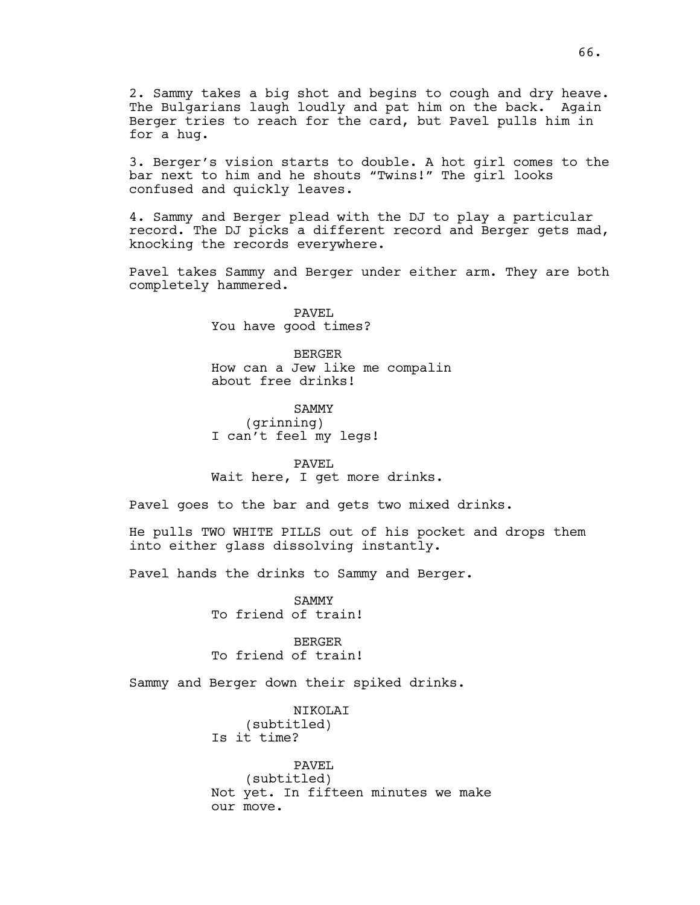2. Sammy takes a big shot and begins to cough and dry heave. The Bulgarians laugh loudly and pat him on the back. Again Berger tries to reach for the card, but Pavel pulls him in for a hug.

3. Berger's vision starts to double. A hot girl comes to the bar next to him and he shouts "Twins!" The girl looks confused and quickly leaves.

4. Sammy and Berger plead with the DJ to play a particular record. The DJ picks a different record and Berger gets mad, knocking the records everywhere.

Pavel takes Sammy and Berger under either arm. They are both completely hammered.

> PAVEL You have good times?

BERGER How can a Jew like me compalin about free drinks!

SAMMY (grinning) I can't feel my legs!

PAVEL Wait here, I get more drinks.

Pavel goes to the bar and gets two mixed drinks.

He pulls TWO WHITE PILLS out of his pocket and drops them into either glass dissolving instantly.

Pavel hands the drinks to Sammy and Berger.

SAMMY To friend of train!

BERGER To friend of train!

Sammy and Berger down their spiked drinks.

NIKOLAI (subtitled) Is it time?

PAVEL (subtitled) Not yet. In fifteen minutes we make our move.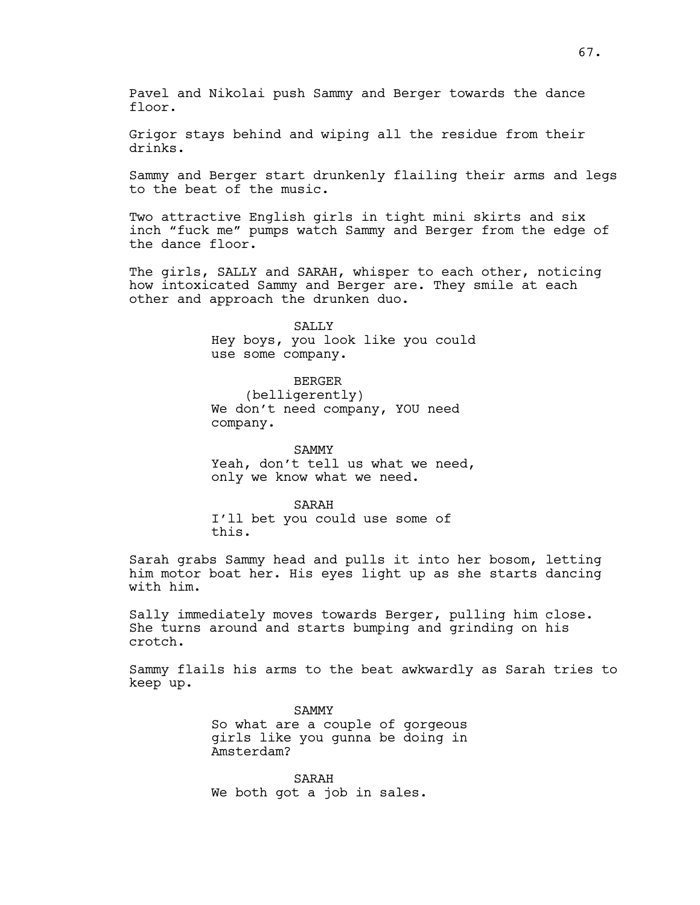Pavel and Nikolai push Sammy and Berger towards the dance floor.

Grigor stays behind and wiping all the residue from their drinks.

Sammy and Berger start drunkenly flailing their arms and legs to the beat of the music.

Two attractive English girls in tight mini skirts and six inch "fuck me" pumps watch Sammy and Berger from the edge of the dance floor.

The girls, SALLY and SARAH, whisper to each other, noticing how intoxicated Sammy and Berger are. They smile at each other and approach the drunken duo.

> SALLY Hey boys, you look like you could use some company.

BERGER (belligerently) We don't need company, YOU need company.

SAMMY Yeah, don't tell us what we need, only we know what we need.

SARAH I'll bet you could use some of this.

Sarah grabs Sammy head and pulls it into her bosom, letting him motor boat her. His eyes light up as she starts dancing with him.

Sally immediately moves towards Berger, pulling him close. She turns around and starts bumping and grinding on his crotch.

Sammy flails his arms to the beat awkwardly as Sarah tries to keep up.

> SAMMY So what are a couple of gorgeous girls like you gunna be doing in Amsterdam?

SARAH We both got a job in sales.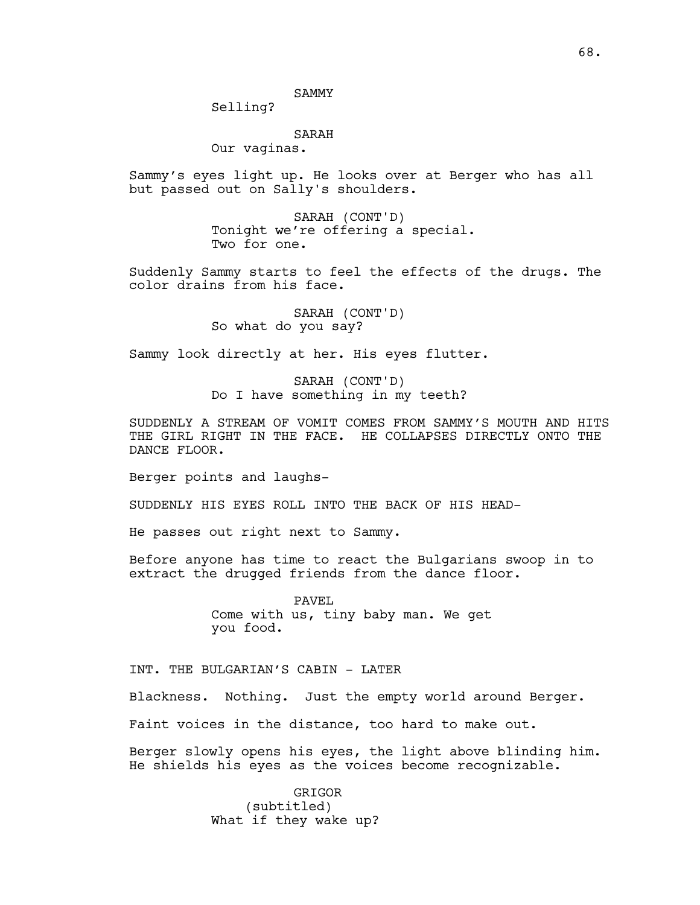Selling?

SARAH

Our vaginas.

Sammy's eyes light up. He looks over at Berger who has all but passed out on Sally's shoulders.

> SARAH (CONT'D) Tonight we're offering a special. Two for one.

Suddenly Sammy starts to feel the effects of the drugs. The color drains from his face.

> SARAH (CONT'D) So what do you say?

Sammy look directly at her. His eyes flutter.

SARAH (CONT'D) Do I have something in my teeth?

SUDDENLY A STREAM OF VOMIT COMES FROM SAMMY'S MOUTH AND HITS THE GIRL RIGHT IN THE FACE. HE COLLAPSES DIRECTLY ONTO THE DANCE FLOOR.

Berger points and laughs-

SUDDENLY HIS EYES ROLL INTO THE BACK OF HIS HEAD-

He passes out right next to Sammy.

Before anyone has time to react the Bulgarians swoop in to extract the drugged friends from the dance floor.

> PAVEL Come with us, tiny baby man. We get you food.

INT. THE BULGARIAN'S CABIN - LATER

Blackness. Nothing. Just the empty world around Berger.

Faint voices in the distance, too hard to make out.

Berger slowly opens his eyes, the light above blinding him. He shields his eyes as the voices become recognizable.

> GRIGOR (subtitled) What if they wake up?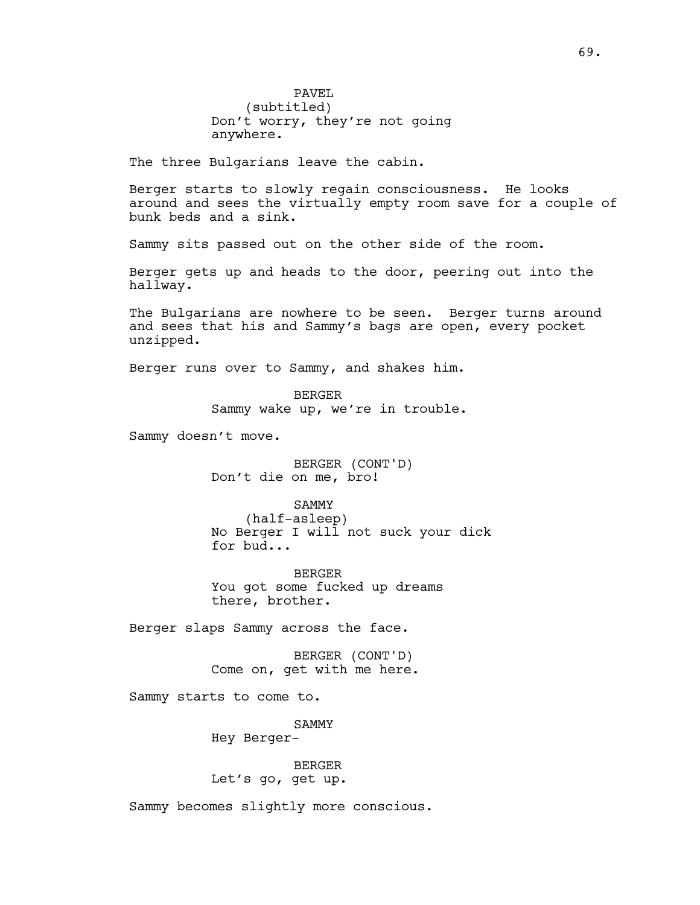PAVEL (subtitled) Don't worry, they're not going anywhere.

The three Bulgarians leave the cabin.

Berger starts to slowly regain consciousness. He looks around and sees the virtually empty room save for a couple of bunk beds and a sink.

Sammy sits passed out on the other side of the room.

Berger gets up and heads to the door, peering out into the hallway.

The Bulgarians are nowhere to be seen. Berger turns around and sees that his and Sammy's bags are open, every pocket unzipped.

Berger runs over to Sammy, and shakes him.

BERGER Sammy wake up, we're in trouble.

Sammy doesn't move.

BERGER (CONT'D) Don't die on me, bro!

SAMMY

(half-asleep) No Berger I will not suck your dick for bud...

BERGER You got some fucked up dreams there, brother.

Berger slaps Sammy across the face.

BERGER (CONT'D) Come on, get with me here.

Sammy starts to come to.

SAMMY

Hey Berger-

BERGER Let's go, get up.

Sammy becomes slightly more conscious.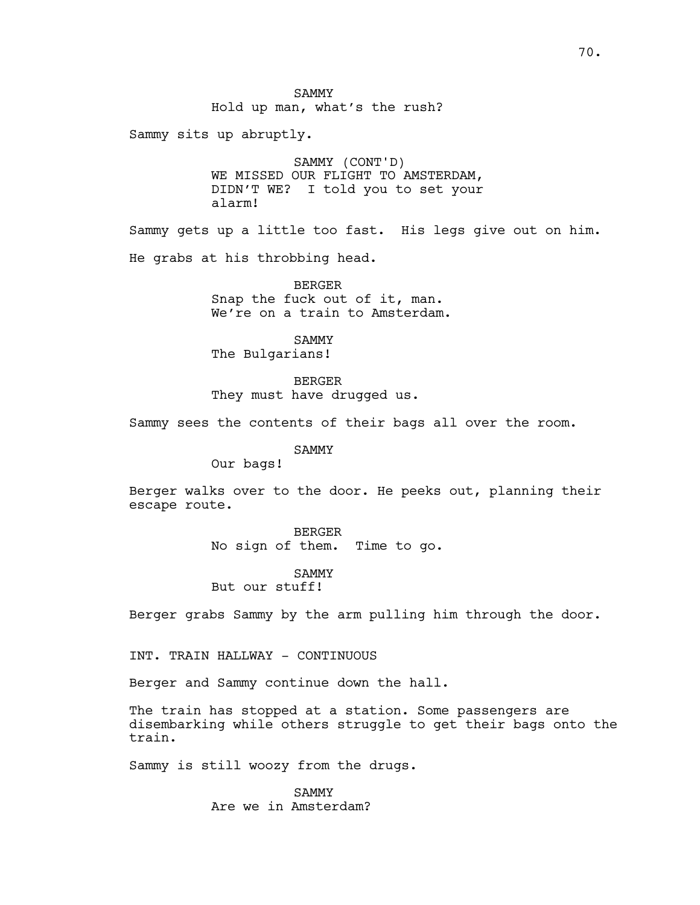Sammy sits up abruptly.

SAMMY (CONT'D) WE MISSED OUR FLIGHT TO AMSTERDAM, DIDN'T WE? I told you to set your alarm!

Sammy gets up a little too fast. His legs give out on him. He grabs at his throbbing head.

> BERGER Snap the fuck out of it, man. We're on a train to Amsterdam.

SAMMY The Bulgarians!

BERGER They must have drugged us.

Sammy sees the contents of their bags all over the room.

SAMMY

Our bags!

Berger walks over to the door. He peeks out, planning their escape route.

> BERGER No sign of them. Time to go.

> > SAMMY

But our stuff!

Berger grabs Sammy by the arm pulling him through the door.

INT. TRAIN HALLWAY - CONTINUOUS

Berger and Sammy continue down the hall.

The train has stopped at a station. Some passengers are disembarking while others struggle to get their bags onto the train.

Sammy is still woozy from the drugs.

SAMMY Are we in Amsterdam?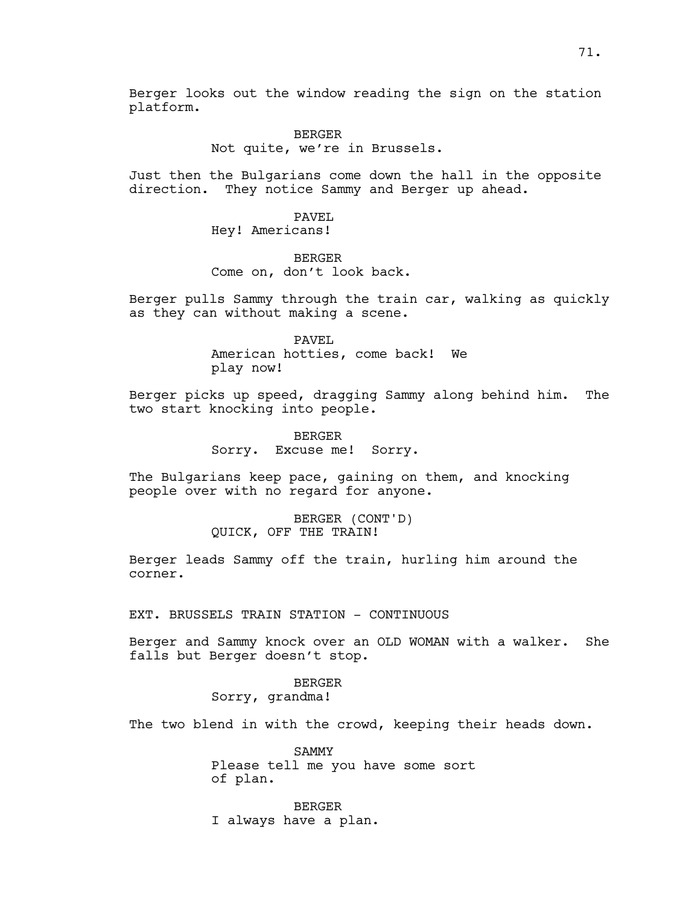## BERGER

Not quite, we're in Brussels.

Just then the Bulgarians come down the hall in the opposite direction. They notice Sammy and Berger up ahead.

### PAVEL

Hey! Americans!

BERGER Come on, don't look back.

Berger pulls Sammy through the train car, walking as quickly as they can without making a scene.

> PAVEL American hotties, come back! We play now!

Berger picks up speed, dragging Sammy along behind him. The two start knocking into people.

### BERGER

Sorry. Excuse me! Sorry.

The Bulgarians keep pace, gaining on them, and knocking people over with no regard for anyone.

> BERGER (CONT'D) QUICK, OFF THE TRAIN!

Berger leads Sammy off the train, hurling him around the corner.

EXT. BRUSSELS TRAIN STATION - CONTINUOUS

Berger and Sammy knock over an OLD WOMAN with a walker. She falls but Berger doesn't stop.

## BERGER Sorry, grandma!

The two blend in with the crowd, keeping their heads down.

SAMMY Please tell me you have some sort of plan.

BERGER I always have a plan.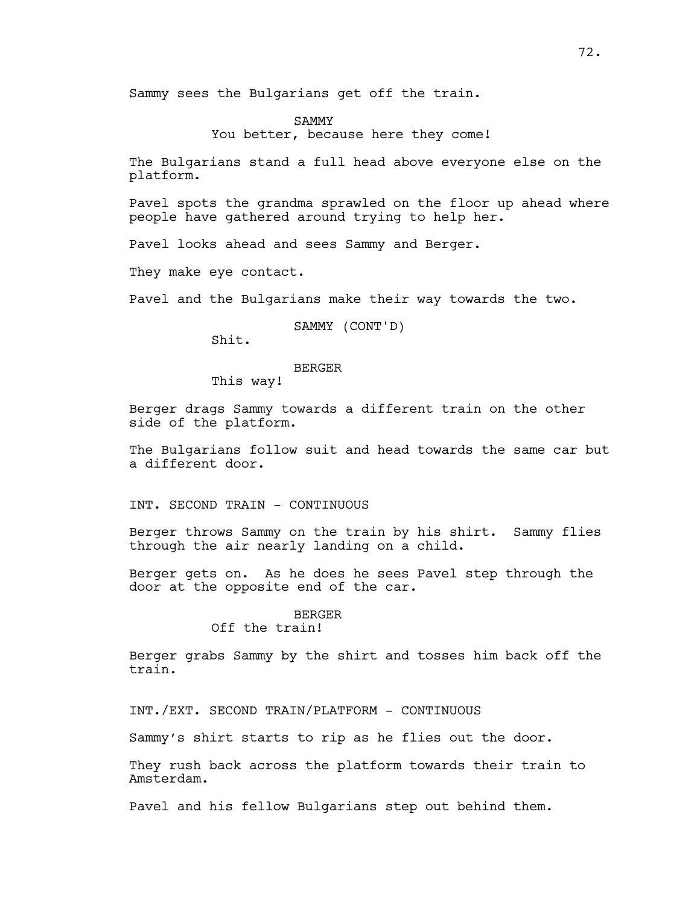Sammy sees the Bulgarians get off the train.

SAMMY

You better, because here they come!

The Bulgarians stand a full head above everyone else on the platform.

Pavel spots the grandma sprawled on the floor up ahead where people have gathered around trying to help her.

Pavel looks ahead and sees Sammy and Berger.

They make eye contact.

Pavel and the Bulgarians make their way towards the two.

SAMMY (CONT'D)

Shit.

### BERGER

This way!

Berger drags Sammy towards a different train on the other side of the platform.

The Bulgarians follow suit and head towards the same car but a different door.

INT. SECOND TRAIN - CONTINUOUS

Berger throws Sammy on the train by his shirt. Sammy flies through the air nearly landing on a child.

Berger gets on. As he does he sees Pavel step through the door at the opposite end of the car.

# BERGER

# Off the train!

Berger grabs Sammy by the shirt and tosses him back off the train.

INT./EXT. SECOND TRAIN/PLATFORM - CONTINUOUS

Sammy's shirt starts to rip as he flies out the door.

They rush back across the platform towards their train to Amsterdam.

Pavel and his fellow Bulgarians step out behind them.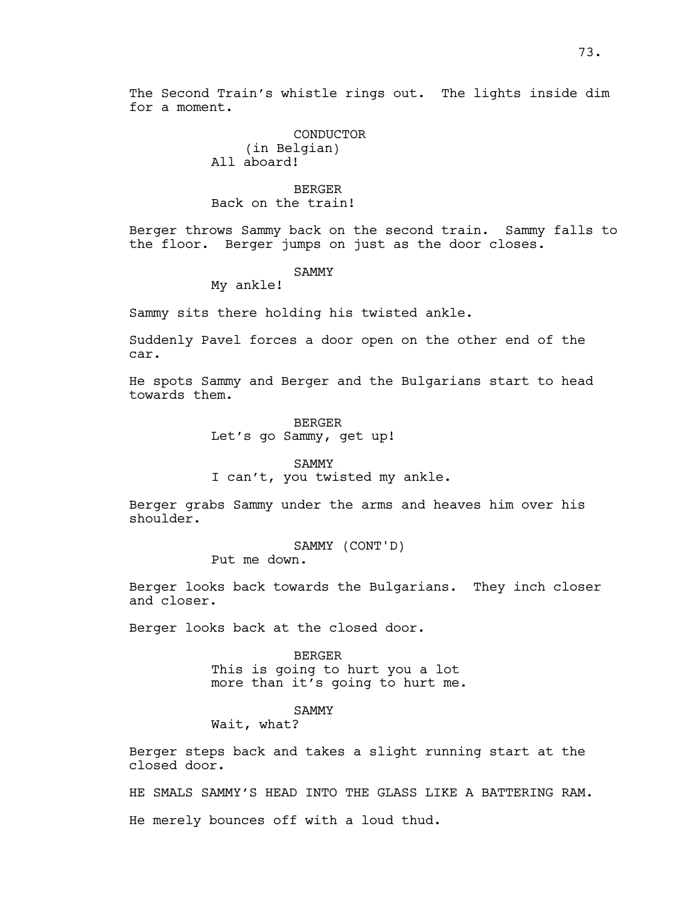The Second Train's whistle rings out. The lights inside dim for a moment.

# CONDUCTOR (in Belgian) All aboard!

# BERGER Back on the train!

Berger throws Sammy back on the second train. Sammy falls to the floor. Berger jumps on just as the door closes.

# SAMMY

My ankle!

Sammy sits there holding his twisted ankle.

Suddenly Pavel forces a door open on the other end of the car.

He spots Sammy and Berger and the Bulgarians start to head towards them.

> BERGER Let's go Sammy, get up!

## SAMMY

I can't, you twisted my ankle.

Berger grabs Sammy under the arms and heaves him over his shoulder.

> SAMMY (CONT'D) Put me down.

Berger looks back towards the Bulgarians. They inch closer and closer.

Berger looks back at the closed door.

#### BERGER

This is going to hurt you a lot more than it's going to hurt me.

# SAMMY

Wait, what?

Berger steps back and takes a slight running start at the closed door.

HE SMALS SAMMY'S HEAD INTO THE GLASS LIKE A BATTERING RAM.

He merely bounces off with a loud thud.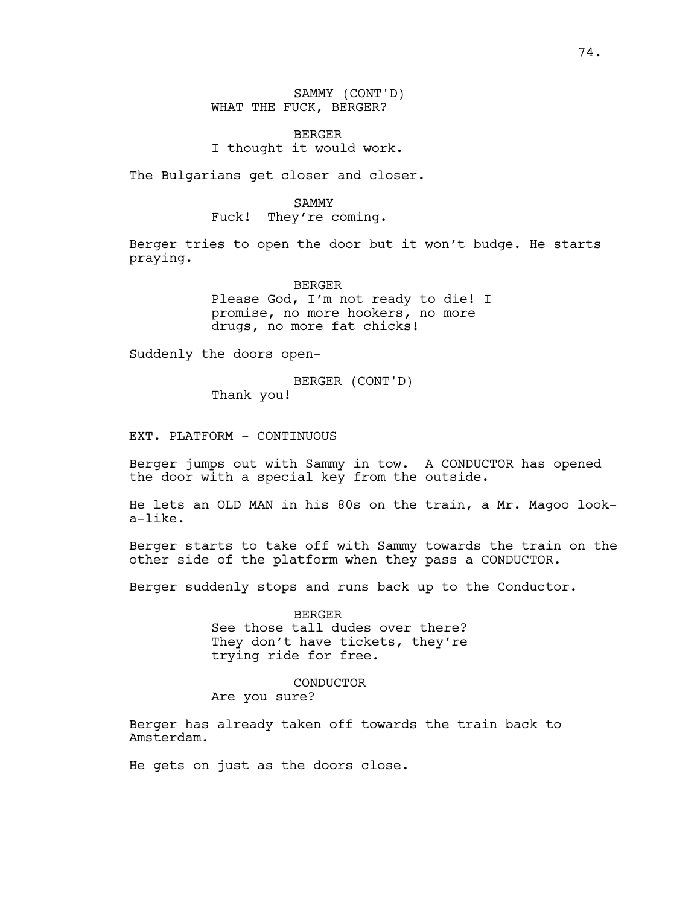SAMMY (CONT'D) WHAT THE FUCK, BERGER?

BERGER I thought it would work.

The Bulgarians get closer and closer.

SAMMY

Fuck! They're coming.

Berger tries to open the door but it won't budge. He starts praying.

> BERGER Please God, I'm not ready to die! I promise, no more hookers, no more drugs, no more fat chicks!

Suddenly the doors open-

BERGER (CONT'D) Thank you!

EXT. PLATFORM - CONTINUOUS

Berger jumps out with Sammy in tow. A CONDUCTOR has opened the door with a special key from the outside.

He lets an OLD MAN in his 80s on the train, a Mr. Magoo looka-like.

Berger starts to take off with Sammy towards the train on the other side of the platform when they pass a CONDUCTOR.

Berger suddenly stops and runs back up to the Conductor.

BERGER See those tall dudes over there? They don't have tickets, they're trying ride for free.

CONDUCTOR

Are you sure?

Berger has already taken off towards the train back to Amsterdam.

He gets on just as the doors close.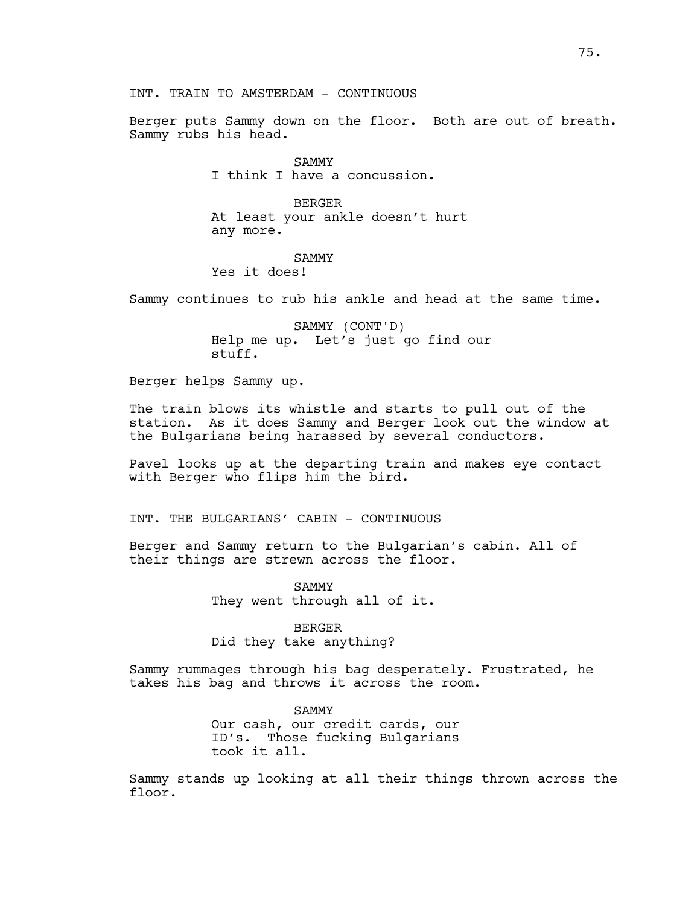Berger puts Sammy down on the floor. Both are out of breath. Sammy rubs his head.

> SAMMY I think I have a concussion.

BERGER At least your ankle doesn't hurt any more.

## SAMMY

# Yes it does!

Sammy continues to rub his ankle and head at the same time.

SAMMY (CONT'D) Help me up. Let's just go find our stuff.

Berger helps Sammy up.

The train blows its whistle and starts to pull out of the station. As it does Sammy and Berger look out the window at the Bulgarians being harassed by several conductors.

Pavel looks up at the departing train and makes eye contact with Berger who flips him the bird.

INT. THE BULGARIANS' CABIN - CONTINUOUS

Berger and Sammy return to the Bulgarian's cabin. All of their things are strewn across the floor.

> SAMMY They went through all of it.

BERGER Did they take anything?

Sammy rummages through his bag desperately. Frustrated, he takes his bag and throws it across the room.

> SAMMY Our cash, our credit cards, our ID's. Those fucking Bulgarians took it all.

Sammy stands up looking at all their things thrown across the floor.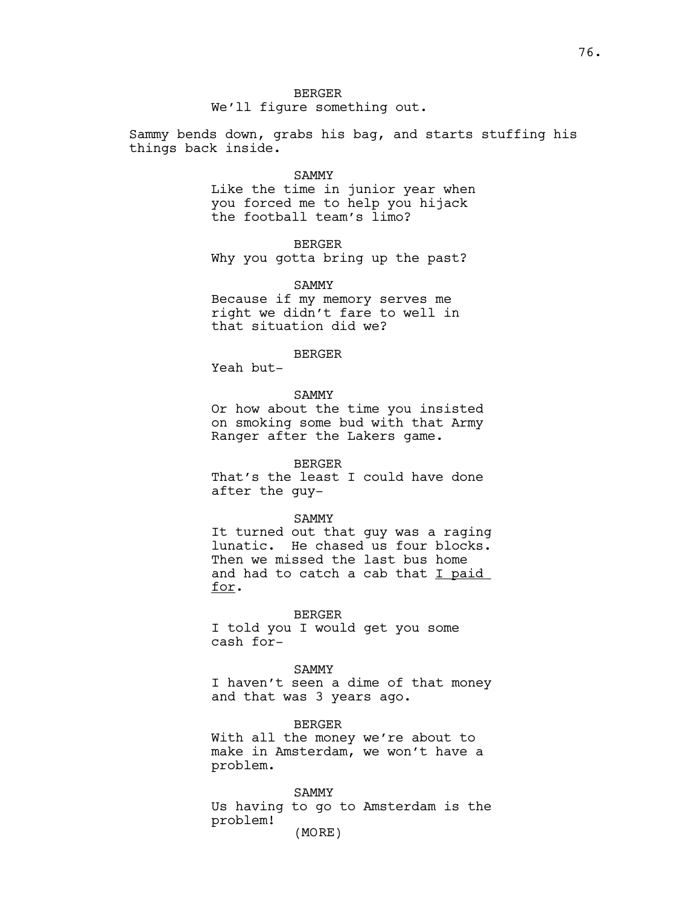We'll figure something out.

Sammy bends down, grabs his bag, and starts stuffing his things back inside.

### SAMMY

Like the time in junior year when you forced me to help you hijack the football team's limo?

# BERGER

Why you gotta bring up the past?

SAMMY Because if my memory serves me right we didn't fare to well in that situation did we?

### BERGER

Yeah but-

### SAMMY

Or how about the time you insisted on smoking some bud with that Army Ranger after the Lakers game.

### BERGER

That's the least I could have done after the guy-

#### SAMMY

It turned out that guy was a raging lunatic. He chased us four blocks. Then we missed the last bus home and had to catch a cab that I paid for.

### BERGER

I told you I would get you some cash for-

#### SAMMY

I haven't seen a dime of that money and that was 3 years ago.

## BERGER

With all the money we're about to make in Amsterdam, we won't have a problem.

SAMMY Us having to go to Amsterdam is the problem! (MORE)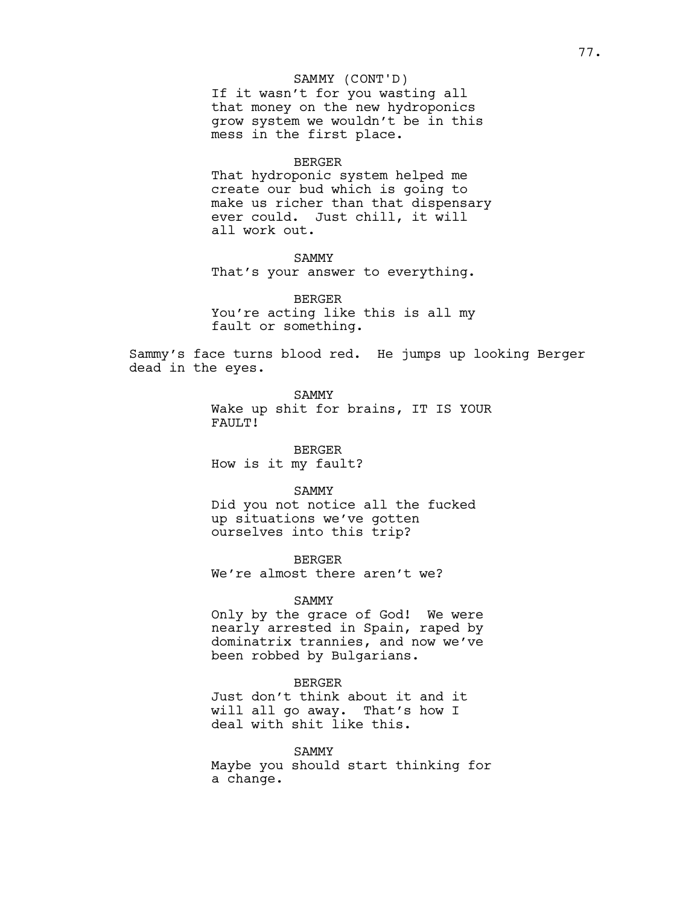## SAMMY (CONT'D)

If it wasn't for you wasting all that money on the new hydroponics grow system we wouldn't be in this mess in the first place.

### BERGER

That hydroponic system helped me create our bud which is going to make us richer than that dispensary ever could. Just chill, it will all work out.

### SAMMY

That's your answer to everything.

BERGER

You're acting like this is all my fault or something.

Sammy's face turns blood red. He jumps up looking Berger dead in the eyes.

## SAMMY

Wake up shit for brains, IT IS YOUR FAULT!

BERGER How is it my fault?

#### SAMMY

Did you not notice all the fucked up situations we've gotten ourselves into this trip?

## BERGER

We're almost there aren't we?

#### SAMMY

Only by the grace of God! We were nearly arrested in Spain, raped by dominatrix trannies, and now we've been robbed by Bulgarians.

#### BERGER

Just don't think about it and it will all go away. That's how I deal with shit like this.

### SAMMY

Maybe you should start thinking for a change.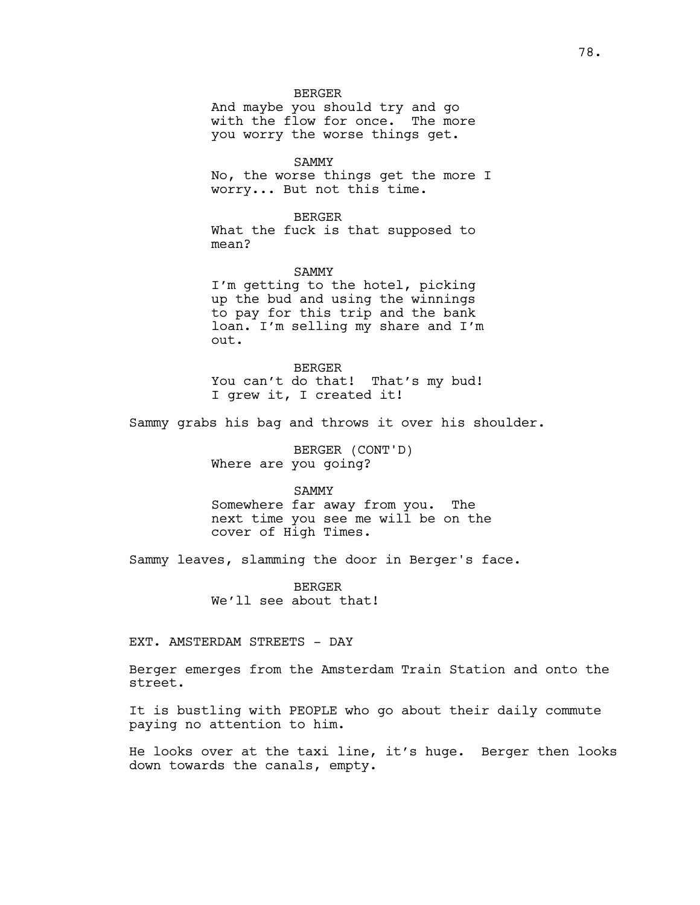## BERGER

And maybe you should try and go with the flow for once. The more you worry the worse things get.

SAMMY

No, the worse things get the more I worry... But not this time.

### BERGER

What the fuck is that supposed to mean?

SAMMY I'm getting to the hotel, picking up the bud and using the winnings to pay for this trip and the bank loan. I'm selling my share and I'm out.

BERGER You can't do that! That's my bud! I grew it, I created it!

Sammy grabs his bag and throws it over his shoulder.

BERGER (CONT'D) Where are you going?

#### SAMMY

Somewhere far away from you. The next time you see me will be on the cover of High Times.

Sammy leaves, slamming the door in Berger's face.

BERGER We'll see about that!

EXT. AMSTERDAM STREETS - DAY

Berger emerges from the Amsterdam Train Station and onto the street.

It is bustling with PEOPLE who go about their daily commute paying no attention to him.

He looks over at the taxi line, it's huge. Berger then looks down towards the canals, empty.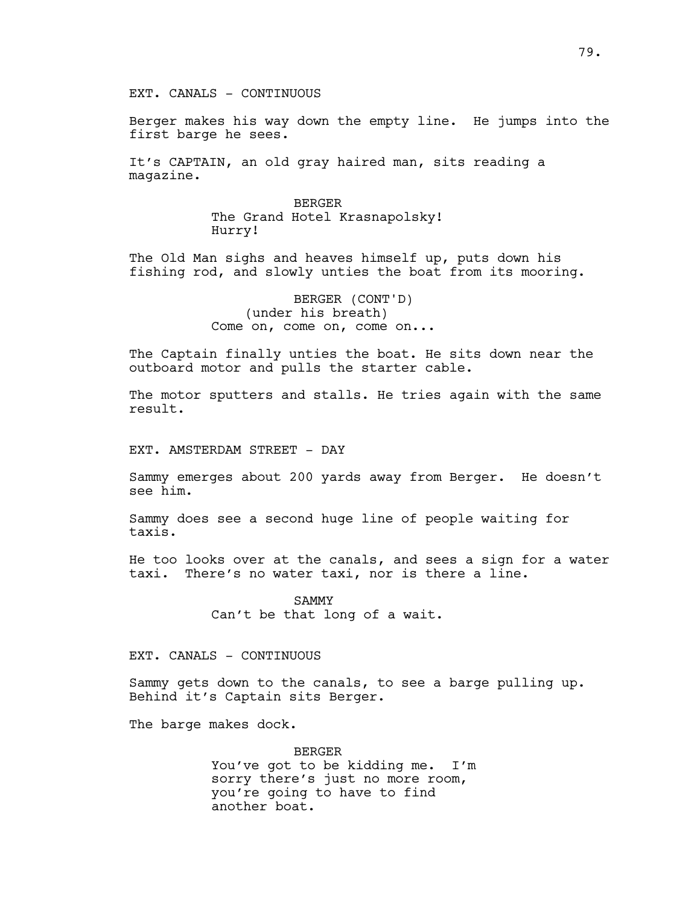Berger makes his way down the empty line. He jumps into the first barge he sees.

It's CAPTAIN, an old gray haired man, sits reading a magazine.

> BERGER The Grand Hotel Krasnapolsky! Hurry!

The Old Man sighs and heaves himself up, puts down his fishing rod, and slowly unties the boat from its mooring.

> BERGER (CONT'D) (under his breath) Come on, come on, come on...

The Captain finally unties the boat. He sits down near the outboard motor and pulls the starter cable.

The motor sputters and stalls. He tries again with the same result.

EXT. AMSTERDAM STREET - DAY

Sammy emerges about 200 yards away from Berger. He doesn't see him.

Sammy does see a second huge line of people waiting for taxis.

He too looks over at the canals, and sees a sign for a water taxi. There's no water taxi, nor is there a line.

> SAMMY Can't be that long of a wait.

# EXT. CANALS - CONTINUOUS

Sammy gets down to the canals, to see a barge pulling up. Behind it's Captain sits Berger.

The barge makes dock.

BERGER You've got to be kidding me. I'm sorry there's just no more room, you're going to have to find another boat.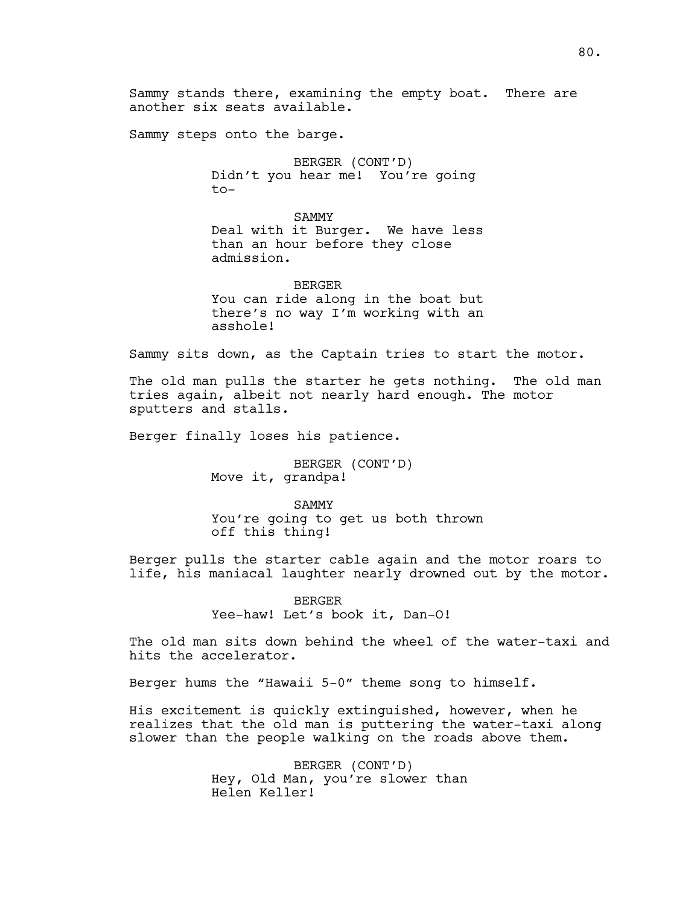Sammy stands there, examining the empty boat. There are another six seats available.

Sammy steps onto the barge.

BERGER (CONT'D) Didn't you hear me! You're going to-

SAMMY Deal with it Burger. We have less than an hour before they close admission.

BERGER You can ride along in the boat but there's no way I'm working with an asshole!

Sammy sits down, as the Captain tries to start the motor.

The old man pulls the starter he gets nothing. The old man tries again, albeit not nearly hard enough. The motor sputters and stalls.

Berger finally loses his patience.

BERGER (CONT'D) Move it, grandpa!

SAMMY

You're going to get us both thrown off this thing!

Berger pulls the starter cable again and the motor roars to life, his maniacal laughter nearly drowned out by the motor.

> BERGER Yee-haw! Let's book it, Dan-O!

The old man sits down behind the wheel of the water-taxi and hits the accelerator.

Berger hums the "Hawaii 5-0" theme song to himself.

His excitement is quickly extinguished, however, when he realizes that the old man is puttering the water-taxi along slower than the people walking on the roads above them.

> BERGER (CONT'D) Hey, Old Man, you're slower than Helen Keller!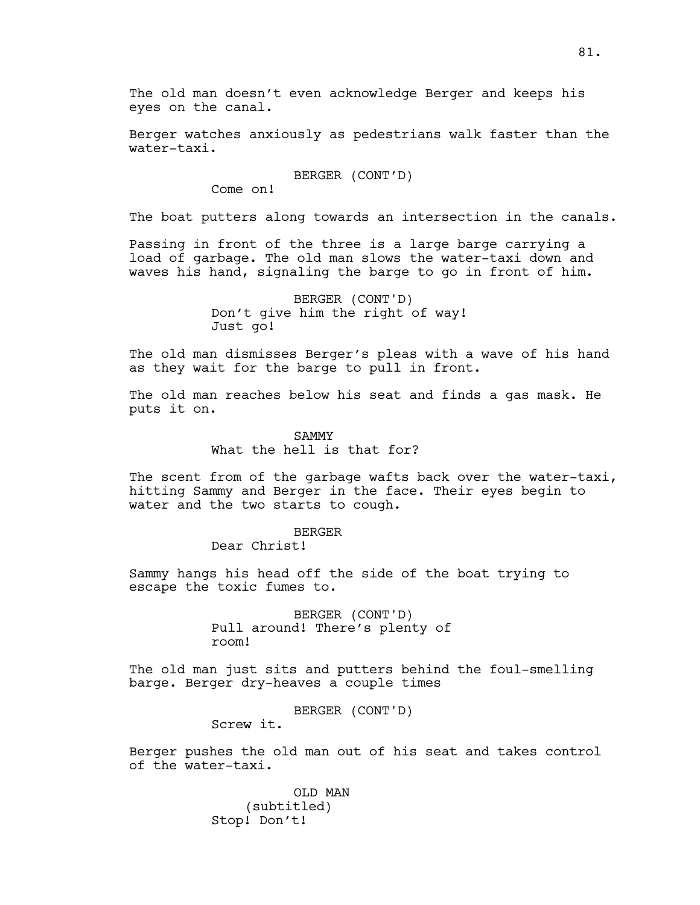The old man doesn't even acknowledge Berger and keeps his eyes on the canal.

Berger watches anxiously as pedestrians walk faster than the water-taxi.

BERGER (CONT'D)

Come on!

The boat putters along towards an intersection in the canals.

Passing in front of the three is a large barge carrying a load of garbage. The old man slows the water-taxi down and waves his hand, signaling the barge to go in front of him.

> BERGER (CONT'D) Don't give him the right of way! Just go!

The old man dismisses Berger's pleas with a wave of his hand as they wait for the barge to pull in front.

The old man reaches below his seat and finds a gas mask. He puts it on.

## SAMMY What the hell is that for?

The scent from of the garbage wafts back over the water-taxi, hitting Sammy and Berger in the face. Their eyes begin to water and the two starts to cough.

### BERGER

Dear Christ!

Sammy hangs his head off the side of the boat trying to escape the toxic fumes to.

> BERGER (CONT'D) Pull around! There's plenty of room!

The old man just sits and putters behind the foul-smelling barge. Berger dry-heaves a couple times

BERGER (CONT'D)

Screw it.

Berger pushes the old man out of his seat and takes control of the water-taxi.

> OLD MAN (subtitled) Stop! Don't!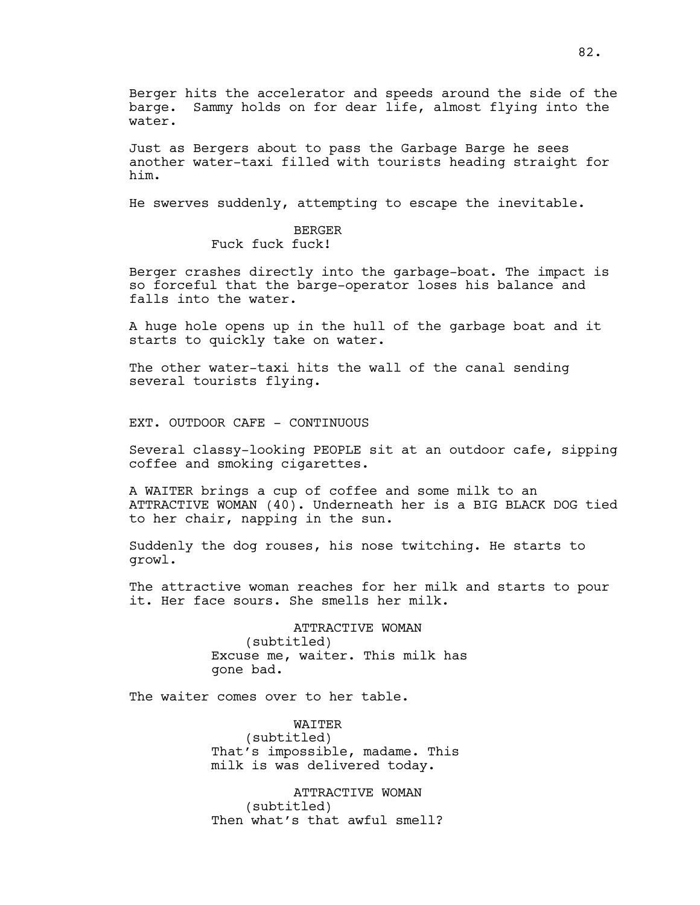Berger hits the accelerator and speeds around the side of the barge. Sammy holds on for dear life, almost flying into the water.

Just as Bergers about to pass the Garbage Barge he sees another water-taxi filled with tourists heading straight for him.

He swerves suddenly, attempting to escape the inevitable.

## BERGER Fuck fuck fuck!

Berger crashes directly into the garbage-boat. The impact is so forceful that the barge-operator loses his balance and falls into the water.

A huge hole opens up in the hull of the garbage boat and it starts to quickly take on water.

The other water-taxi hits the wall of the canal sending several tourists flying.

EXT. OUTDOOR CAFE - CONTINUOUS

Several classy-looking PEOPLE sit at an outdoor cafe, sipping coffee and smoking cigarettes.

A WAITER brings a cup of coffee and some milk to an ATTRACTIVE WOMAN (40). Underneath her is a BIG BLACK DOG tied to her chair, napping in the sun.

Suddenly the dog rouses, his nose twitching. He starts to growl.

The attractive woman reaches for her milk and starts to pour it. Her face sours. She smells her milk.

> ATTRACTIVE WOMAN (subtitled) Excuse me, waiter. This milk has gone bad.

The waiter comes over to her table.

WAITER (subtitled) That's impossible, madame. This milk is was delivered today.

ATTRACTIVE WOMAN (subtitled) Then what's that awful smell?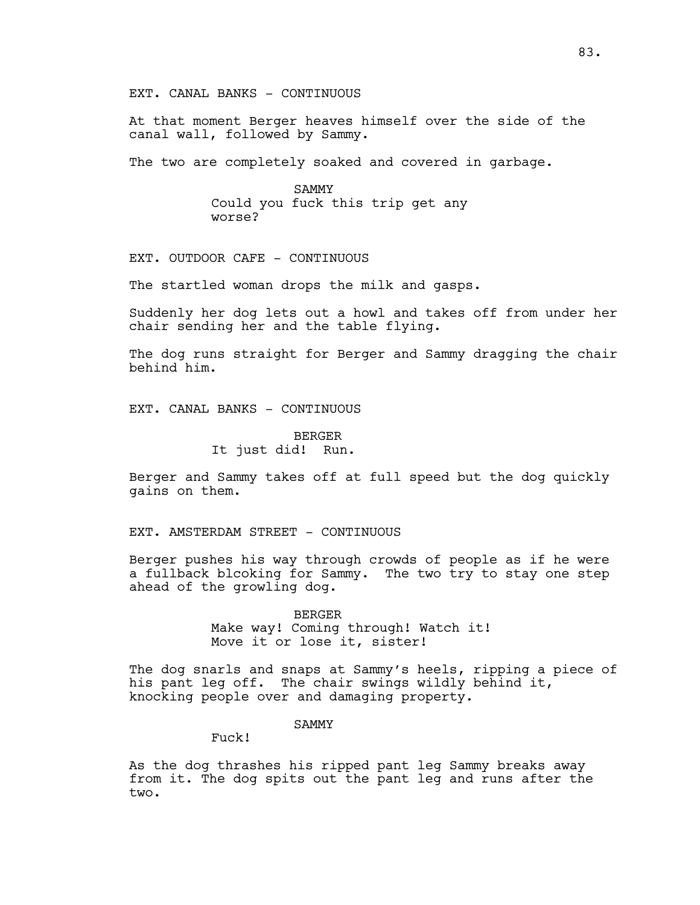EXT. CANAL BANKS - CONTINUOUS

At that moment Berger heaves himself over the side of the canal wall, followed by Sammy.

The two are completely soaked and covered in garbage.

SAMMY Could you fuck this trip get any worse?

EXT. OUTDOOR CAFE - CONTINUOUS

The startled woman drops the milk and gasps.

Suddenly her dog lets out a howl and takes off from under her chair sending her and the table flying.

The dog runs straight for Berger and Sammy dragging the chair behind him.

EXT. CANAL BANKS - CONTINUOUS

BERGER It just did! Run.

Berger and Sammy takes off at full speed but the dog quickly gains on them.

EXT. AMSTERDAM STREET - CONTINUOUS

Berger pushes his way through crowds of people as if he were a fullback blcoking for Sammy. The two try to stay one step ahead of the growling dog.

> BERGER Make way! Coming through! Watch it! Move it or lose it, sister!

The dog snarls and snaps at Sammy's heels, ripping a piece of his pant leg off. The chair swings wildly behind it, knocking people over and damaging property.

# SAMMY

Fuck!

As the dog thrashes his ripped pant leg Sammy breaks away from it. The dog spits out the pant leg and runs after the two.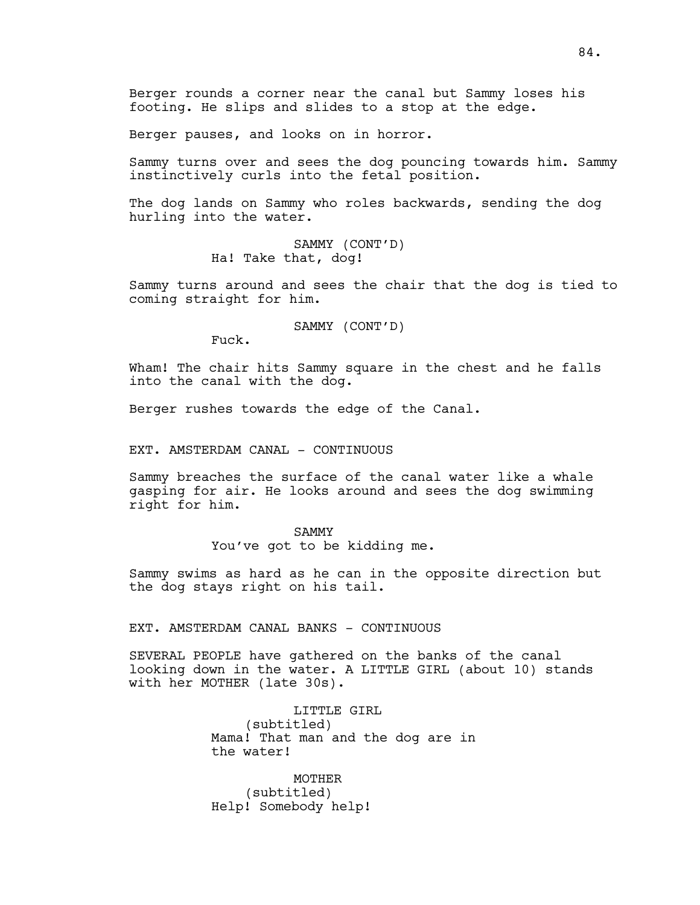Berger rounds a corner near the canal but Sammy loses his footing. He slips and slides to a stop at the edge.

Berger pauses, and looks on in horror.

Sammy turns over and sees the dog pouncing towards him. Sammy instinctively curls into the fetal position.

The dog lands on Sammy who roles backwards, sending the dog hurling into the water.

> SAMMY (CONT'D) Ha! Take that, dog!

Sammy turns around and sees the chair that the dog is tied to coming straight for him.

SAMMY (CONT'D)

Fuck.

Wham! The chair hits Sammy square in the chest and he falls into the canal with the dog.

Berger rushes towards the edge of the Canal.

EXT. AMSTERDAM CANAL - CONTINUOUS

Sammy breaches the surface of the canal water like a whale gasping for air. He looks around and sees the dog swimming right for him.

> SAMMY You've got to be kidding me.

Sammy swims as hard as he can in the opposite direction but the dog stays right on his tail.

EXT. AMSTERDAM CANAL BANKS - CONTINUOUS

SEVERAL PEOPLE have gathered on the banks of the canal looking down in the water. A LITTLE GIRL (about 10) stands with her MOTHER (late 30s).

> LITTLE GIRL (subtitled) Mama! That man and the dog are in the water!

**MOTHER** (subtitled) Help! Somebody help!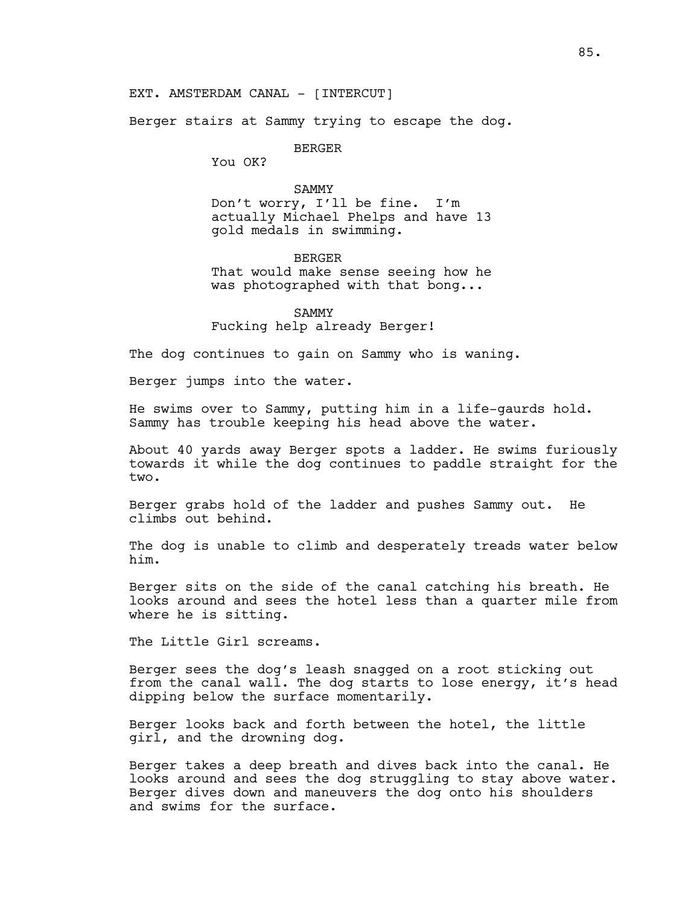## EXT. AMSTERDAM CANAL - [INTERCUT]

Berger stairs at Sammy trying to escape the dog.

BERGER

You OK?

#### SAMMY

Don't worry, I'll be fine. I'm actually Michael Phelps and have 13 gold medals in swimming.

BERGER

That would make sense seeing how he was photographed with that bong...

SAMMY

Fucking help already Berger!

The dog continues to gain on Sammy who is waning.

Berger jumps into the water.

He swims over to Sammy, putting him in a life-gaurds hold. Sammy has trouble keeping his head above the water.

About 40 yards away Berger spots a ladder. He swims furiously towards it while the dog continues to paddle straight for the two.

Berger grabs hold of the ladder and pushes Sammy out. He climbs out behind.

The dog is unable to climb and desperately treads water below him.

Berger sits on the side of the canal catching his breath. He looks around and sees the hotel less than a quarter mile from where he is sitting.

The Little Girl screams.

Berger sees the dog's leash snagged on a root sticking out from the canal wall. The dog starts to lose energy, it's head dipping below the surface momentarily.

Berger looks back and forth between the hotel, the little girl, and the drowning dog.

Berger takes a deep breath and dives back into the canal. He looks around and sees the dog struggling to stay above water. Berger dives down and maneuvers the dog onto his shoulders and swims for the surface.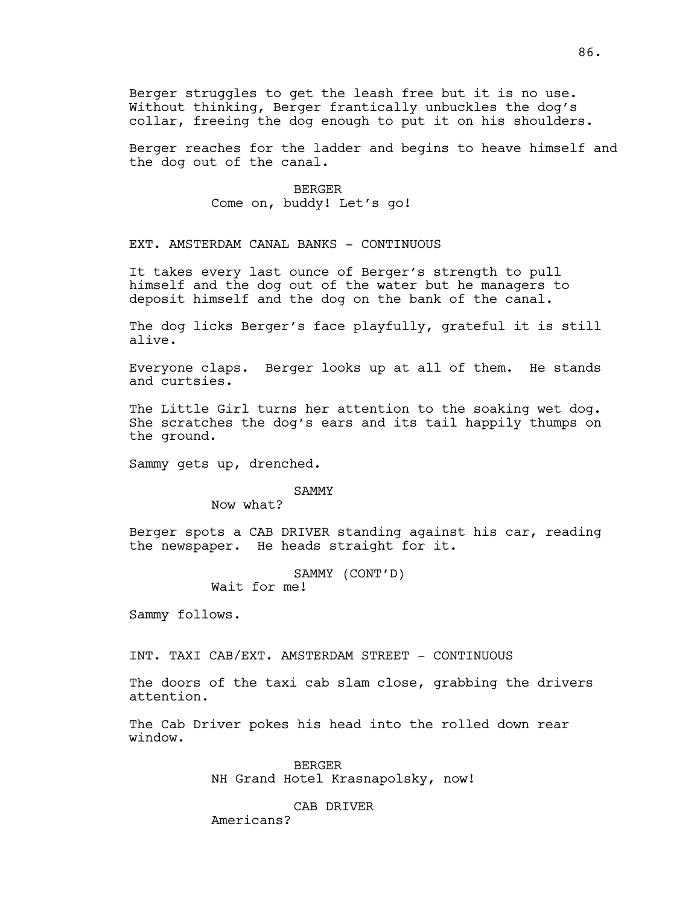Berger struggles to get the leash free but it is no use. Without thinking, Berger frantically unbuckles the dog's collar, freeing the dog enough to put it on his shoulders.

Berger reaches for the ladder and begins to heave himself and the dog out of the canal.

> BERGER Come on, buddy! Let's go!

EXT. AMSTERDAM CANAL BANKS - CONTINUOUS

It takes every last ounce of Berger's strength to pull himself and the dog out of the water but he managers to deposit himself and the dog on the bank of the canal.

The dog licks Berger's face playfully, grateful it is still alive.

Everyone claps. Berger looks up at all of them. He stands and curtsies.

The Little Girl turns her attention to the soaking wet dog. She scratches the dog's ears and its tail happily thumps on the ground.

Sammy gets up, drenched.

SAMMY

Now what?

Berger spots a CAB DRIVER standing against his car, reading the newspaper. He heads straight for it.

> SAMMY (CONT'D) Wait for me!

Sammy follows.

INT. TAXI CAB/EXT. AMSTERDAM STREET - CONTINUOUS

The doors of the taxi cab slam close, grabbing the drivers attention.

The Cab Driver pokes his head into the rolled down rear window.

> BERGER NH Grand Hotel Krasnapolsky, now!

> > CAB DRIVER

Americans?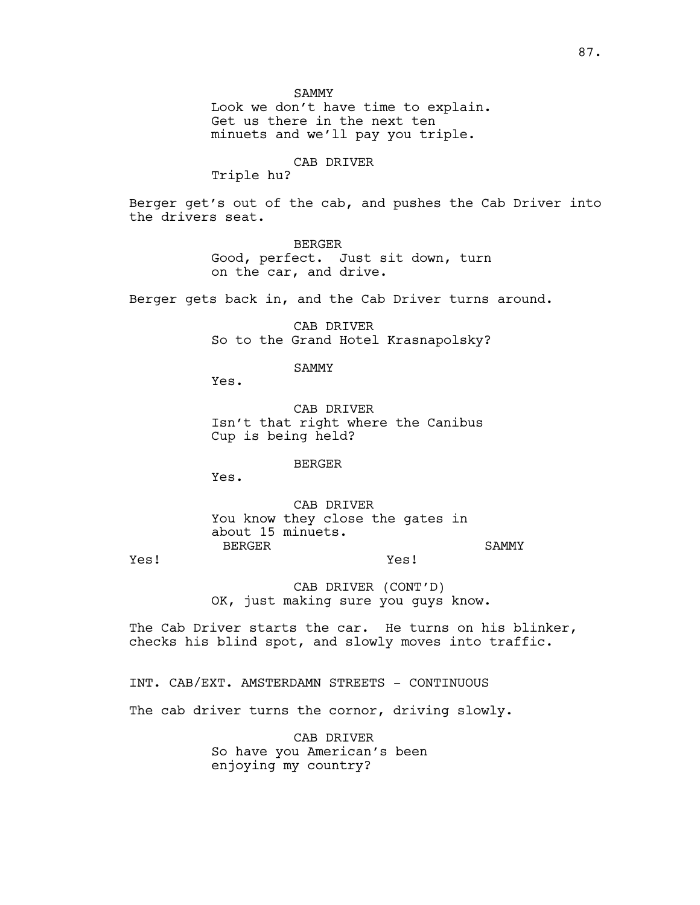SAMMY

Look we don't have time to explain. Get us there in the next ten minuets and we'll pay you triple.

CAB DRIVER

Triple hu?

Berger get's out of the cab, and pushes the Cab Driver into the drivers seat.

BERGER

Good, perfect. Just sit down, turn on the car, and drive.

Berger gets back in, and the Cab Driver turns around.

CAB DRIVER So to the Grand Hotel Krasnapolsky?

SAMMY

Yes.

CAB DRIVER Isn't that right where the Canibus Cup is being held?

BERGER

Yes.

CAB DRIVER You know they close the gates in about 15 minuets. BERGER SAMMY Yes!

Yes!

CAB DRIVER (CONT'D) OK, just making sure you guys know.

The Cab Driver starts the car. He turns on his blinker, checks his blind spot, and slowly moves into traffic.

INT. CAB/EXT. AMSTERDAMN STREETS - CONTINUOUS

The cab driver turns the cornor, driving slowly.

CAB DRIVER So have you American's been enjoying my country?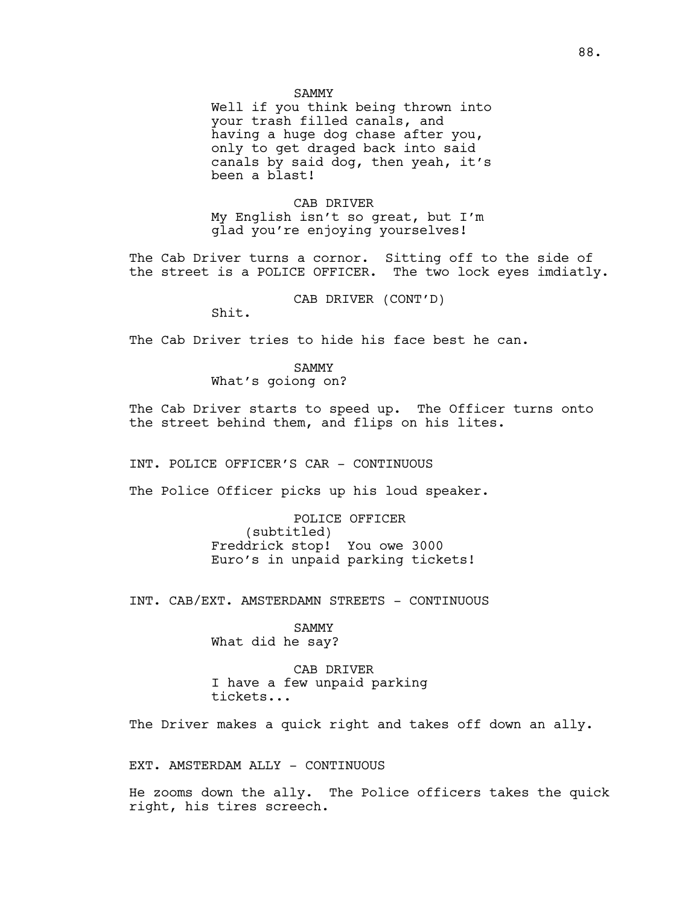### SAMMY

Well if you think being thrown into your trash filled canals, and having a huge dog chase after you, only to get draged back into said canals by said dog, then yeah, it's been a blast!

CAB DRIVER My English isn't so great, but I'm glad you're enjoying yourselves!

The Cab Driver turns a cornor. Sitting off to the side of the street is a POLICE OFFICER. The two lock eyes imdiatly.

CAB DRIVER (CONT'D)

Shit.

The Cab Driver tries to hide his face best he can.

### SAMMY

What's goiong on?

The Cab Driver starts to speed up. The Officer turns onto the street behind them, and flips on his lites.

INT. POLICE OFFICER'S CAR - CONTINUOUS

The Police Officer picks up his loud speaker.

POLICE OFFICER (subtitled) Freddrick stop! You owe 3000 Euro's in unpaid parking tickets!

INT. CAB/EXT. AMSTERDAMN STREETS - CONTINUOUS

SAMMY What did he say?

CAB DRIVER I have a few unpaid parking tickets...

The Driver makes a quick right and takes off down an ally.

EXT. AMSTERDAM ALLY - CONTINUOUS

He zooms down the ally. The Police officers takes the quick right, his tires screech.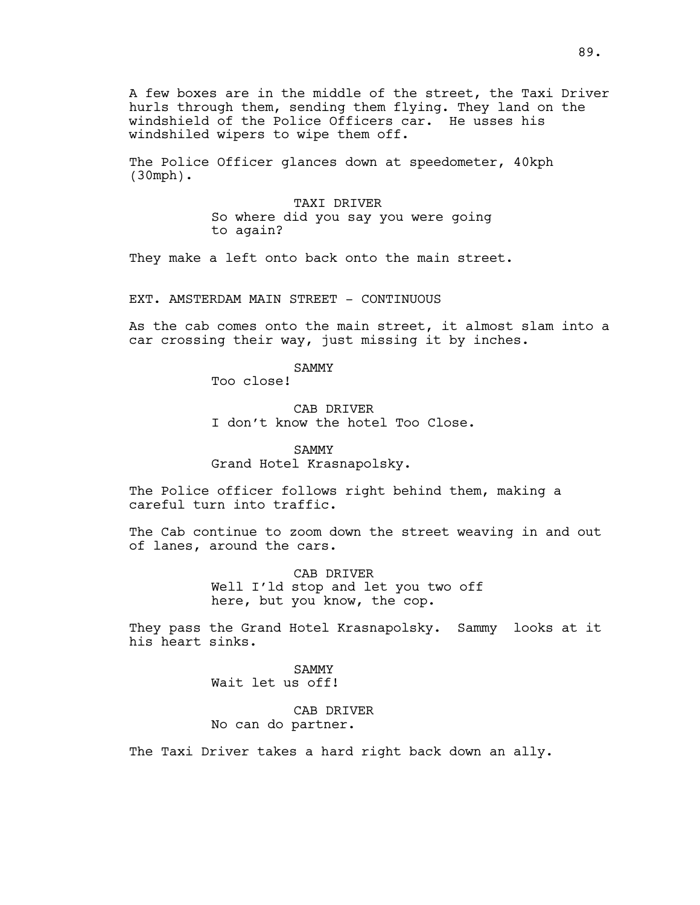A few boxes are in the middle of the street, the Taxi Driver hurls through them, sending them flying. They land on the windshield of the Police Officers car. He usses his windshiled wipers to wipe them off.

The Police Officer glances down at speedometer, 40kph (30mph).

> TAXI DRIVER So where did you say you were going to again?

They make a left onto back onto the main street.

EXT. AMSTERDAM MAIN STREET - CONTINUOUS

As the cab comes onto the main street, it almost slam into a car crossing their way, just missing it by inches.

SAMMY

Too close!

CAB DRIVER I don't know the hotel Too Close.

SAMMY Grand Hotel Krasnapolsky.

The Police officer follows right behind them, making a careful turn into traffic.

The Cab continue to zoom down the street weaving in and out of lanes, around the cars.

> CAB DRIVER Well I'ld stop and let you two off here, but you know, the cop.

They pass the Grand Hotel Krasnapolsky. Sammy looks at it his heart sinks.

> SAMMY Wait let us off!

# CAB DRIVER No can do partner.

The Taxi Driver takes a hard right back down an ally.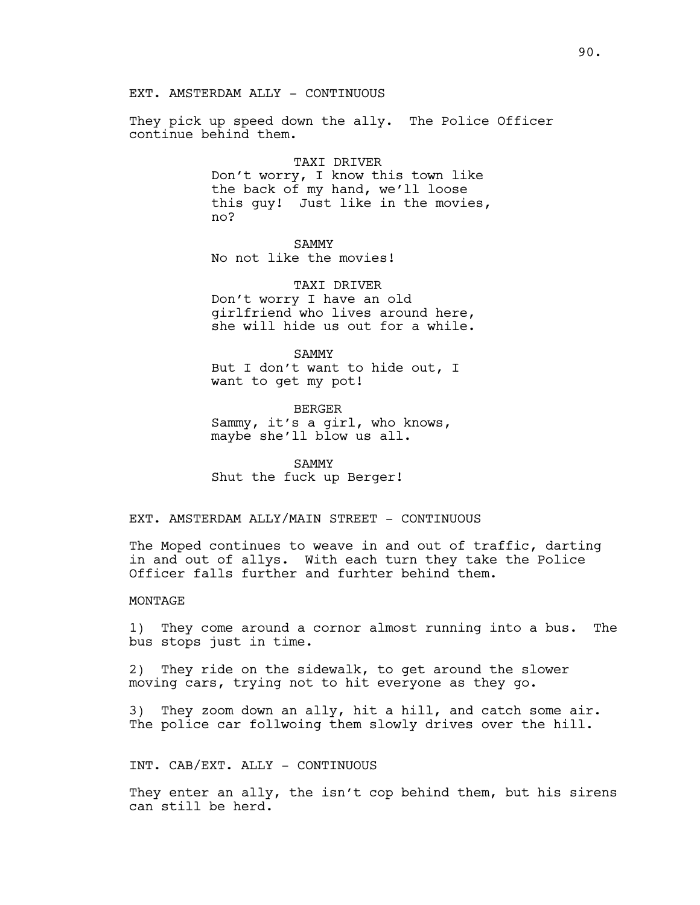## EXT. AMSTERDAM ALLY - CONTINUOUS

They pick up speed down the ally. The Police Officer continue behind them.

### TAXI DRIVER

Don't worry, I know this town like the back of my hand, we'll loose this guy! Just like in the movies, no?

### SAMMY

No not like the movies!

TAXI DRIVER Don't worry I have an old girlfriend who lives around here, she will hide us out for a while.

SAMMY

But I don't want to hide out, I want to get my pot!

BERGER Sammy, it's a girl, who knows, maybe she'll blow us all.

# SAMMY

Shut the fuck up Berger!

# EXT. AMSTERDAM ALLY/MAIN STREET - CONTINUOUS

The Moped continues to weave in and out of traffic, darting in and out of allys. With each turn they take the Police Officer falls further and furhter behind them.

# MONTAGE

1) They come around a cornor almost running into a bus. The bus stops just in time.

2) They ride on the sidewalk, to get around the slower moving cars, trying not to hit everyone as they go.

3) They zoom down an ally, hit a hill, and catch some air. The police car follwoing them slowly drives over the hill.

## INT. CAB/EXT. ALLY - CONTINUOUS

They enter an ally, the isn't cop behind them, but his sirens can still be herd.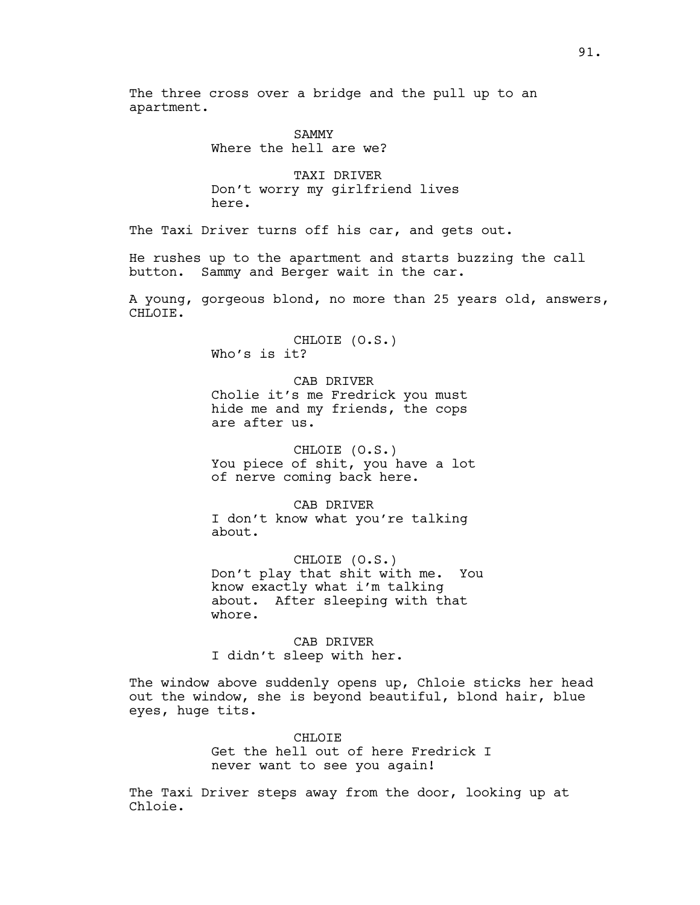The three cross over a bridge and the pull up to an apartment.

> SAMMY Where the hell are we?

TAXI DRIVER Don't worry my girlfriend lives here.

The Taxi Driver turns off his car, and gets out.

He rushes up to the apartment and starts buzzing the call button. Sammy and Berger wait in the car.

A young, gorgeous blond, no more than 25 years old, answers, CHLOIE.

> CHLOIE (O.S.) Who's is it?

CAB DRIVER Cholie it's me Fredrick you must hide me and my friends, the cops are after us.

CHLOIE (O.S.) You piece of shit, you have a lot of nerve coming back here.

CAB DRIVER I don't know what you're talking about.

CHLOIE (O.S.) Don't play that shit with me. You know exactly what i'm talking about. After sleeping with that whore.

CAB DRIVER I didn't sleep with her.

The window above suddenly opens up, Chloie sticks her head out the window, she is beyond beautiful, blond hair, blue eyes, huge tits.

> CHLOIE Get the hell out of here Fredrick I never want to see you again!

The Taxi Driver steps away from the door, looking up at Chloie.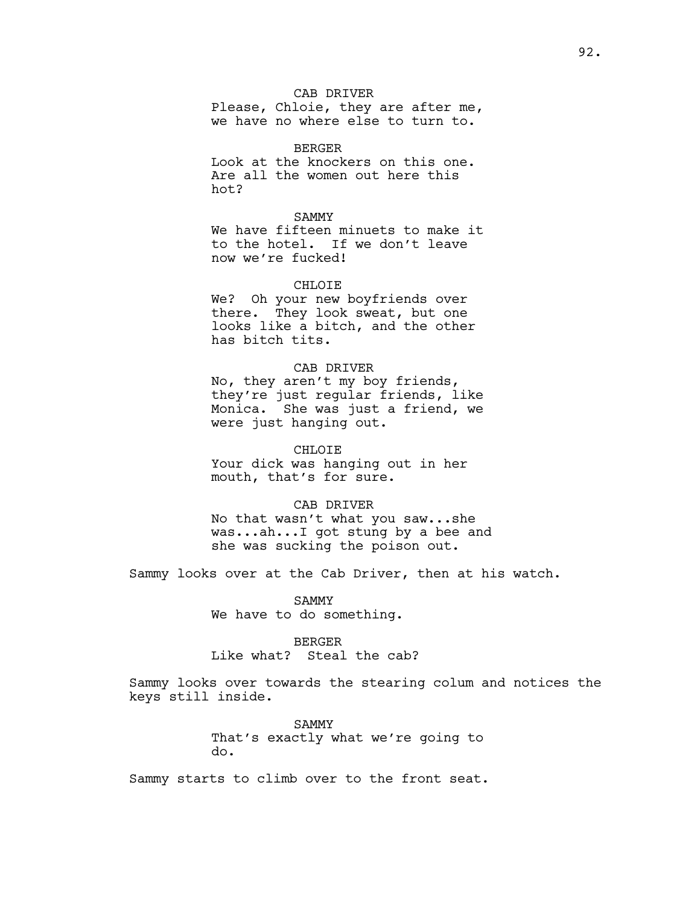# CAB DRIVER

Please, Chloie, they are after me, we have no where else to turn to.

#### BERGER

Look at the knockers on this one. Are all the women out here this hot?

### SAMMY

We have fifteen minuets to make it to the hotel. If we don't leave now we're fucked!

#### CHLOIE

We? Oh your new boyfriends over there. They look sweat, but one looks like a bitch, and the other has bitch tits.

## CAB DRIVER

No, they aren't my boy friends, they're just regular friends, like Monica. She was just a friend, we were just hanging out.

#### CHLOIE

Your dick was hanging out in her mouth, that's for sure.

### CAB DRIVER

No that wasn't what you saw...she was...ah...I got stung by a bee and she was sucking the poison out.

Sammy looks over at the Cab Driver, then at his watch.

# SAMMY

We have to do something.

## BERGER

Like what? Steal the cab?

Sammy looks over towards the stearing colum and notices the keys still inside.

> SAMMY That's exactly what we're going to do.

Sammy starts to climb over to the front seat.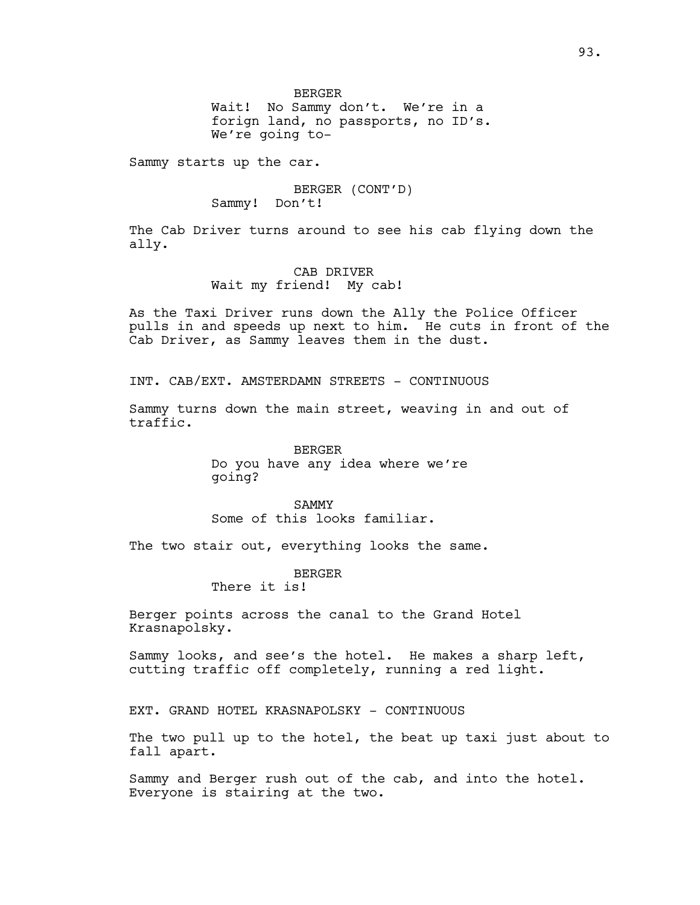BERGER

Wait! No Sammy don't. We're in a forign land, no passports, no ID's. We're going to-

Sammy starts up the car.

BERGER (CONT'D) Sammy! Don't!

The Cab Driver turns around to see his cab flying down the ally.

> CAB DRIVER Wait my friend! My cab!

As the Taxi Driver runs down the Ally the Police Officer pulls in and speeds up next to him. He cuts in front of the Cab Driver, as Sammy leaves them in the dust.

INT. CAB/EXT. AMSTERDAMN STREETS - CONTINUOUS

Sammy turns down the main street, weaving in and out of traffic.

> BERGER Do you have any idea where we're going?

> > SAMMY

Some of this looks familiar.

The two stair out, everything looks the same.

BERGER

There it is!

Berger points across the canal to the Grand Hotel Krasnapolsky.

Sammy looks, and see's the hotel. He makes a sharp left, cutting traffic off completely, running a red light.

EXT. GRAND HOTEL KRASNAPOLSKY - CONTINUOUS

The two pull up to the hotel, the beat up taxi just about to fall apart.

Sammy and Berger rush out of the cab, and into the hotel. Everyone is stairing at the two.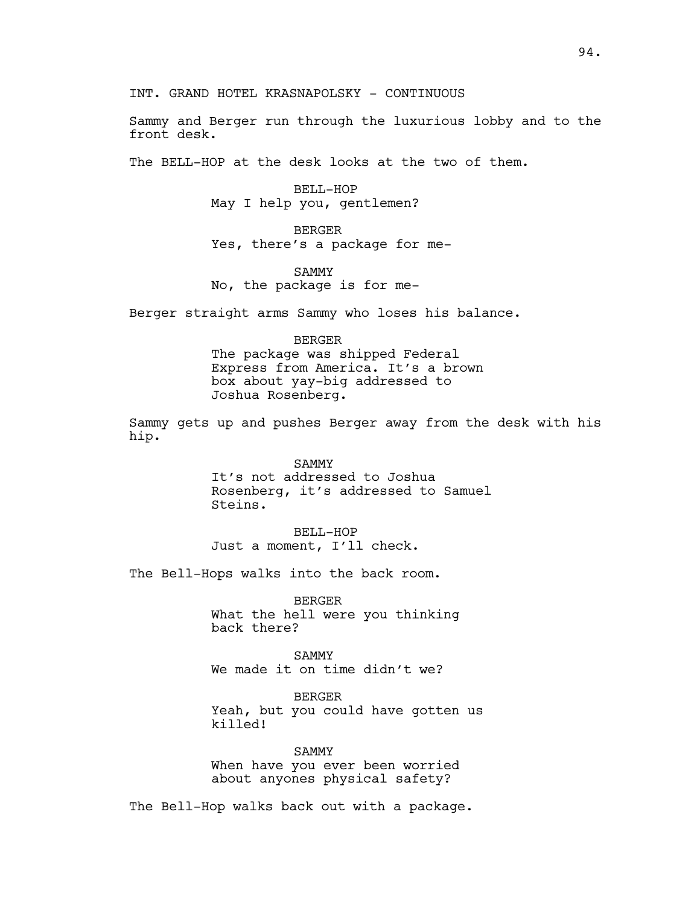INT. GRAND HOTEL KRASNAPOLSKY - CONTINUOUS

Sammy and Berger run through the luxurious lobby and to the front desk.

The BELL-HOP at the desk looks at the two of them.

BELL-HOP May I help you, gentlemen?

BERGER Yes, there's a package for me-

SAMMY No, the package is for me-

Berger straight arms Sammy who loses his balance.

BERGER The package was shipped Federal Express from America. It's a brown box about yay-big addressed to Joshua Rosenberg.

Sammy gets up and pushes Berger away from the desk with his hip.

> SAMMY It's not addressed to Joshua Rosenberg, it's addressed to Samuel Steins.

BELL-HOP Just a moment, I'll check.

The Bell-Hops walks into the back room.

BERGER What the hell were you thinking back there?

SAMMY We made it on time didn't we?

BERGER Yeah, but you could have gotten us killed!

SAMMY When have you ever been worried about anyones physical safety?

The Bell-Hop walks back out with a package.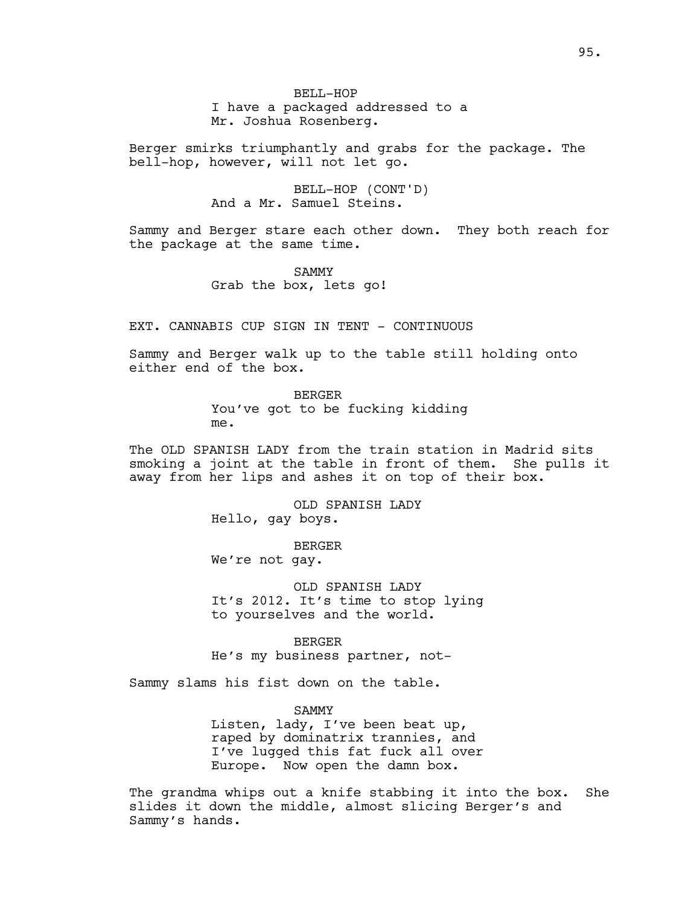Berger smirks triumphantly and grabs for the package. The bell-hop, however, will not let go.

> BELL-HOP (CONT'D) And a Mr. Samuel Steins.

Sammy and Berger stare each other down. They both reach for the package at the same time.

> SAMMY Grab the box, lets go!

EXT. CANNABIS CUP SIGN IN TENT - CONTINUOUS

Sammy and Berger walk up to the table still holding onto either end of the box.

BERGER

You've got to be fucking kidding me.

The OLD SPANISH LADY from the train station in Madrid sits smoking a joint at the table in front of them. She pulls it away from her lips and ashes it on top of their box.

> OLD SPANISH LADY Hello, gay boys.

BERGER We're not gay.

OLD SPANISH LADY It's 2012. It's time to stop lying to yourselves and the world.

BERGER He's my business partner, not-

Sammy slams his fist down on the table.

SAMMY Listen, lady, I've been beat up, raped by dominatrix trannies, and I've lugged this fat fuck all over Europe. Now open the damn box.

The grandma whips out a knife stabbing it into the box. She slides it down the middle, almost slicing Berger's and Sammy's hands.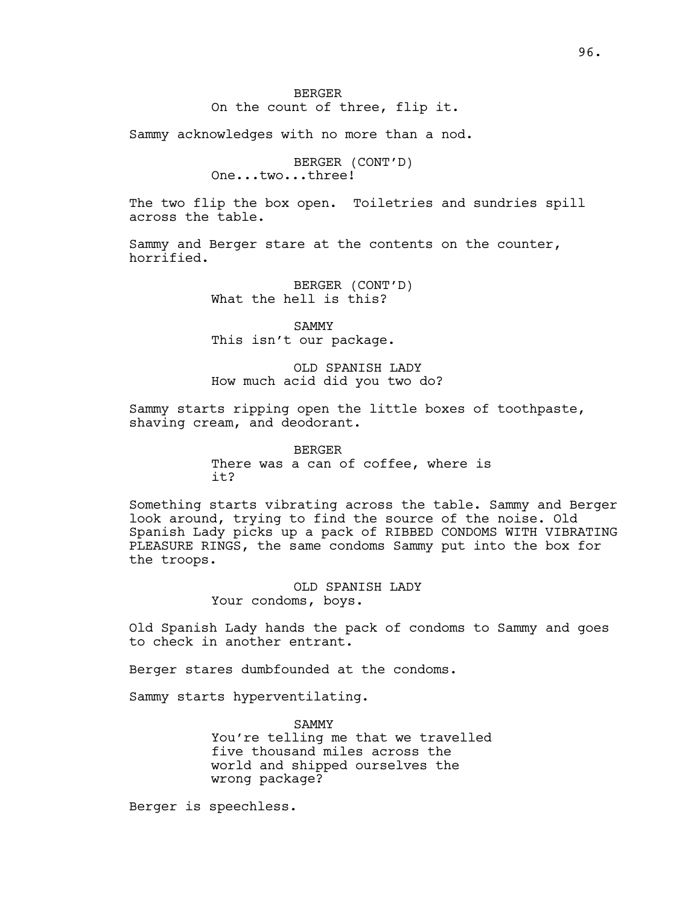On the count of three, flip it.

Sammy acknowledges with no more than a nod.

BERGER (CONT'D) One...two...three!

The two flip the box open. Toiletries and sundries spill across the table.

Sammy and Berger stare at the contents on the counter, horrified.

> BERGER (CONT'D) What the hell is this?

SAMMY This isn't our package.

OLD SPANISH LADY How much acid did you two do?

Sammy starts ripping open the little boxes of toothpaste, shaving cream, and deodorant.

> BERGER There was a can of coffee, where is it?

Something starts vibrating across the table. Sammy and Berger look around, trying to find the source of the noise. Old Spanish Lady picks up a pack of RIBBED CONDOMS WITH VIBRATING PLEASURE RINGS, the same condoms Sammy put into the box for the troops.

> OLD SPANISH LADY Your condoms, boys.

Old Spanish Lady hands the pack of condoms to Sammy and goes to check in another entrant.

Berger stares dumbfounded at the condoms.

Sammy starts hyperventilating.

SAMMY You're telling me that we travelled five thousand miles across the world and shipped ourselves the wrong package?

Berger is speechless.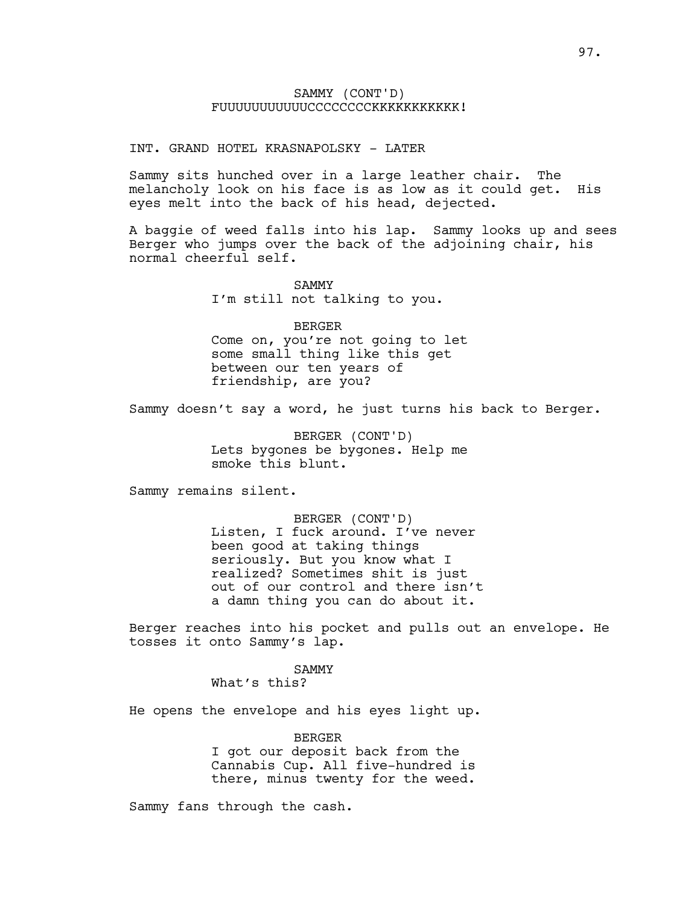# SAMMY (CONT'D) FUUUUUUUUUUUUCCCCCCCCKKKKKKKKKKK!

INT. GRAND HOTEL KRASNAPOLSKY - LATER

Sammy sits hunched over in a large leather chair. The melancholy look on his face is as low as it could get. His eyes melt into the back of his head, dejected.

A baggie of weed falls into his lap. Sammy looks up and sees Berger who jumps over the back of the adjoining chair, his normal cheerful self.

> SAMMY I'm still not talking to you.

BERGER Come on, you're not going to let some small thing like this get between our ten years of friendship, are you?

Sammy doesn't say a word, he just turns his back to Berger.

BERGER (CONT'D) Lets bygones be bygones. Help me smoke this blunt.

Sammy remains silent.

BERGER (CONT'D) Listen, I fuck around. I've never been good at taking things seriously. But you know what I realized? Sometimes shit is just out of our control and there isn't a damn thing you can do about it.

Berger reaches into his pocket and pulls out an envelope. He tosses it onto Sammy's lap.

SAMMY

What's this?

He opens the envelope and his eyes light up.

BERGER I got our deposit back from the Cannabis Cup. All five-hundred is there, minus twenty for the weed.

Sammy fans through the cash.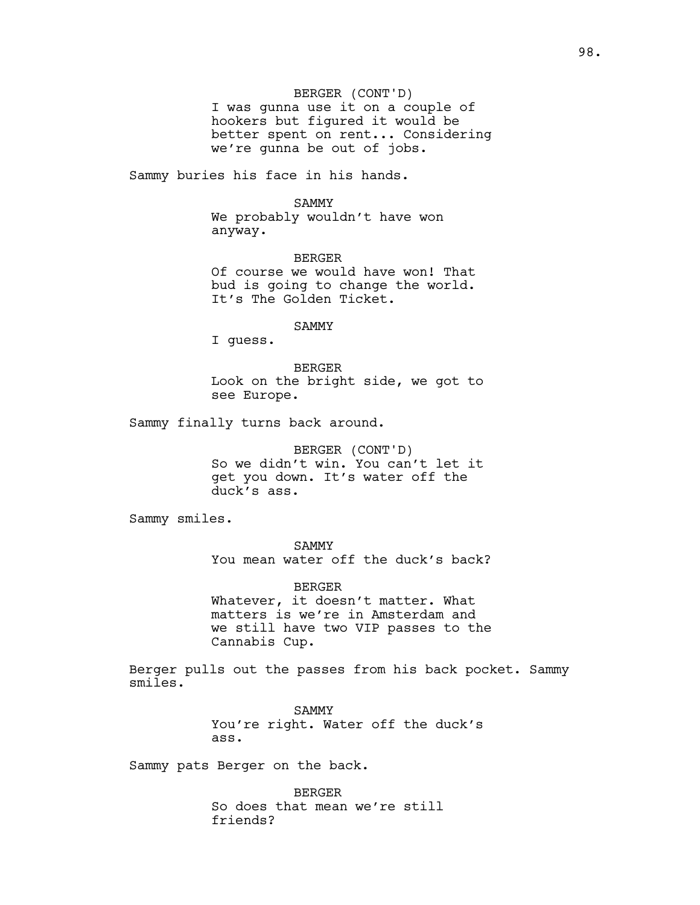# BERGER (CONT'D)

I was gunna use it on a couple of hookers but figured it would be better spent on rent... Considering we're gunna be out of jobs.

Sammy buries his face in his hands.

### SAMMY

We probably wouldn't have won anyway.

BERGER

Of course we would have won! That bud is going to change the world. It's The Golden Ticket.

SAMMY

I guess.

BERGER Look on the bright side, we got to see Europe.

Sammy finally turns back around.

BERGER (CONT'D) So we didn't win. You can't let it get you down. It's water off the duck's ass.

Sammy smiles.

SAMMY You mean water off the duck's back?

BERGER Whatever, it doesn't matter. What matters is we're in Amsterdam and we still have two VIP passes to the Cannabis Cup.

Berger pulls out the passes from his back pocket. Sammy smiles.

> SAMMY You're right. Water off the duck's ass.

Sammy pats Berger on the back.

BERGER So does that mean we're still friends?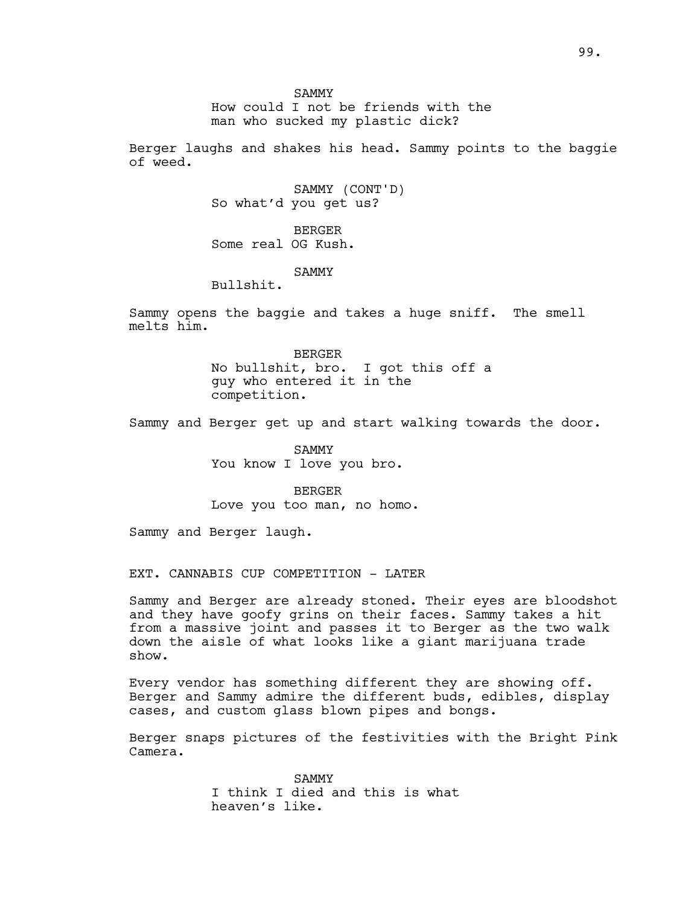SAMMY

How could I not be friends with the man who sucked my plastic dick?

Berger laughs and shakes his head. Sammy points to the baggie of weed.

> SAMMY (CONT'D) So what'd you get us?

BERGER Some real OG Kush.

## SAMMY

Bullshit.

Sammy opens the baggie and takes a huge sniff. The smell melts him.

> BERGER No bullshit, bro. I got this off a guy who entered it in the competition.

Sammy and Berger get up and start walking towards the door.

SAMMY You know I love you bro.

BERGER Love you too man, no homo.

Sammy and Berger laugh.

EXT. CANNABIS CUP COMPETITION - LATER

Sammy and Berger are already stoned. Their eyes are bloodshot and they have goofy grins on their faces. Sammy takes a hit from a massive joint and passes it to Berger as the two walk down the aisle of what looks like a giant marijuana trade show.

Every vendor has something different they are showing off. Berger and Sammy admire the different buds, edibles, display cases, and custom glass blown pipes and bongs.

Berger snaps pictures of the festivities with the Bright Pink Camera.

> SAMMY I think I died and this is what heaven's like.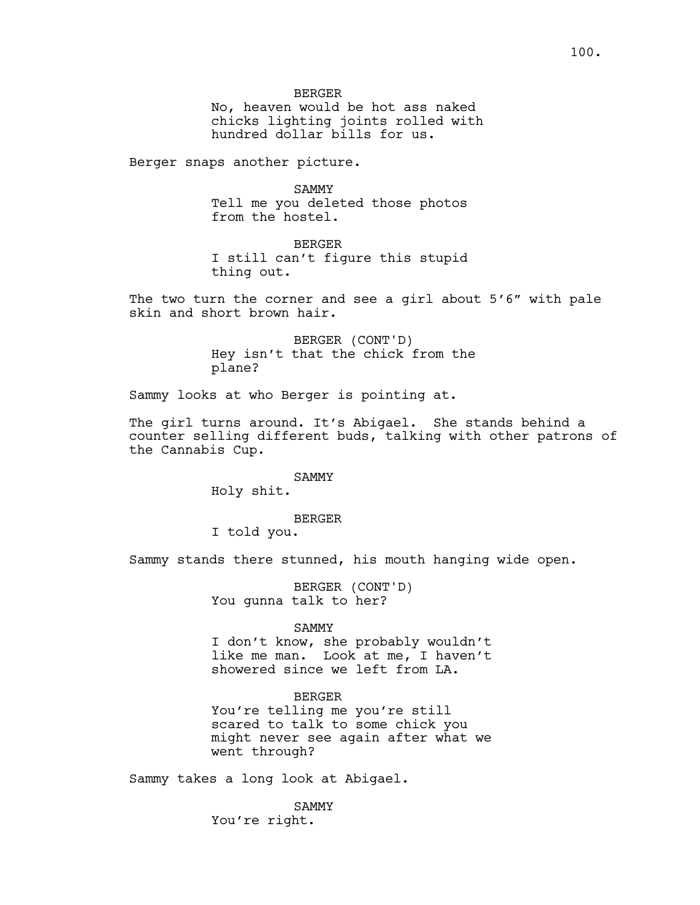BERGER

No, heaven would be hot ass naked chicks lighting joints rolled with hundred dollar bills for us.

Berger snaps another picture.

SAMMY Tell me you deleted those photos from the hostel.

BERGER I still can't figure this stupid thing out.

The two turn the corner and see a girl about 5'6" with pale skin and short brown hair.

> BERGER (CONT'D) Hey isn't that the chick from the plane?

Sammy looks at who Berger is pointing at.

The girl turns around. It's Abigael. She stands behind a counter selling different buds, talking with other patrons of the Cannabis Cup.

SAMMY

Holy shit.

BERGER

I told you.

Sammy stands there stunned, his mouth hanging wide open.

BERGER (CONT'D) You gunna talk to her?

SAMMY

I don't know, she probably wouldn't like me man. Look at me, I haven't showered since we left from LA.

## BERGER

You're telling me you're still scared to talk to some chick you might never see again after what we went through?

Sammy takes a long look at Abigael.

SAMMY

You're right.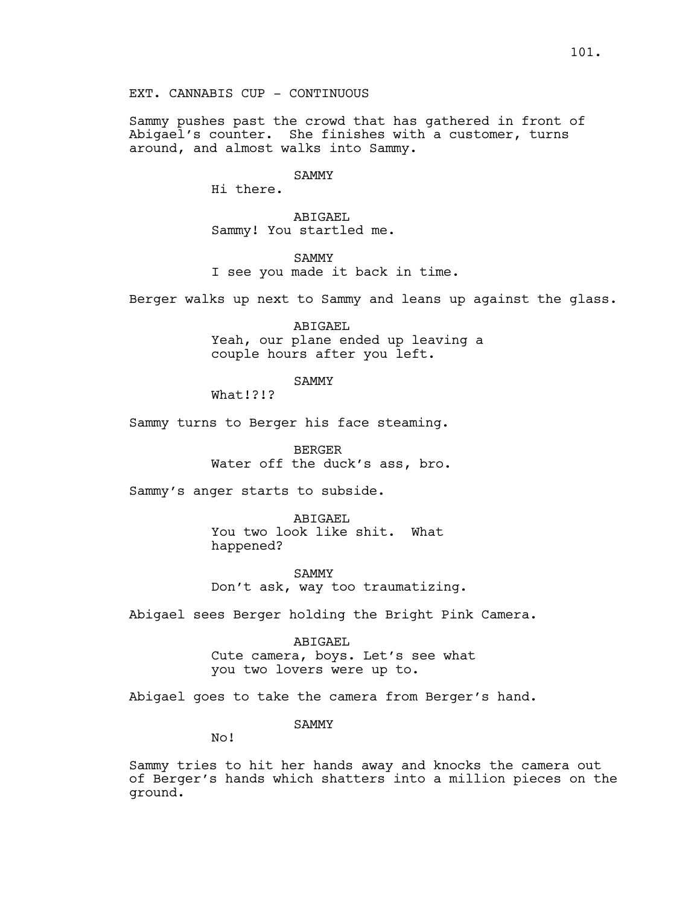EXT. CANNABIS CUP - CONTINUOUS

Sammy pushes past the crowd that has gathered in front of Abigael's counter. She finishes with a customer, turns around, and almost walks into Sammy.

### SAMMY

Hi there.

ABIGAEL Sammy! You startled me.

SAMMY

I see you made it back in time.

Berger walks up next to Sammy and leans up against the glass.

ABIGAEL Yeah, our plane ended up leaving a couple hours after you left.

SAMMY

What!?!?

Sammy turns to Berger his face steaming.

BERGER Water off the duck's ass, bro.

Sammy's anger starts to subside.

ABIGAEL You two look like shit. What happened?

SAMMY Don't ask, way too traumatizing.

Abigael sees Berger holding the Bright Pink Camera.

ABIGAEL

Cute camera, boys. Let's see what you two lovers were up to.

Abigael goes to take the camera from Berger's hand.

SAMMY

No!

Sammy tries to hit her hands away and knocks the camera out of Berger's hands which shatters into a million pieces on the ground.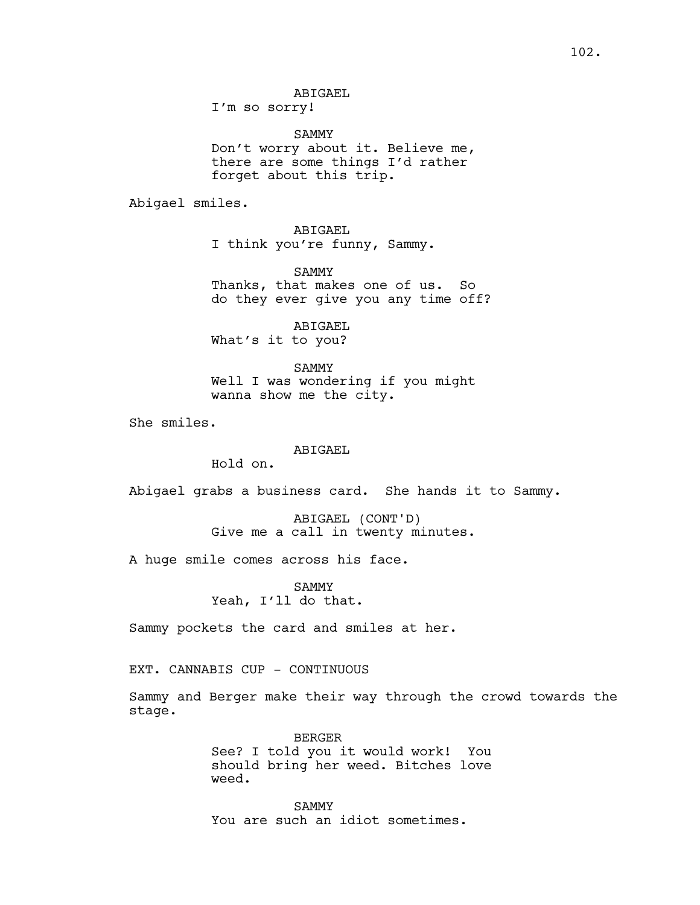I'm so sorry!

SAMMY Don't worry about it. Believe me, there are some things I'd rather forget about this trip.

Abigael smiles.

ABIGAEL I think you're funny, Sammy.

SAMMY Thanks, that makes one of us. So do they ever give you any time off?

ABIGAEL What's it to you?

SAMMY Well I was wondering if you might wanna show me the city.

She smiles.

### ABIGAEL

Hold on.

Abigael grabs a business card. She hands it to Sammy.

ABIGAEL (CONT'D) Give me a call in twenty minutes.

A huge smile comes across his face.

SAMMY Yeah, I'll do that.

Sammy pockets the card and smiles at her.

EXT. CANNABIS CUP - CONTINUOUS

Sammy and Berger make their way through the crowd towards the stage.

> BERGER See? I told you it would work! You should bring her weed. Bitches love weed.

SAMMY You are such an idiot sometimes.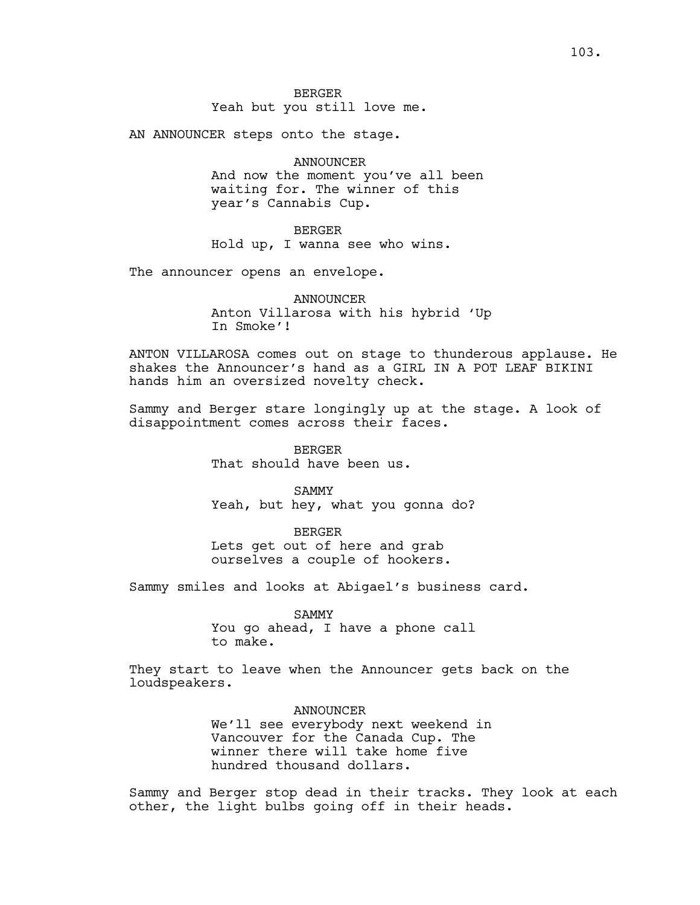# BERGER Yeah but you still love me.

AN ANNOUNCER steps onto the stage.

ANNOUNCER And now the moment you've all been waiting for. The winner of this

year's Cannabis Cup.

### BERGER

Hold up, I wanna see who wins.

The announcer opens an envelope.

# ANNOUNCER Anton Villarosa with his hybrid 'Up In Smoke'!

ANTON VILLAROSA comes out on stage to thunderous applause. He shakes the Announcer's hand as a GIRL IN A POT LEAF BIKINI hands him an oversized novelty check.

Sammy and Berger stare longingly up at the stage. A look of disappointment comes across their faces.

> BERGER That should have been us.

SAMMY Yeah, but hey, what you gonna do?

BERGER Lets get out of here and grab ourselves a couple of hookers.

Sammy smiles and looks at Abigael's business card.

### SAMMY

You go ahead, I have a phone call to make.

They start to leave when the Announcer gets back on the loudspeakers.

ANNOUNCER

We'll see everybody next weekend in Vancouver for the Canada Cup. The winner there will take home five hundred thousand dollars.

Sammy and Berger stop dead in their tracks. They look at each other, the light bulbs going off in their heads.